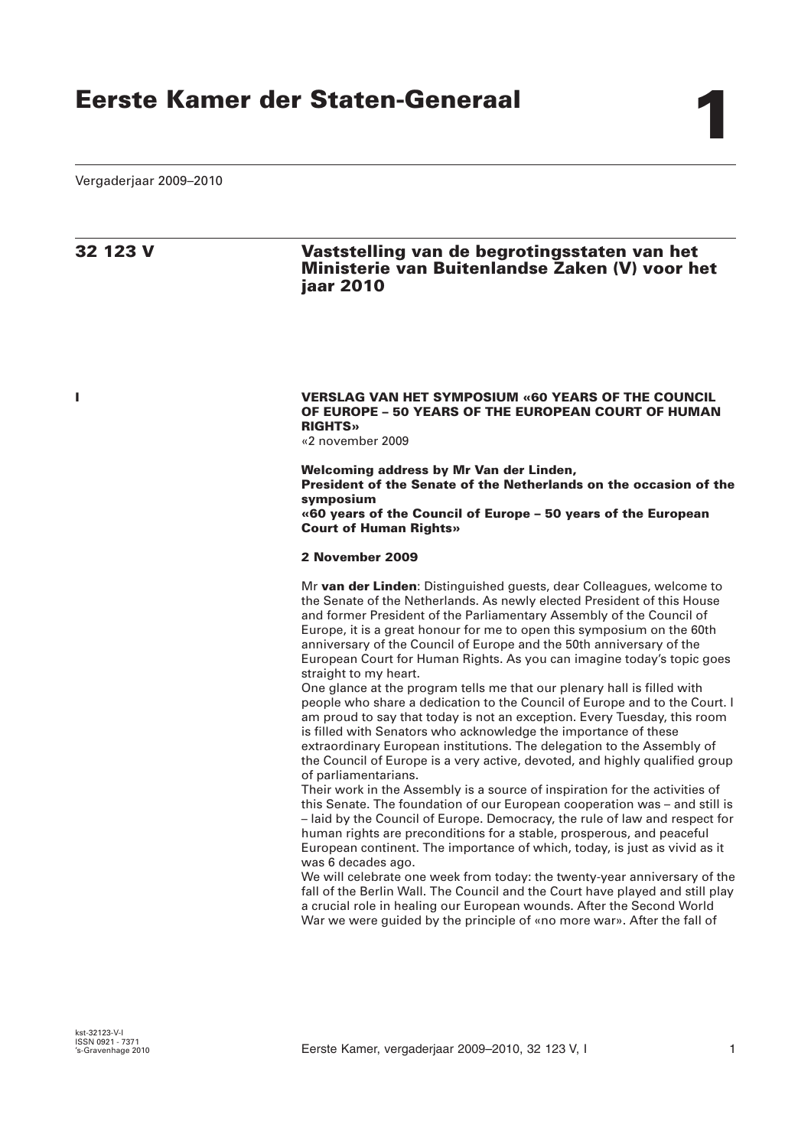Vergaderjaar 2009–2010

# **32 123 V Vaststelling van de begrotingsstaten van het Ministerie van Buitenlandse Zaken (V) voor het jaar 2010**

# **I VERSLAG VAN HET SYMPOSIUM «60 YEARS OF THE COUNCIL OF EUROPE – 50 YEARS OF THE EUROPEAN COURT OF HUMAN RIGHTS»**

«2 november 2009

**Welcoming address by Mr Van der Linden,**

**President of the Senate of the Netherlands on the occasion of the symposium**

**«60 years of the Council of Europe – 50 years of the European Court of Human Rights»** 

# **2 November 2009**

Mr **van der Linden**: Distinguished guests, dear Colleagues, welcome to the Senate of the Netherlands. As newly elected President of this House and former President of the Parliamentary Assembly of the Council of Europe, it is a great honour for me to open this symposium on the 60th anniversary of the Council of Europe and the 50th anniversary of the European Court for Human Rights. As you can imagine today's topic goes straight to my heart.

One glance at the program tells me that our plenary hall is filled with people who share a dedication to the Council of Europe and to the Court. I am proud to say that today is not an exception. Every Tuesday, this room is filled with Senators who acknowledge the importance of these extraordinary European institutions. The delegation to the Assembly of the Council of Europe is a very active, devoted, and highly qualified group of parliamentarians.

Their work in the Assembly is a source of inspiration for the activities of this Senate. The foundation of our European cooperation was – and still is – laid by the Council of Europe. Democracy, the rule of law and respect for human rights are preconditions for a stable, prosperous, and peaceful European continent. The importance of which, today, is just as vivid as it was 6 decades ago.

We will celebrate one week from today: the twenty-year anniversary of the fall of the Berlin Wall. The Council and the Court have played and still play a crucial role in healing our European wounds. After the Second World War we were guided by the principle of «no more war». After the fall of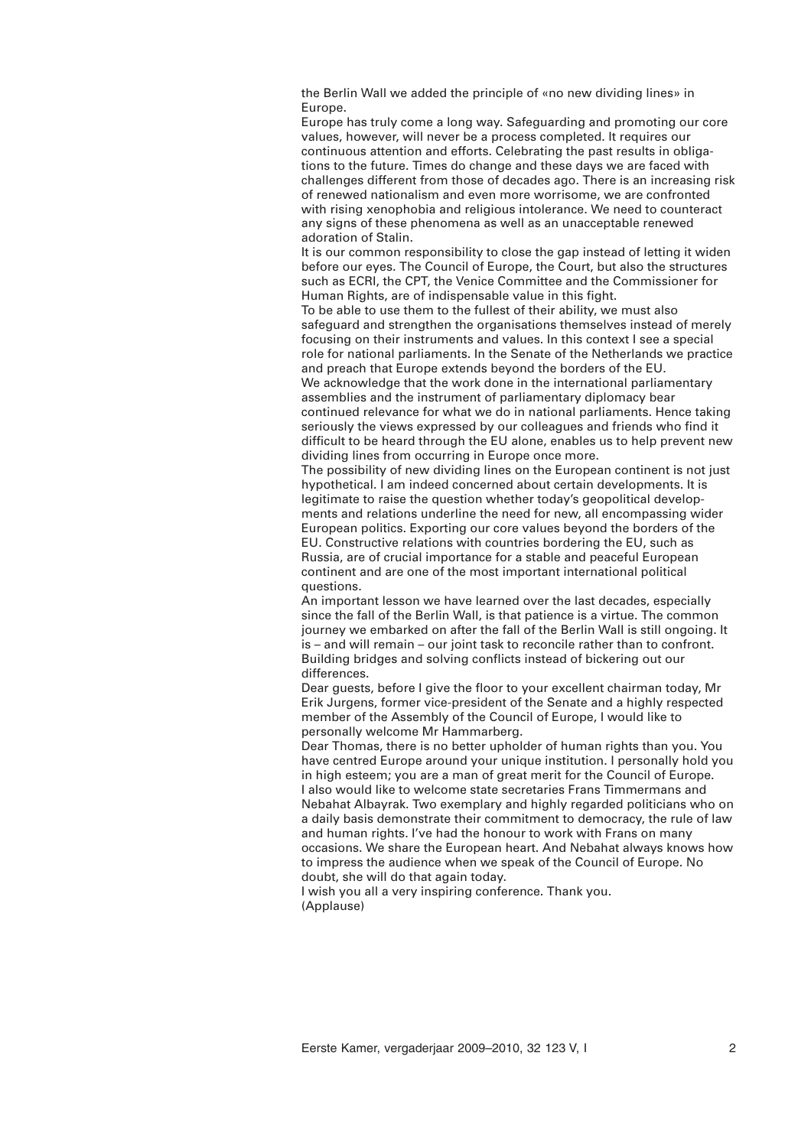the Berlin Wall we added the principle of «no new dividing lines» in Europe.

Europe has truly come a long way. Safeguarding and promoting our core values, however, will never be a process completed. It requires our continuous attention and efforts. Celebrating the past results in obligations to the future. Times do change and these days we are faced with challenges different from those of decades ago. There is an increasing risk of renewed nationalism and even more worrisome, we are confronted with rising xenophobia and religious intolerance. We need to counteract any signs of these phenomena as well as an unacceptable renewed adoration of Stalin.

It is our common responsibility to close the gap instead of letting it widen before our eyes. The Council of Europe, the Court, but also the structures such as ECRI, the CPT, the Venice Committee and the Commissioner for Human Rights, are of indispensable value in this fight.

To be able to use them to the fullest of their ability, we must also safeguard and strengthen the organisations themselves instead of merely focusing on their instruments and values. In this context I see a special role for national parliaments. In the Senate of the Netherlands we practice and preach that Europe extends beyond the borders of the EU.

We acknowledge that the work done in the international parliamentary assemblies and the instrument of parliamentary diplomacy bear continued relevance for what we do in national parliaments. Hence taking seriously the views expressed by our colleagues and friends who find it difficult to be heard through the EU alone, enables us to help prevent new dividing lines from occurring in Europe once more.

The possibility of new dividing lines on the European continent is not just hypothetical. I am indeed concerned about certain developments. It is legitimate to raise the question whether today's geopolitical developments and relations underline the need for new, all encompassing wider European politics. Exporting our core values beyond the borders of the EU. Constructive relations with countries bordering the EU, such as Russia, are of crucial importance for a stable and peaceful European continent and are one of the most important international political questions.

An important lesson we have learned over the last decades, especially since the fall of the Berlin Wall, is that patience is a virtue. The common journey we embarked on after the fall of the Berlin Wall is still ongoing. It is – and will remain – our joint task to reconcile rather than to confront. Building bridges and solving conflicts instead of bickering out our differences.

Dear guests, before I give the floor to your excellent chairman today, Mr Erik Jurgens, former vice-president of the Senate and a highly respected member of the Assembly of the Council of Europe, I would like to personally welcome Mr Hammarberg.

Dear Thomas, there is no better upholder of human rights than you. You have centred Europe around your unique institution. I personally hold you in high esteem; you are a man of great merit for the Council of Europe. I also would like to welcome state secretaries Frans Timmermans and Nebahat Albayrak. Two exemplary and highly regarded politicians who on a daily basis demonstrate their commitment to democracy, the rule of law and human rights. I've had the honour to work with Frans on many occasions. We share the European heart. And Nebahat always knows how to impress the audience when we speak of the Council of Europe. No doubt, she will do that again today.

I wish you all a very inspiring conference. Thank you. (Applause)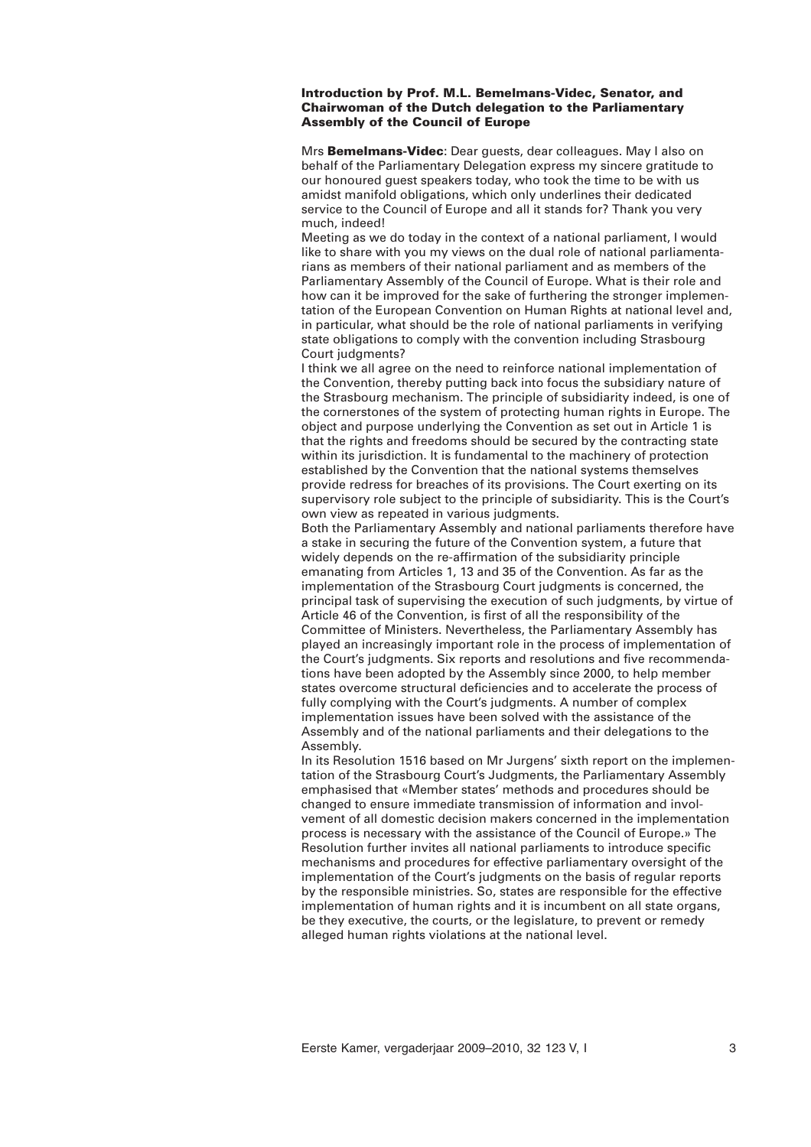# **Introduction by Prof. M.L. Bemelmans-Videc, Senator, and Chairwoman of the Dutch delegation to the Parliamentary Assembly of the Council of Europe**

Mrs **Bemelmans-Videc**: Dear guests, dear colleagues. May I also on behalf of the Parliamentary Delegation express my sincere gratitude to our honoured guest speakers today, who took the time to be with us amidst manifold obligations, which only underlines their dedicated service to the Council of Europe and all it stands for? Thank you very much, indeed!

Meeting as we do today in the context of a national parliament, I would like to share with you my views on the dual role of national parliamentarians as members of their national parliament and as members of the Parliamentary Assembly of the Council of Europe. What is their role and how can it be improved for the sake of furthering the stronger implementation of the European Convention on Human Rights at national level and, in particular, what should be the role of national parliaments in verifying state obligations to comply with the convention including Strasbourg Court judgments?

I think we all agree on the need to reinforce national implementation of the Convention, thereby putting back into focus the subsidiary nature of the Strasbourg mechanism. The principle of subsidiarity indeed, is one of the cornerstones of the system of protecting human rights in Europe. The object and purpose underlying the Convention as set out in Article 1 is that the rights and freedoms should be secured by the contracting state within its jurisdiction. It is fundamental to the machinery of protection established by the Convention that the national systems themselves provide redress for breaches of its provisions. The Court exerting on its supervisory role subject to the principle of subsidiarity. This is the Court's own view as repeated in various judgments.

Both the Parliamentary Assembly and national parliaments therefore have a stake in securing the future of the Convention system, a future that widely depends on the re-affirmation of the subsidiarity principle emanating from Articles 1, 13 and 35 of the Convention. As far as the implementation of the Strasbourg Court judgments is concerned, the principal task of supervising the execution of such judgments, by virtue of Article 46 of the Convention, is first of all the responsibility of the Committee of Ministers. Nevertheless, the Parliamentary Assembly has played an increasingly important role in the process of implementation of the Court's judgments. Six reports and resolutions and five recommendations have been adopted by the Assembly since 2000, to help member states overcome structural deficiencies and to accelerate the process of fully complying with the Court's judgments. A number of complex implementation issues have been solved with the assistance of the Assembly and of the national parliaments and their delegations to the Assembly.

In its Resolution 1516 based on Mr Jurgens' sixth report on the implementation of the Strasbourg Court's Judgments, the Parliamentary Assembly emphasised that «Member states' methods and procedures should be changed to ensure immediate transmission of information and involvement of all domestic decision makers concerned in the implementation process is necessary with the assistance of the Council of Europe.» The Resolution further invites all national parliaments to introduce specific mechanisms and procedures for effective parliamentary oversight of the implementation of the Court's judgments on the basis of regular reports by the responsible ministries. So, states are responsible for the effective implementation of human rights and it is incumbent on all state organs, be they executive, the courts, or the legislature, to prevent or remedy alleged human rights violations at the national level.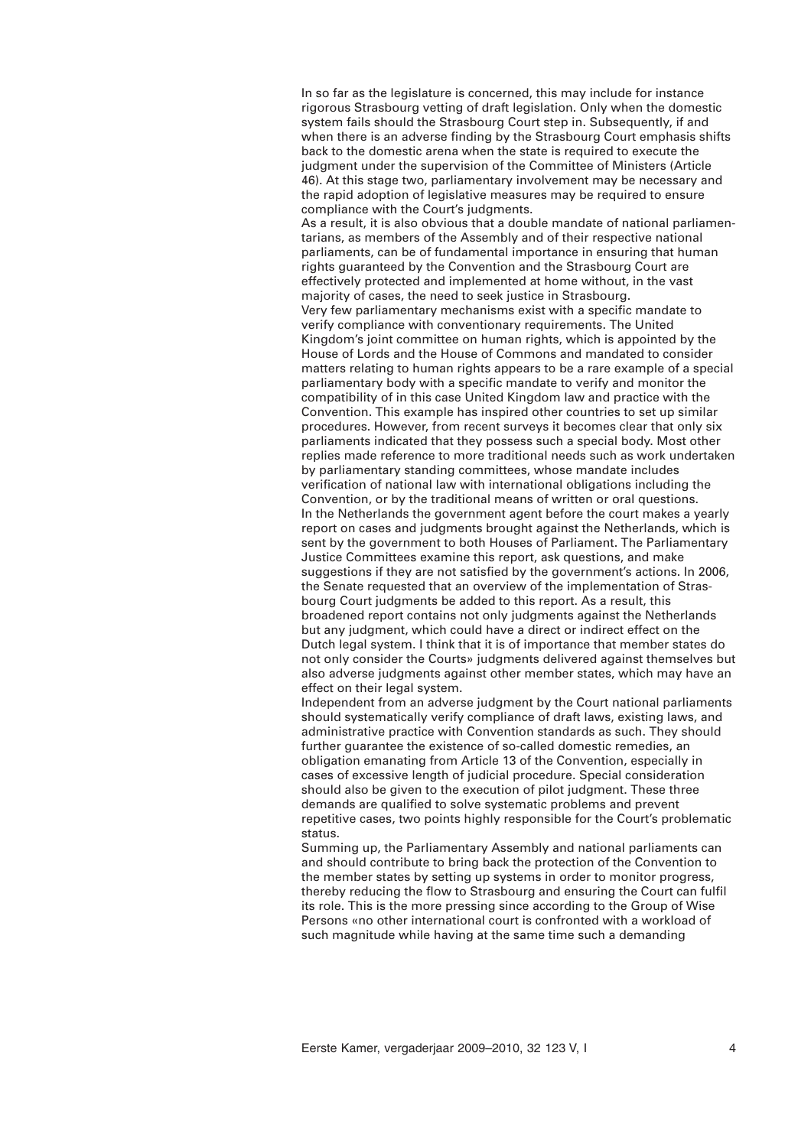In so far as the legislature is concerned, this may include for instance rigorous Strasbourg vetting of draft legislation. Only when the domestic system fails should the Strasbourg Court step in. Subsequently, if and when there is an adverse finding by the Strasbourg Court emphasis shifts back to the domestic arena when the state is required to execute the judgment under the supervision of the Committee of Ministers (Article 46). At this stage two, parliamentary involvement may be necessary and the rapid adoption of legislative measures may be required to ensure compliance with the Court's judgments.

As a result, it is also obvious that a double mandate of national parliamentarians, as members of the Assembly and of their respective national parliaments, can be of fundamental importance in ensuring that human rights guaranteed by the Convention and the Strasbourg Court are effectively protected and implemented at home without, in the vast majority of cases, the need to seek justice in Strasbourg. Very few parliamentary mechanisms exist with a specific mandate to verify compliance with conventionary requirements. The United Kingdom's joint committee on human rights, which is appointed by the House of Lords and the House of Commons and mandated to consider matters relating to human rights appears to be a rare example of a special parliamentary body with a specific mandate to verify and monitor the compatibility of in this case United Kingdom law and practice with the Convention. This example has inspired other countries to set up similar procedures. However, from recent surveys it becomes clear that only six parliaments indicated that they possess such a special body. Most other replies made reference to more traditional needs such as work undertaken by parliamentary standing committees, whose mandate includes verification of national law with international obligations including the Convention, or by the traditional means of written or oral questions. In the Netherlands the government agent before the court makes a yearly report on cases and judgments brought against the Netherlands, which is sent by the government to both Houses of Parliament. The Parliamentary Justice Committees examine this report, ask questions, and make suggestions if they are not satisfied by the government's actions. In 2006, the Senate requested that an overview of the implementation of Strasbourg Court judgments be added to this report. As a result, this broadened report contains not only judgments against the Netherlands but any judgment, which could have a direct or indirect effect on the Dutch legal system. I think that it is of importance that member states do not only consider the Courts» judgments delivered against themselves but also adverse judgments against other member states, which may have an effect on their legal system.

Independent from an adverse judgment by the Court national parliaments should systematically verify compliance of draft laws, existing laws, and administrative practice with Convention standards as such. They should further guarantee the existence of so-called domestic remedies, an obligation emanating from Article 13 of the Convention, especially in cases of excessive length of judicial procedure. Special consideration should also be given to the execution of pilot judgment. These three demands are qualified to solve systematic problems and prevent repetitive cases, two points highly responsible for the Court's problematic status.

Summing up, the Parliamentary Assembly and national parliaments can and should contribute to bring back the protection of the Convention to the member states by setting up systems in order to monitor progress, thereby reducing the flow to Strasbourg and ensuring the Court can fulfil its role. This is the more pressing since according to the Group of Wise Persons «no other international court is confronted with a workload of such magnitude while having at the same time such a demanding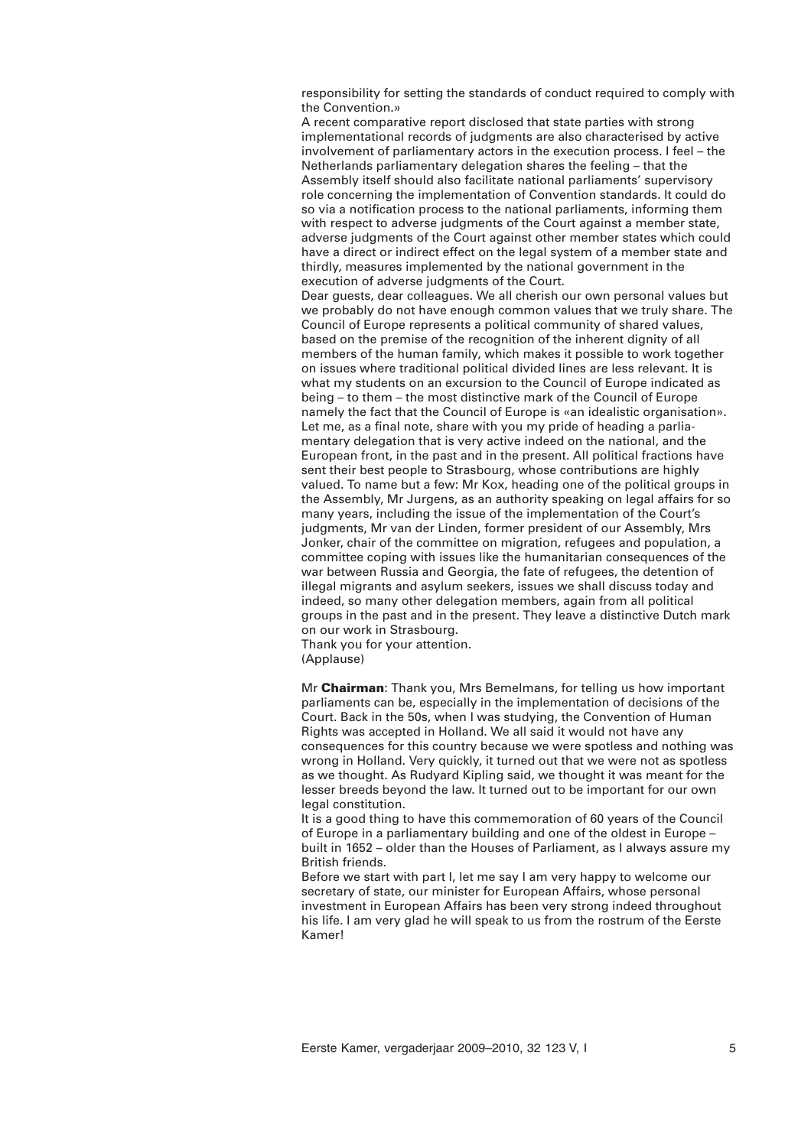responsibility for setting the standards of conduct required to comply with the Convention.»

A recent comparative report disclosed that state parties with strong implementational records of judgments are also characterised by active involvement of parliamentary actors in the execution process. I feel – the Netherlands parliamentary delegation shares the feeling – that the Assembly itself should also facilitate national parliaments' supervisory role concerning the implementation of Convention standards. It could do so via a notification process to the national parliaments, informing them with respect to adverse judgments of the Court against a member state, adverse judgments of the Court against other member states which could have a direct or indirect effect on the legal system of a member state and thirdly, measures implemented by the national government in the execution of adverse judgments of the Court.

Dear guests, dear colleagues. We all cherish our own personal values but we probably do not have enough common values that we truly share. The Council of Europe represents a political community of shared values, based on the premise of the recognition of the inherent dignity of all members of the human family, which makes it possible to work together on issues where traditional political divided lines are less relevant. It is what my students on an excursion to the Council of Europe indicated as being – to them – the most distinctive mark of the Council of Europe namely the fact that the Council of Europe is «an idealistic organisation». Let me, as a final note, share with you my pride of heading a parliamentary delegation that is very active indeed on the national, and the European front, in the past and in the present. All political fractions have sent their best people to Strasbourg, whose contributions are highly valued. To name but a few: Mr Kox, heading one of the political groups in the Assembly, Mr Jurgens, as an authority speaking on legal affairs for so many years, including the issue of the implementation of the Court's judgments, Mr van der Linden, former president of our Assembly, Mrs Jonker, chair of the committee on migration, refugees and population, a committee coping with issues like the humanitarian consequences of the war between Russia and Georgia, the fate of refugees, the detention of illegal migrants and asylum seekers, issues we shall discuss today and indeed, so many other delegation members, again from all political groups in the past and in the present. They leave a distinctive Dutch mark on our work in Strasbourg.

Thank you for your attention. (Applause)

Mr **Chairman**: Thank you, Mrs Bemelmans, for telling us how important parliaments can be, especially in the implementation of decisions of the Court. Back in the 50s, when I was studying, the Convention of Human Rights was accepted in Holland. We all said it would not have any consequences for this country because we were spotless and nothing was wrong in Holland. Very quickly, it turned out that we were not as spotless as we thought. As Rudyard Kipling said, we thought it was meant for the lesser breeds beyond the law. It turned out to be important for our own legal constitution.

It is a good thing to have this commemoration of 60 years of the Council of Europe in a parliamentary building and one of the oldest in Europe – built in 1652 – older than the Houses of Parliament, as I always assure my British friends.

Before we start with part I, let me say I am very happy to welcome our secretary of state, our minister for European Affairs, whose personal investment in European Affairs has been very strong indeed throughout his life. I am very glad he will speak to us from the rostrum of the Eerste Kamer!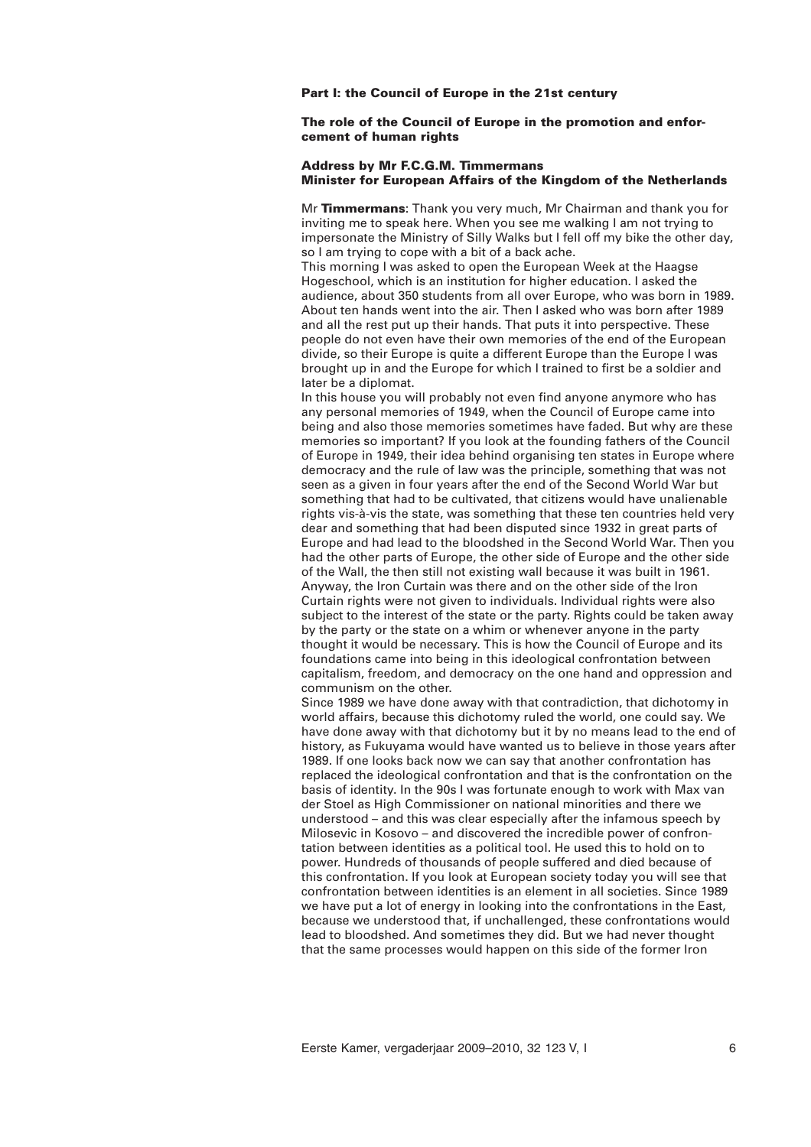### **Part I: the Council of Europe in the 21st century**

# **The role of the Council of Europe in the promotion and enforcement of human rights**

# **Address by Mr F.C.G.M. Timmermans Minister for European Affairs of the Kingdom of the Netherlands**

Mr **Timmermans**: Thank you very much, Mr Chairman and thank you for inviting me to speak here. When you see me walking I am not trying to impersonate the Ministry of Silly Walks but I fell off my bike the other day, so I am trying to cope with a bit of a back ache.

This morning I was asked to open the European Week at the Haagse Hogeschool, which is an institution for higher education. I asked the audience, about 350 students from all over Europe, who was born in 1989. About ten hands went into the air. Then I asked who was born after 1989 and all the rest put up their hands. That puts it into perspective. These people do not even have their own memories of the end of the European divide, so their Europe is quite a different Europe than the Europe I was brought up in and the Europe for which I trained to first be a soldier and later be a diplomat.

In this house you will probably not even find anyone anymore who has any personal memories of 1949, when the Council of Europe came into being and also those memories sometimes have faded. But why are these memories so important? If you look at the founding fathers of the Council of Europe in 1949, their idea behind organising ten states in Europe where democracy and the rule of law was the principle, something that was not seen as a given in four years after the end of the Second World War but something that had to be cultivated, that citizens would have unalienable rights vis-à-vis the state, was something that these ten countries held very dear and something that had been disputed since 1932 in great parts of Europe and had lead to the bloodshed in the Second World War. Then you had the other parts of Europe, the other side of Europe and the other side of the Wall, the then still not existing wall because it was built in 1961. Anyway, the Iron Curtain was there and on the other side of the Iron Curtain rights were not given to individuals. Individual rights were also subject to the interest of the state or the party. Rights could be taken away by the party or the state on a whim or whenever anyone in the party thought it would be necessary. This is how the Council of Europe and its foundations came into being in this ideological confrontation between capitalism, freedom, and democracy on the one hand and oppression and communism on the other.

Since 1989 we have done away with that contradiction, that dichotomy in world affairs, because this dichotomy ruled the world, one could say. We have done away with that dichotomy but it by no means lead to the end of history, as Fukuyama would have wanted us to believe in those years after 1989. If one looks back now we can say that another confrontation has replaced the ideological confrontation and that is the confrontation on the basis of identity. In the 90s I was fortunate enough to work with Max van der Stoel as High Commissioner on national minorities and there we understood – and this was clear especially after the infamous speech by Milosevic in Kosovo – and discovered the incredible power of confrontation between identities as a political tool. He used this to hold on to power. Hundreds of thousands of people suffered and died because of this confrontation. If you look at European society today you will see that confrontation between identities is an element in all societies. Since 1989 we have put a lot of energy in looking into the confrontations in the East, because we understood that, if unchallenged, these confrontations would lead to bloodshed. And sometimes they did. But we had never thought that the same processes would happen on this side of the former Iron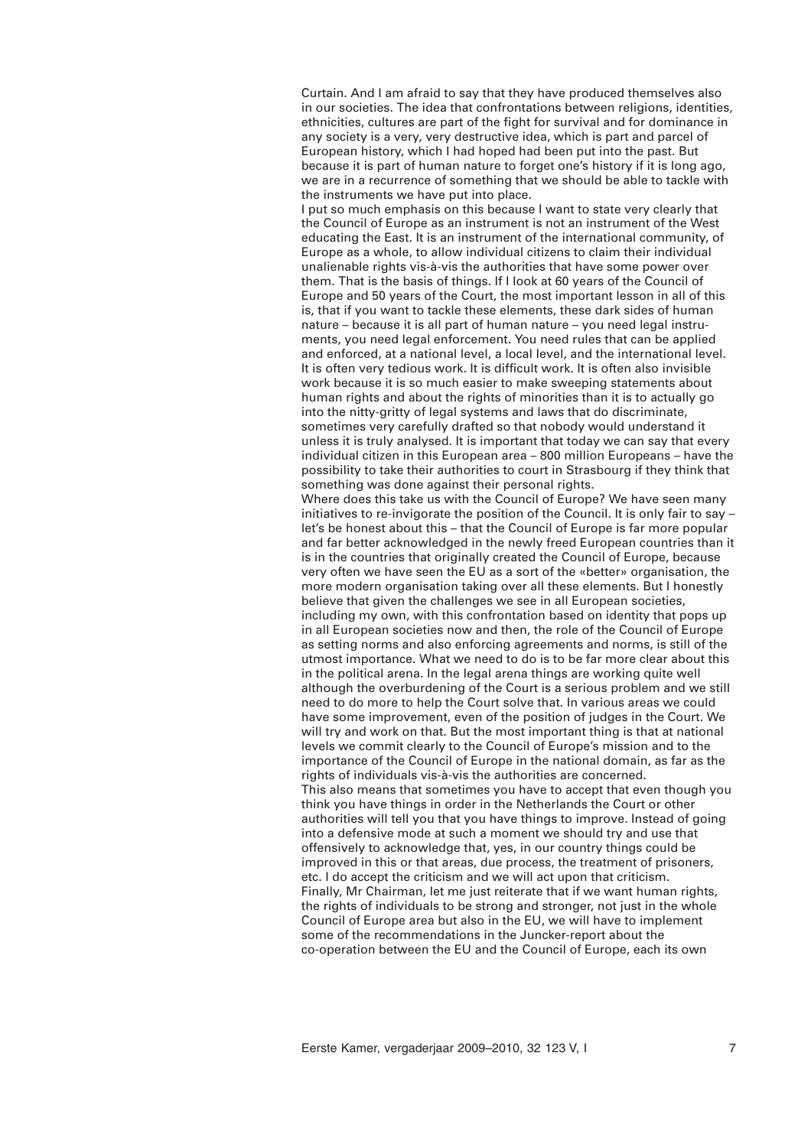Curtain. And I am afraid to say that they have produced themselves also in our societies. The idea that confrontations between religions, identities, ethnicities, cultures are part of the fight for survival and for dominance in any society is a very, very destructive idea, which is part and parcel of European history, which I had hoped had been put into the past. But because it is part of human nature to forget one's history if it is long ago, we are in a recurrence of something that we should be able to tackle with the instruments we have put into place.

I put so much emphasis on this because I want to state very clearly that the Council of Europe as an instrument is not an instrument of the West educating the East. It is an instrument of the international community, of Europe as a whole, to allow individual citizens to claim their individual unalienable rights vis-à-vis the authorities that have some power over them. That is the basis of things. If I look at 60 years of the Council of Europe and 50 years of the Court, the most important lesson in all of this is, that if you want to tackle these elements, these dark sides of human nature – because it is all part of human nature – you need legal instruments, you need legal enforcement. You need rules that can be applied and enforced, at a national level, a local level, and the international level. It is often very tedious work. It is difficult work. It is often also invisible work because it is so much easier to make sweeping statements about human rights and about the rights of minorities than it is to actually go into the nitty-gritty of legal systems and laws that do discriminate, sometimes very carefully drafted so that nobody would understand it unless it is truly analysed. It is important that today we can say that every individual citizen in this European area – 800 million Europeans – have the possibility to take their authorities to court in Strasbourg if they think that something was done against their personal rights. Where does this take us with the Council of Europe? We have seen many

initiatives to re-invigorate the position of the Council. It is only fair to say – let's be honest about this – that the Council of Europe is far more popular and far better acknowledged in the newly freed European countries than it is in the countries that originally created the Council of Europe, because very often we have seen the EU as a sort of the «better» organisation, the more modern organisation taking over all these elements. But I honestly believe that given the challenges we see in all European societies, including my own, with this confrontation based on identity that pops up in all European societies now and then, the role of the Council of Europe as setting norms and also enforcing agreements and norms, is still of the utmost importance. What we need to do is to be far more clear about this in the political arena. In the legal arena things are working quite well although the overburdening of the Court is a serious problem and we still need to do more to help the Court solve that. In various areas we could have some improvement, even of the position of judges in the Court. We will try and work on that. But the most important thing is that at national levels we commit clearly to the Council of Europe's mission and to the importance of the Council of Europe in the national domain, as far as the rights of individuals vis-à-vis the authorities are concerned. This also means that sometimes you have to accept that even though you think you have things in order in the Netherlands the Court or other authorities will tell you that you have things to improve. Instead of going into a defensive mode at such a moment we should try and use that offensively to acknowledge that, yes, in our country things could be improved in this or that areas, due process, the treatment of prisoners, etc. I do accept the criticism and we will act upon that criticism. Finally, Mr Chairman, let me just reiterate that if we want human rights, the rights of individuals to be strong and stronger, not just in the whole Council of Europe area but also in the EU, we will have to implement some of the recommendations in the Juncker-report about the co-operation between the EU and the Council of Europe, each its own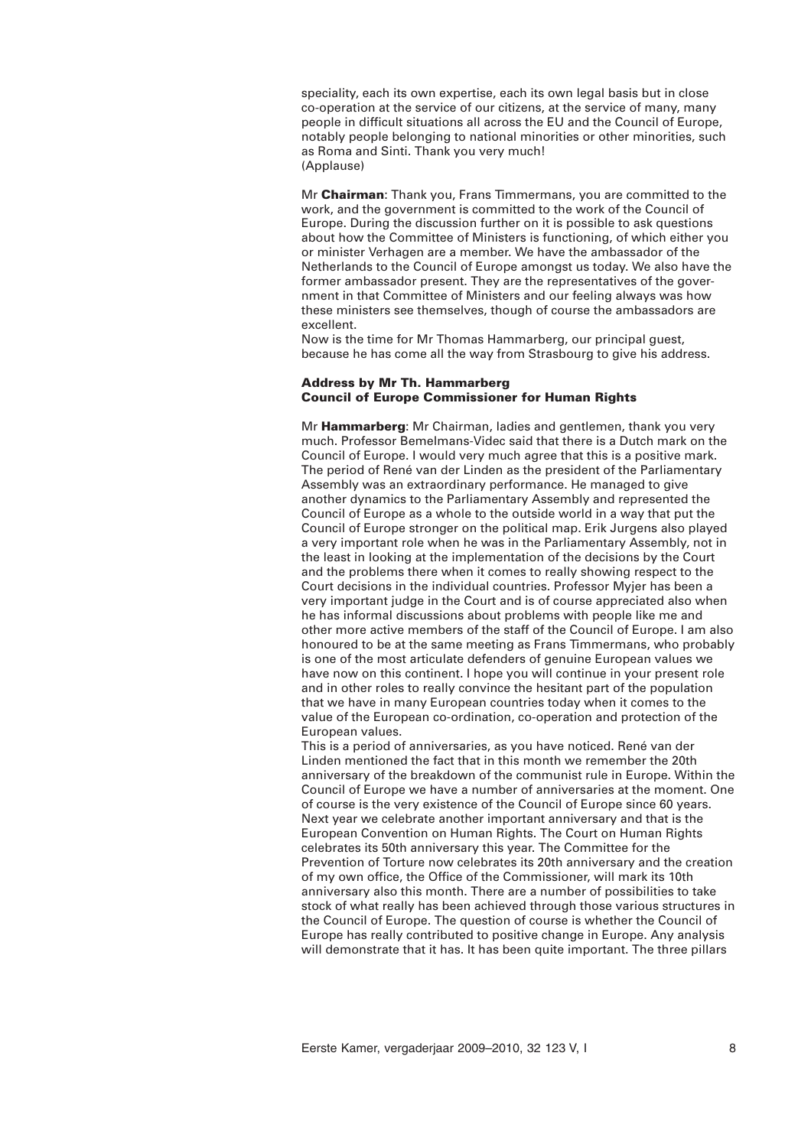speciality, each its own expertise, each its own legal basis but in close co-operation at the service of our citizens, at the service of many, many people in difficult situations all across the EU and the Council of Europe, notably people belonging to national minorities or other minorities, such as Roma and Sinti. Thank you very much! (Applause)

Mr **Chairman**: Thank you, Frans Timmermans, you are committed to the work, and the government is committed to the work of the Council of Europe. During the discussion further on it is possible to ask questions about how the Committee of Ministers is functioning, of which either you or minister Verhagen are a member. We have the ambassador of the Netherlands to the Council of Europe amongst us today. We also have the former ambassador present. They are the representatives of the government in that Committee of Ministers and our feeling always was how these ministers see themselves, though of course the ambassadors are excellent.

Now is the time for Mr Thomas Hammarberg, our principal guest, because he has come all the way from Strasbourg to give his address.

# **Address by Mr Th. Hammarberg Council of Europe Commissioner for Human Rights**

Mr **Hammarberg**: Mr Chairman, ladies and gentlemen, thank you very much. Professor Bemelmans-Videc said that there is a Dutch mark on the Council of Europe. I would very much agree that this is a positive mark. The period of René van der Linden as the president of the Parliamentary Assembly was an extraordinary performance. He managed to give another dynamics to the Parliamentary Assembly and represented the Council of Europe as a whole to the outside world in a way that put the Council of Europe stronger on the political map. Erik Jurgens also played a very important role when he was in the Parliamentary Assembly, not in the least in looking at the implementation of the decisions by the Court and the problems there when it comes to really showing respect to the Court decisions in the individual countries. Professor Myjer has been a very important judge in the Court and is of course appreciated also when he has informal discussions about problems with people like me and other more active members of the staff of the Council of Europe. I am also honoured to be at the same meeting as Frans Timmermans, who probably is one of the most articulate defenders of genuine European values we have now on this continent. I hope you will continue in your present role and in other roles to really convince the hesitant part of the population that we have in many European countries today when it comes to the value of the European co-ordination, co-operation and protection of the European values.

This is a period of anniversaries, as you have noticed. René van der Linden mentioned the fact that in this month we remember the 20th anniversary of the breakdown of the communist rule in Europe. Within the Council of Europe we have a number of anniversaries at the moment. One of course is the very existence of the Council of Europe since 60 years. Next year we celebrate another important anniversary and that is the European Convention on Human Rights. The Court on Human Rights celebrates its 50th anniversary this year. The Committee for the Prevention of Torture now celebrates its 20th anniversary and the creation of my own office, the Office of the Commissioner, will mark its 10th anniversary also this month. There are a number of possibilities to take stock of what really has been achieved through those various structures in the Council of Europe. The question of course is whether the Council of Europe has really contributed to positive change in Europe. Any analysis will demonstrate that it has. It has been quite important. The three pillars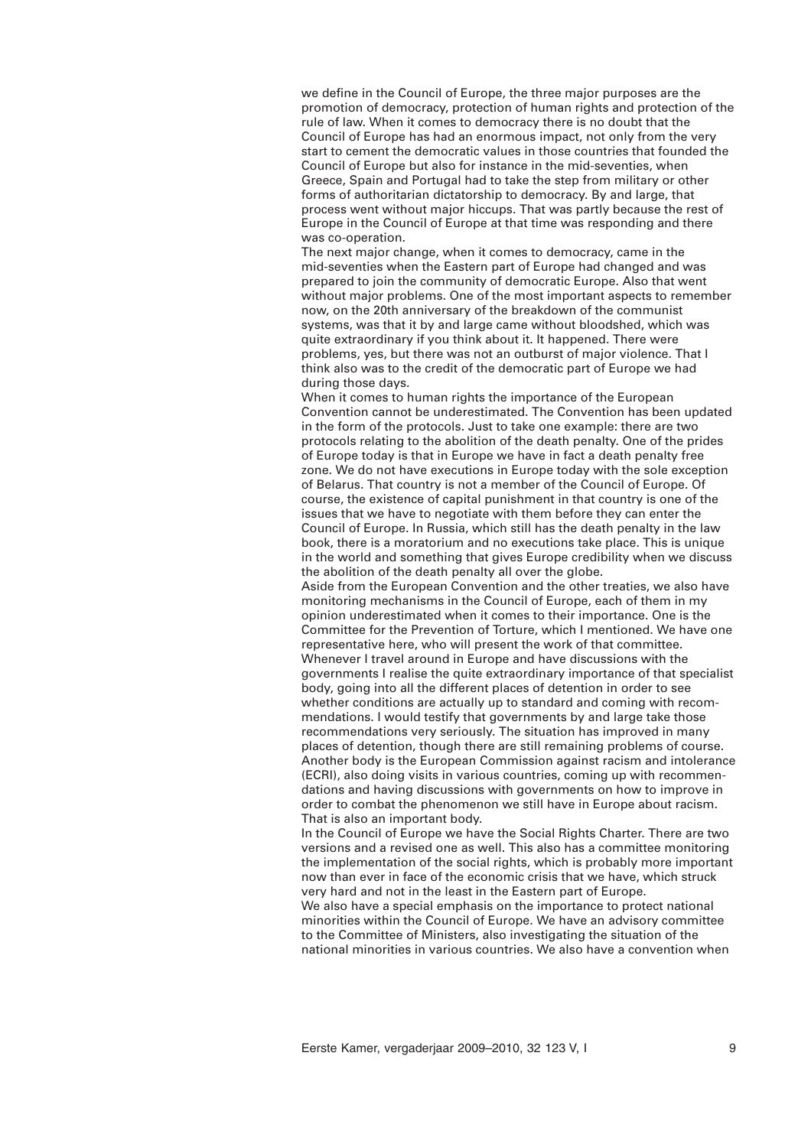we define in the Council of Europe, the three major purposes are the promotion of democracy, protection of human rights and protection of the rule of law. When it comes to democracy there is no doubt that the Council of Europe has had an enormous impact, not only from the very start to cement the democratic values in those countries that founded the Council of Europe but also for instance in the mid-seventies, when Greece, Spain and Portugal had to take the step from military or other forms of authoritarian dictatorship to democracy. By and large, that process went without major hiccups. That was partly because the rest of Europe in the Council of Europe at that time was responding and there was co-operation.

The next major change, when it comes to democracy, came in the mid-seventies when the Eastern part of Europe had changed and was prepared to join the community of democratic Europe. Also that went without major problems. One of the most important aspects to remember now, on the 20th anniversary of the breakdown of the communist systems, was that it by and large came without bloodshed, which was quite extraordinary if you think about it. It happened. There were problems, yes, but there was not an outburst of major violence. That I think also was to the credit of the democratic part of Europe we had during those days.

When it comes to human rights the importance of the European Convention cannot be underestimated. The Convention has been updated in the form of the protocols. Just to take one example: there are two protocols relating to the abolition of the death penalty. One of the prides of Europe today is that in Europe we have in fact a death penalty free zone. We do not have executions in Europe today with the sole exception of Belarus. That country is not a member of the Council of Europe. Of course, the existence of capital punishment in that country is one of the issues that we have to negotiate with them before they can enter the Council of Europe. In Russia, which still has the death penalty in the law book, there is a moratorium and no executions take place. This is unique in the world and something that gives Europe credibility when we discuss the abolition of the death penalty all over the globe.

Aside from the European Convention and the other treaties, we also have monitoring mechanisms in the Council of Europe, each of them in my opinion underestimated when it comes to their importance. One is the Committee for the Prevention of Torture, which I mentioned. We have one representative here, who will present the work of that committee. Whenever I travel around in Europe and have discussions with the governments I realise the quite extraordinary importance of that specialist body, going into all the different places of detention in order to see whether conditions are actually up to standard and coming with recommendations. I would testify that governments by and large take those recommendations very seriously. The situation has improved in many places of detention, though there are still remaining problems of course. Another body is the European Commission against racism and intolerance (ECRI), also doing visits in various countries, coming up with recommendations and having discussions with governments on how to improve in order to combat the phenomenon we still have in Europe about racism. That is also an important body.

In the Council of Europe we have the Social Rights Charter. There are two versions and a revised one as well. This also has a committee monitoring the implementation of the social rights, which is probably more important now than ever in face of the economic crisis that we have, which struck very hard and not in the least in the Eastern part of Europe. We also have a special emphasis on the importance to protect national minorities within the Council of Europe. We have an advisory committee to the Committee of Ministers, also investigating the situation of the

national minorities in various countries. We also have a convention when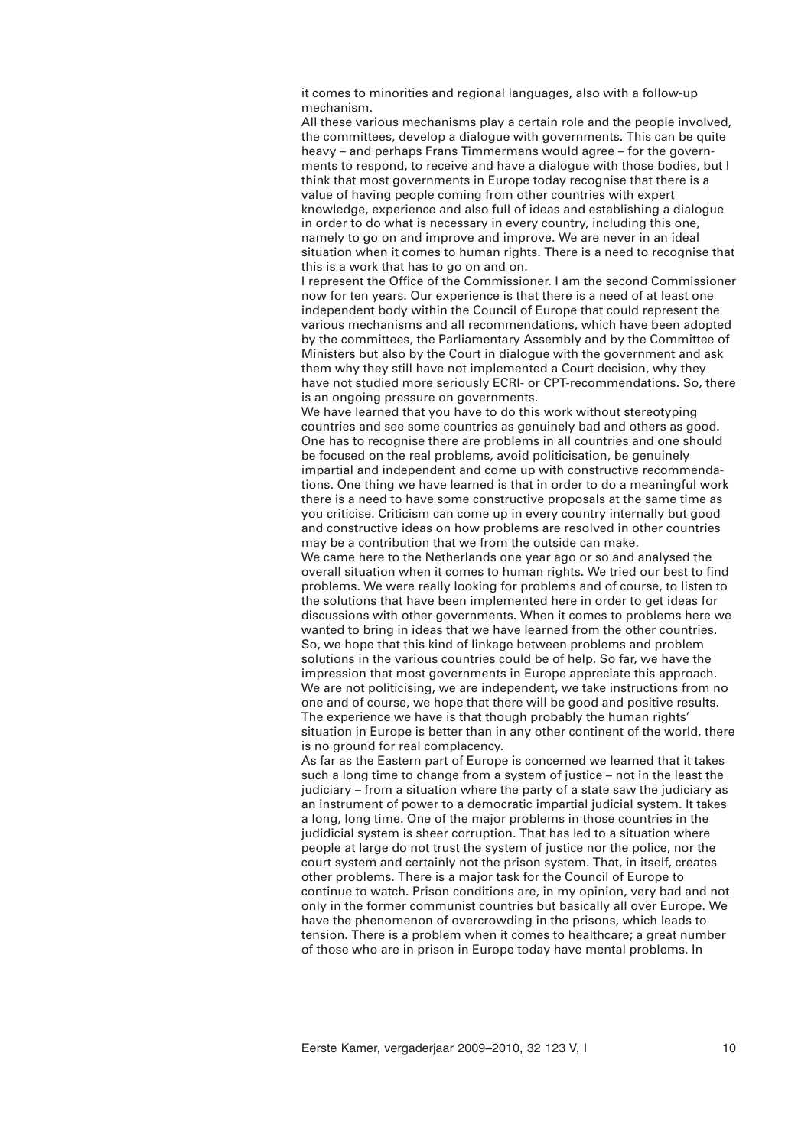it comes to minorities and regional languages, also with a follow-up mechanism.

All these various mechanisms play a certain role and the people involved, the committees, develop a dialogue with governments. This can be quite heavy – and perhaps Frans Timmermans would agree – for the governments to respond, to receive and have a dialogue with those bodies, but I think that most governments in Europe today recognise that there is a value of having people coming from other countries with expert knowledge, experience and also full of ideas and establishing a dialogue in order to do what is necessary in every country, including this one, namely to go on and improve and improve. We are never in an ideal situation when it comes to human rights. There is a need to recognise that this is a work that has to go on and on.

I represent the Office of the Commissioner. I am the second Commissioner now for ten years. Our experience is that there is a need of at least one independent body within the Council of Europe that could represent the various mechanisms and all recommendations, which have been adopted by the committees, the Parliamentary Assembly and by the Committee of Ministers but also by the Court in dialogue with the government and ask them why they still have not implemented a Court decision, why they have not studied more seriously ECRI- or CPT-recommendations. So, there is an ongoing pressure on governments.

We have learned that you have to do this work without stereotyping countries and see some countries as genuinely bad and others as good. One has to recognise there are problems in all countries and one should be focused on the real problems, avoid politicisation, be genuinely impartial and independent and come up with constructive recommendations. One thing we have learned is that in order to do a meaningful work there is a need to have some constructive proposals at the same time as you criticise. Criticism can come up in every country internally but good and constructive ideas on how problems are resolved in other countries may be a contribution that we from the outside can make.

We came here to the Netherlands one year ago or so and analysed the overall situation when it comes to human rights. We tried our best to find problems. We were really looking for problems and of course, to listen to the solutions that have been implemented here in order to get ideas for discussions with other governments. When it comes to problems here we wanted to bring in ideas that we have learned from the other countries. So, we hope that this kind of linkage between problems and problem solutions in the various countries could be of help. So far, we have the impression that most governments in Europe appreciate this approach. We are not politicising, we are independent, we take instructions from no one and of course, we hope that there will be good and positive results. The experience we have is that though probably the human rights' situation in Europe is better than in any other continent of the world, there is no ground for real complacency.

As far as the Eastern part of Europe is concerned we learned that it takes such a long time to change from a system of justice – not in the least the judiciary – from a situation where the party of a state saw the judiciary as an instrument of power to a democratic impartial judicial system. It takes a long, long time. One of the major problems in those countries in the judidicial system is sheer corruption. That has led to a situation where people at large do not trust the system of justice nor the police, nor the court system and certainly not the prison system. That, in itself, creates other problems. There is a major task for the Council of Europe to continue to watch. Prison conditions are, in my opinion, very bad and not only in the former communist countries but basically all over Europe. We have the phenomenon of overcrowding in the prisons, which leads to tension. There is a problem when it comes to healthcare; a great number of those who are in prison in Europe today have mental problems. In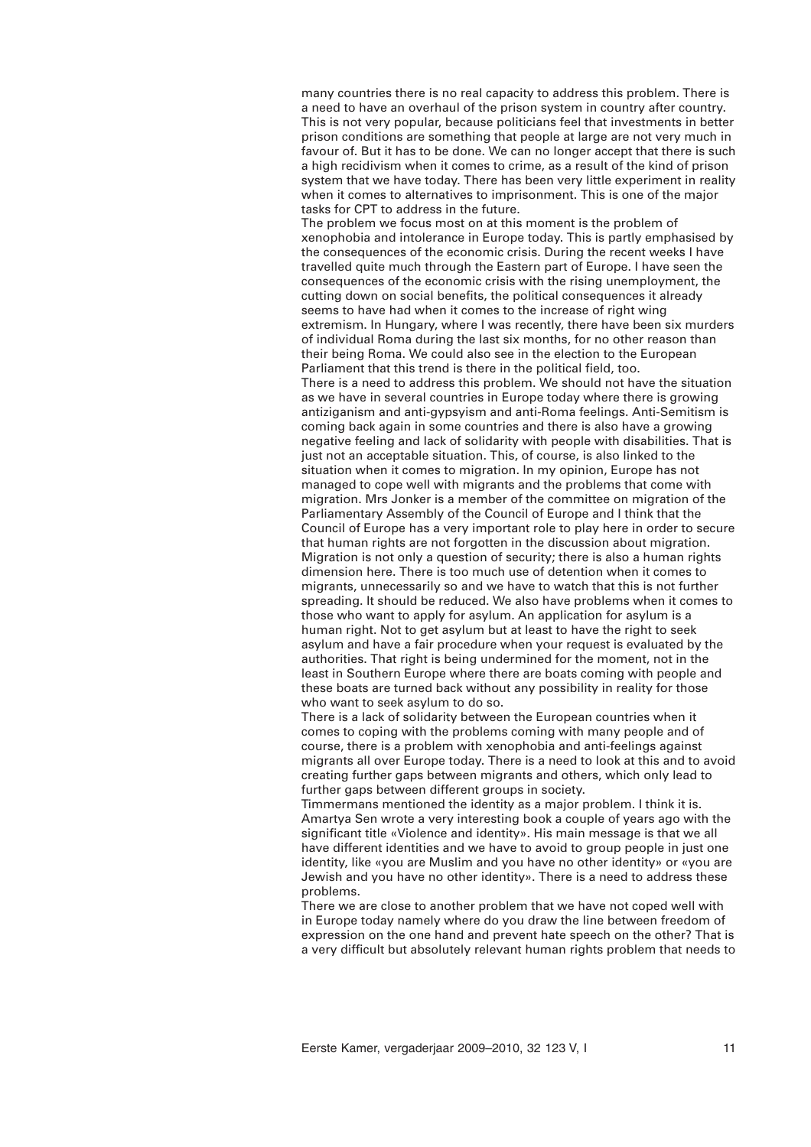many countries there is no real capacity to address this problem. There is a need to have an overhaul of the prison system in country after country. This is not very popular, because politicians feel that investments in better prison conditions are something that people at large are not very much in favour of. But it has to be done. We can no longer accept that there is such a high recidivism when it comes to crime, as a result of the kind of prison system that we have today. There has been very little experiment in reality when it comes to alternatives to imprisonment. This is one of the major tasks for CPT to address in the future.

The problem we focus most on at this moment is the problem of xenophobia and intolerance in Europe today. This is partly emphasised by the consequences of the economic crisis. During the recent weeks I have travelled quite much through the Eastern part of Europe. I have seen the consequences of the economic crisis with the rising unemployment, the cutting down on social benefits, the political consequences it already seems to have had when it comes to the increase of right wing extremism. In Hungary, where I was recently, there have been six murders of individual Roma during the last six months, for no other reason than their being Roma. We could also see in the election to the European Parliament that this trend is there in the political field, too.

There is a need to address this problem. We should not have the situation as we have in several countries in Europe today where there is growing antiziganism and anti-gypsyism and anti-Roma feelings. Anti-Semitism is coming back again in some countries and there is also have a growing negative feeling and lack of solidarity with people with disabilities. That is just not an acceptable situation. This, of course, is also linked to the situation when it comes to migration. In my opinion, Europe has not managed to cope well with migrants and the problems that come with migration. Mrs Jonker is a member of the committee on migration of the Parliamentary Assembly of the Council of Europe and I think that the Council of Europe has a very important role to play here in order to secure that human rights are not forgotten in the discussion about migration. Migration is not only a question of security; there is also a human rights dimension here. There is too much use of detention when it comes to migrants, unnecessarily so and we have to watch that this is not further spreading. It should be reduced. We also have problems when it comes to those who want to apply for asylum. An application for asylum is a human right. Not to get asylum but at least to have the right to seek asylum and have a fair procedure when your request is evaluated by the authorities. That right is being undermined for the moment, not in the least in Southern Europe where there are boats coming with people and these boats are turned back without any possibility in reality for those who want to seek asylum to do so.

There is a lack of solidarity between the European countries when it comes to coping with the problems coming with many people and of course, there is a problem with xenophobia and anti-feelings against migrants all over Europe today. There is a need to look at this and to avoid creating further gaps between migrants and others, which only lead to further gaps between different groups in society.

Timmermans mentioned the identity as a major problem. I think it is. Amartya Sen wrote a very interesting book a couple of years ago with the significant title «Violence and identity». His main message is that we all have different identities and we have to avoid to group people in just one identity, like «you are Muslim and you have no other identity» or «you are Jewish and you have no other identity». There is a need to address these problems.

There we are close to another problem that we have not coped well with in Europe today namely where do you draw the line between freedom of expression on the one hand and prevent hate speech on the other? That is a very difficult but absolutely relevant human rights problem that needs to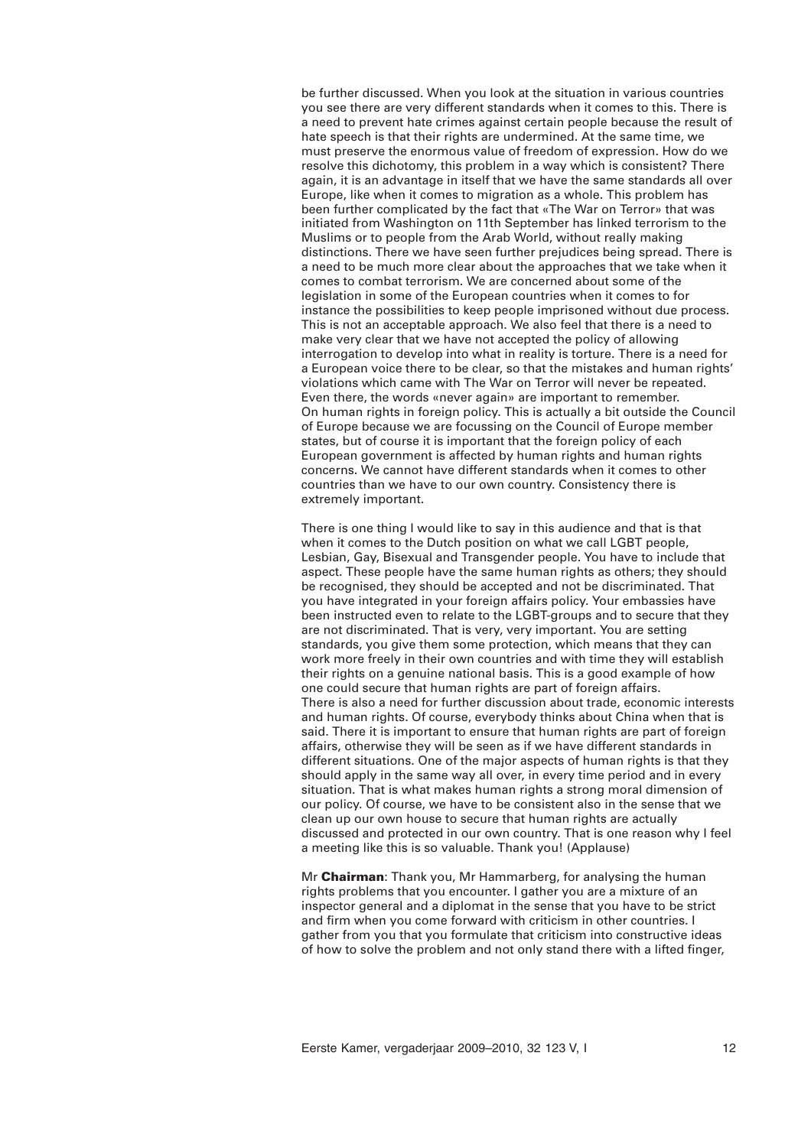be further discussed. When you look at the situation in various countries you see there are very different standards when it comes to this. There is a need to prevent hate crimes against certain people because the result of hate speech is that their rights are undermined. At the same time, we must preserve the enormous value of freedom of expression. How do we resolve this dichotomy, this problem in a way which is consistent? There again, it is an advantage in itself that we have the same standards all over Europe, like when it comes to migration as a whole. This problem has been further complicated by the fact that «The War on Terror» that was initiated from Washington on 11th September has linked terrorism to the Muslims or to people from the Arab World, without really making distinctions. There we have seen further prejudices being spread. There is a need to be much more clear about the approaches that we take when it comes to combat terrorism. We are concerned about some of the legislation in some of the European countries when it comes to for instance the possibilities to keep people imprisoned without due process. This is not an acceptable approach. We also feel that there is a need to make very clear that we have not accepted the policy of allowing interrogation to develop into what in reality is torture. There is a need for a European voice there to be clear, so that the mistakes and human rights' violations which came with The War on Terror will never be repeated. Even there, the words «never again» are important to remember. On human rights in foreign policy. This is actually a bit outside the Council of Europe because we are focussing on the Council of Europe member states, but of course it is important that the foreign policy of each European government is affected by human rights and human rights concerns. We cannot have different standards when it comes to other countries than we have to our own country. Consistency there is extremely important.

There is one thing I would like to say in this audience and that is that when it comes to the Dutch position on what we call LGBT people, Lesbian, Gay, Bisexual and Transgender people. You have to include that aspect. These people have the same human rights as others; they should be recognised, they should be accepted and not be discriminated. That you have integrated in your foreign affairs policy. Your embassies have been instructed even to relate to the LGBT-groups and to secure that they are not discriminated. That is very, very important. You are setting standards, you give them some protection, which means that they can work more freely in their own countries and with time they will establish their rights on a genuine national basis. This is a good example of how one could secure that human rights are part of foreign affairs. There is also a need for further discussion about trade, economic interests and human rights. Of course, everybody thinks about China when that is said. There it is important to ensure that human rights are part of foreign affairs, otherwise they will be seen as if we have different standards in different situations. One of the major aspects of human rights is that they should apply in the same way all over, in every time period and in every situation. That is what makes human rights a strong moral dimension of our policy. Of course, we have to be consistent also in the sense that we clean up our own house to secure that human rights are actually discussed and protected in our own country. That is one reason why I feel a meeting like this is so valuable. Thank you! (Applause)

Mr **Chairman**: Thank you, Mr Hammarberg, for analysing the human rights problems that you encounter. I gather you are a mixture of an inspector general and a diplomat in the sense that you have to be strict and firm when you come forward with criticism in other countries. I gather from you that you formulate that criticism into constructive ideas of how to solve the problem and not only stand there with a lifted finger,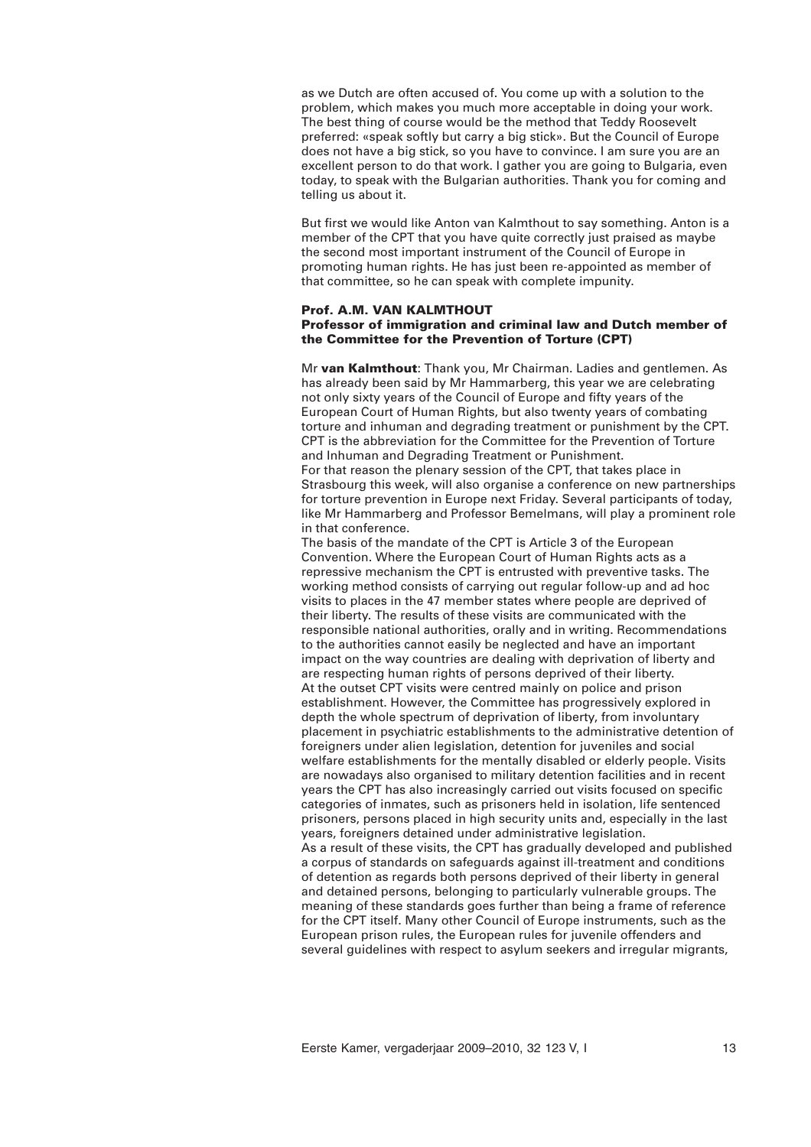as we Dutch are often accused of. You come up with a solution to the problem, which makes you much more acceptable in doing your work. The best thing of course would be the method that Teddy Roosevelt preferred: «speak softly but carry a big stick». But the Council of Europe does not have a big stick, so you have to convince. I am sure you are an excellent person to do that work. I gather you are going to Bulgaria, even today, to speak with the Bulgarian authorities. Thank you for coming and telling us about it.

But first we would like Anton van Kalmthout to say something. Anton is a member of the CPT that you have quite correctly just praised as maybe the second most important instrument of the Council of Europe in promoting human rights. He has just been re-appointed as member of that committee, so he can speak with complete impunity.

#### **Prof. A.M. VAN KALMTHOUT**

# **Professor of immigration and criminal law and Dutch member of the Committee for the Prevention of Torture (CPT)**

Mr **van Kalmthout**: Thank you, Mr Chairman. Ladies and gentlemen. As has already been said by Mr Hammarberg, this year we are celebrating not only sixty years of the Council of Europe and fifty years of the European Court of Human Rights, but also twenty years of combating torture and inhuman and degrading treatment or punishment by the CPT. CPT is the abbreviation for the Committee for the Prevention of Torture and Inhuman and Degrading Treatment or Punishment.

For that reason the plenary session of the CPT, that takes place in Strasbourg this week, will also organise a conference on new partnerships for torture prevention in Europe next Friday. Several participants of today, like Mr Hammarberg and Professor Bemelmans, will play a prominent role in that conference.

The basis of the mandate of the CPT is Article 3 of the European Convention. Where the European Court of Human Rights acts as a repressive mechanism the CPT is entrusted with preventive tasks. The working method consists of carrying out regular follow-up and ad hoc visits to places in the 47 member states where people are deprived of their liberty. The results of these visits are communicated with the responsible national authorities, orally and in writing. Recommendations to the authorities cannot easily be neglected and have an important impact on the way countries are dealing with deprivation of liberty and are respecting human rights of persons deprived of their liberty. At the outset CPT visits were centred mainly on police and prison establishment. However, the Committee has progressively explored in depth the whole spectrum of deprivation of liberty, from involuntary placement in psychiatric establishments to the administrative detention of foreigners under alien legislation, detention for juveniles and social welfare establishments for the mentally disabled or elderly people. Visits are nowadays also organised to military detention facilities and in recent years the CPT has also increasingly carried out visits focused on specific categories of inmates, such as prisoners held in isolation, life sentenced prisoners, persons placed in high security units and, especially in the last years, foreigners detained under administrative legislation. As a result of these visits, the CPT has gradually developed and published a corpus of standards on safeguards against ill-treatment and conditions of detention as regards both persons deprived of their liberty in general and detained persons, belonging to particularly vulnerable groups. The meaning of these standards goes further than being a frame of reference for the CPT itself. Many other Council of Europe instruments, such as the European prison rules, the European rules for juvenile offenders and several guidelines with respect to asylum seekers and irregular migrants,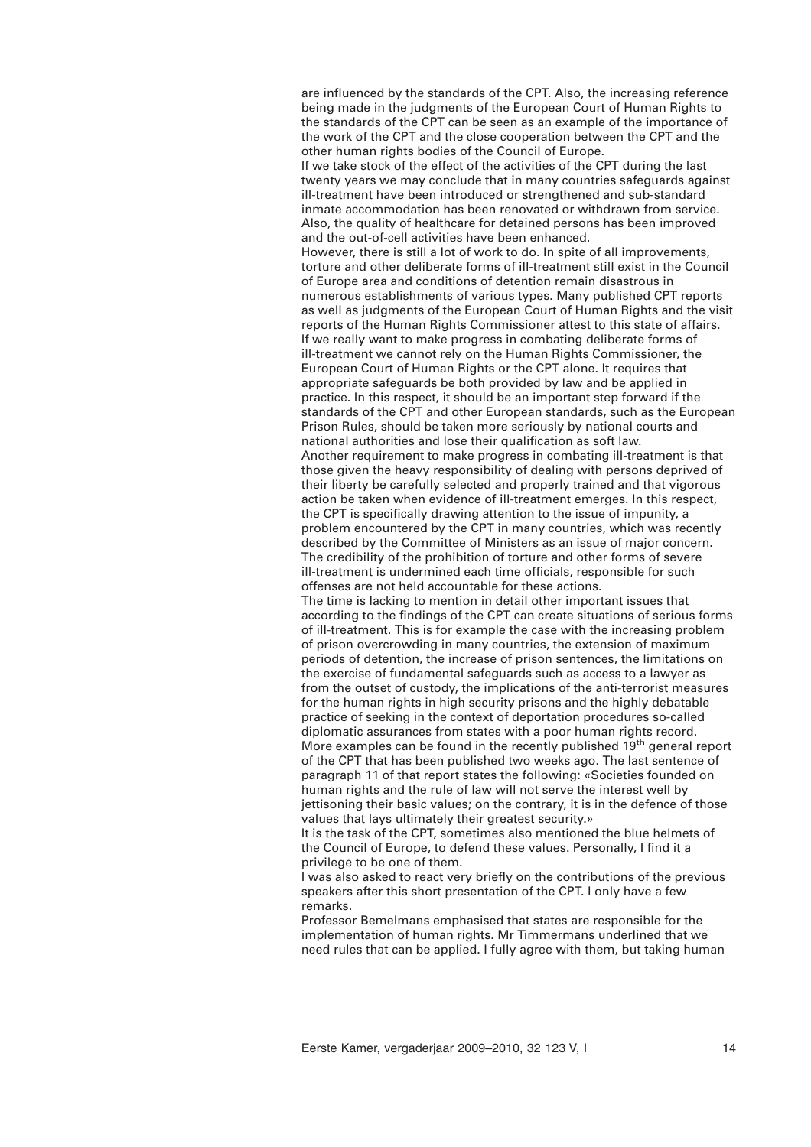are influenced by the standards of the CPT. Also, the increasing reference being made in the judgments of the European Court of Human Rights to the standards of the CPT can be seen as an example of the importance of the work of the CPT and the close cooperation between the CPT and the other human rights bodies of the Council of Europe.

If we take stock of the effect of the activities of the CPT during the last twenty years we may conclude that in many countries safeguards against ill-treatment have been introduced or strengthened and sub-standard inmate accommodation has been renovated or withdrawn from service. Also, the quality of healthcare for detained persons has been improved and the out-of-cell activities have been enhanced.

However, there is still a lot of work to do. In spite of all improvements, torture and other deliberate forms of ill-treatment still exist in the Council of Europe area and conditions of detention remain disastrous in numerous establishments of various types. Many published CPT reports as well as judgments of the European Court of Human Rights and the visit reports of the Human Rights Commissioner attest to this state of affairs. If we really want to make progress in combating deliberate forms of ill-treatment we cannot rely on the Human Rights Commissioner, the European Court of Human Rights or the CPT alone. It requires that appropriate safeguards be both provided by law and be applied in practice. In this respect, it should be an important step forward if the standards of the CPT and other European standards, such as the European Prison Rules, should be taken more seriously by national courts and national authorities and lose their qualification as soft law. Another requirement to make progress in combating ill-treatment is that

those given the heavy responsibility of dealing with persons deprived of their liberty be carefully selected and properly trained and that vigorous action be taken when evidence of ill-treatment emerges. In this respect, the CPT is specifically drawing attention to the issue of impunity, a problem encountered by the CPT in many countries, which was recently described by the Committee of Ministers as an issue of major concern. The credibility of the prohibition of torture and other forms of severe ill-treatment is undermined each time officials, responsible for such offenses are not held accountable for these actions.

The time is lacking to mention in detail other important issues that according to the findings of the CPT can create situations of serious forms of ill-treatment. This is for example the case with the increasing problem of prison overcrowding in many countries, the extension of maximum periods of detention, the increase of prison sentences, the limitations on the exercise of fundamental safeguards such as access to a lawyer as from the outset of custody, the implications of the anti-terrorist measures for the human rights in high security prisons and the highly debatable practice of seeking in the context of deportation procedures so-called diplomatic assurances from states with a poor human rights record. More examples can be found in the recently published 19<sup>th</sup> general report of the CPT that has been published two weeks ago. The last sentence of paragraph 11 of that report states the following: «Societies founded on human rights and the rule of law will not serve the interest well by jettisoning their basic values; on the contrary, it is in the defence of those values that lays ultimately their greatest security.»

It is the task of the CPT, sometimes also mentioned the blue helmets of the Council of Europe, to defend these values. Personally, I find it a privilege to be one of them.

I was also asked to react very briefly on the contributions of the previous speakers after this short presentation of the CPT. I only have a few remarks.

Professor Bemelmans emphasised that states are responsible for the implementation of human rights. Mr Timmermans underlined that we need rules that can be applied. I fully agree with them, but taking human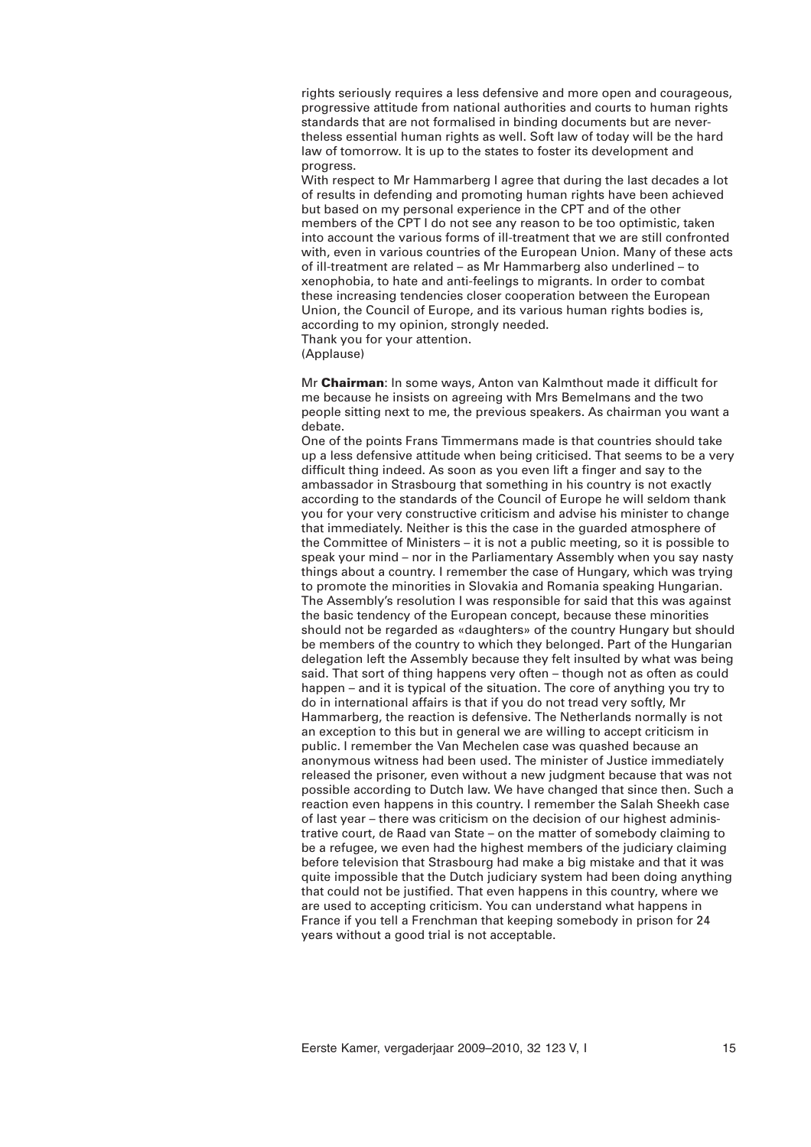rights seriously requires a less defensive and more open and courageous, progressive attitude from national authorities and courts to human rights standards that are not formalised in binding documents but are nevertheless essential human rights as well. Soft law of today will be the hard law of tomorrow. It is up to the states to foster its development and progress.

With respect to Mr Hammarberg I agree that during the last decades a lot of results in defending and promoting human rights have been achieved but based on my personal experience in the CPT and of the other members of the CPT I do not see any reason to be too optimistic, taken into account the various forms of ill-treatment that we are still confronted with, even in various countries of the European Union. Many of these acts of ill-treatment are related – as Mr Hammarberg also underlined – to xenophobia, to hate and anti-feelings to migrants. In order to combat these increasing tendencies closer cooperation between the European Union, the Council of Europe, and its various human rights bodies is, according to my opinion, strongly needed.

Thank you for your attention.

(Applause)

Mr **Chairman**: In some ways, Anton van Kalmthout made it difficult for me because he insists on agreeing with Mrs Bemelmans and the two people sitting next to me, the previous speakers. As chairman you want a debate.

One of the points Frans Timmermans made is that countries should take up a less defensive attitude when being criticised. That seems to be a very difficult thing indeed. As soon as you even lift a finger and say to the ambassador in Strasbourg that something in his country is not exactly according to the standards of the Council of Europe he will seldom thank you for your very constructive criticism and advise his minister to change that immediately. Neither is this the case in the guarded atmosphere of the Committee of Ministers – it is not a public meeting, so it is possible to speak your mind – nor in the Parliamentary Assembly when you say nasty things about a country. I remember the case of Hungary, which was trying to promote the minorities in Slovakia and Romania speaking Hungarian. The Assembly's resolution I was responsible for said that this was against the basic tendency of the European concept, because these minorities should not be regarded as «daughters» of the country Hungary but should be members of the country to which they belonged. Part of the Hungarian delegation left the Assembly because they felt insulted by what was being said. That sort of thing happens very often – though not as often as could happen – and it is typical of the situation. The core of anything you try to do in international affairs is that if you do not tread very softly, Mr Hammarberg, the reaction is defensive. The Netherlands normally is not an exception to this but in general we are willing to accept criticism in public. I remember the Van Mechelen case was quashed because an anonymous witness had been used. The minister of Justice immediately released the prisoner, even without a new judgment because that was not possible according to Dutch law. We have changed that since then. Such a reaction even happens in this country. I remember the Salah Sheekh case of last year – there was criticism on the decision of our highest administrative court, de Raad van State – on the matter of somebody claiming to be a refugee, we even had the highest members of the judiciary claiming before television that Strasbourg had make a big mistake and that it was quite impossible that the Dutch judiciary system had been doing anything that could not be justified. That even happens in this country, where we are used to accepting criticism. You can understand what happens in France if you tell a Frenchman that keeping somebody in prison for 24 years without a good trial is not acceptable.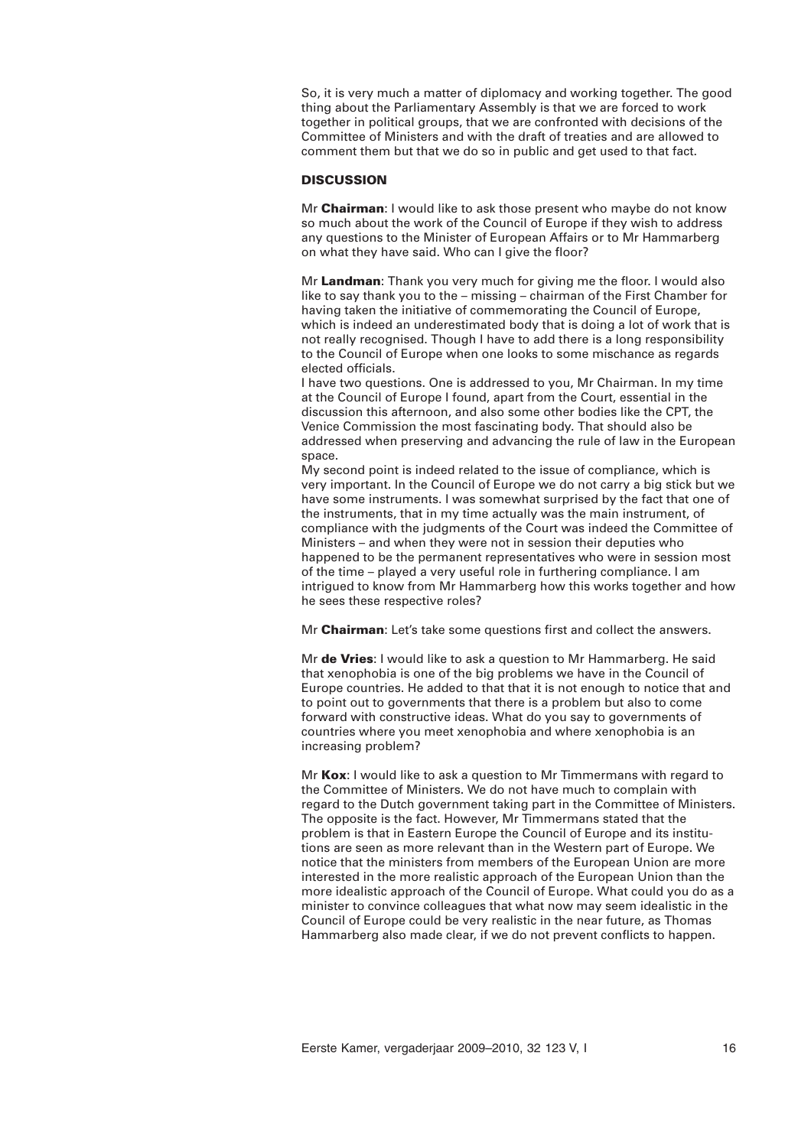So, it is very much a matter of diplomacy and working together. The good thing about the Parliamentary Assembly is that we are forced to work together in political groups, that we are confronted with decisions of the Committee of Ministers and with the draft of treaties and are allowed to comment them but that we do so in public and get used to that fact.

# **DISCUSSION**

Mr **Chairman**: I would like to ask those present who maybe do not know so much about the work of the Council of Europe if they wish to address any questions to the Minister of European Affairs or to Mr Hammarberg on what they have said. Who can I give the floor?

Mr **Landman**: Thank you very much for giving me the floor. I would also like to say thank you to the – missing – chairman of the First Chamber for having taken the initiative of commemorating the Council of Europe, which is indeed an underestimated body that is doing a lot of work that is not really recognised. Though I have to add there is a long responsibility to the Council of Europe when one looks to some mischance as regards elected officials.

I have two questions. One is addressed to you, Mr Chairman. In my time at the Council of Europe I found, apart from the Court, essential in the discussion this afternoon, and also some other bodies like the CPT, the Venice Commission the most fascinating body. That should also be addressed when preserving and advancing the rule of law in the European space.

My second point is indeed related to the issue of compliance, which is very important. In the Council of Europe we do not carry a big stick but we have some instruments. I was somewhat surprised by the fact that one of the instruments, that in my time actually was the main instrument, of compliance with the judgments of the Court was indeed the Committee of Ministers – and when they were not in session their deputies who happened to be the permanent representatives who were in session most of the time – played a very useful role in furthering compliance. I am intrigued to know from Mr Hammarberg how this works together and how he sees these respective roles?

Mr **Chairman**: Let's take some questions first and collect the answers.

Mr **de Vries**: I would like to ask a question to Mr Hammarberg. He said that xenophobia is one of the big problems we have in the Council of Europe countries. He added to that that it is not enough to notice that and to point out to governments that there is a problem but also to come forward with constructive ideas. What do you say to governments of countries where you meet xenophobia and where xenophobia is an increasing problem?

Mr **Kox**: I would like to ask a question to Mr Timmermans with regard to the Committee of Ministers. We do not have much to complain with regard to the Dutch government taking part in the Committee of Ministers. The opposite is the fact. However, Mr Timmermans stated that the problem is that in Eastern Europe the Council of Europe and its institutions are seen as more relevant than in the Western part of Europe. We notice that the ministers from members of the European Union are more interested in the more realistic approach of the European Union than the more idealistic approach of the Council of Europe. What could you do as a minister to convince colleagues that what now may seem idealistic in the Council of Europe could be very realistic in the near future, as Thomas Hammarberg also made clear, if we do not prevent conflicts to happen.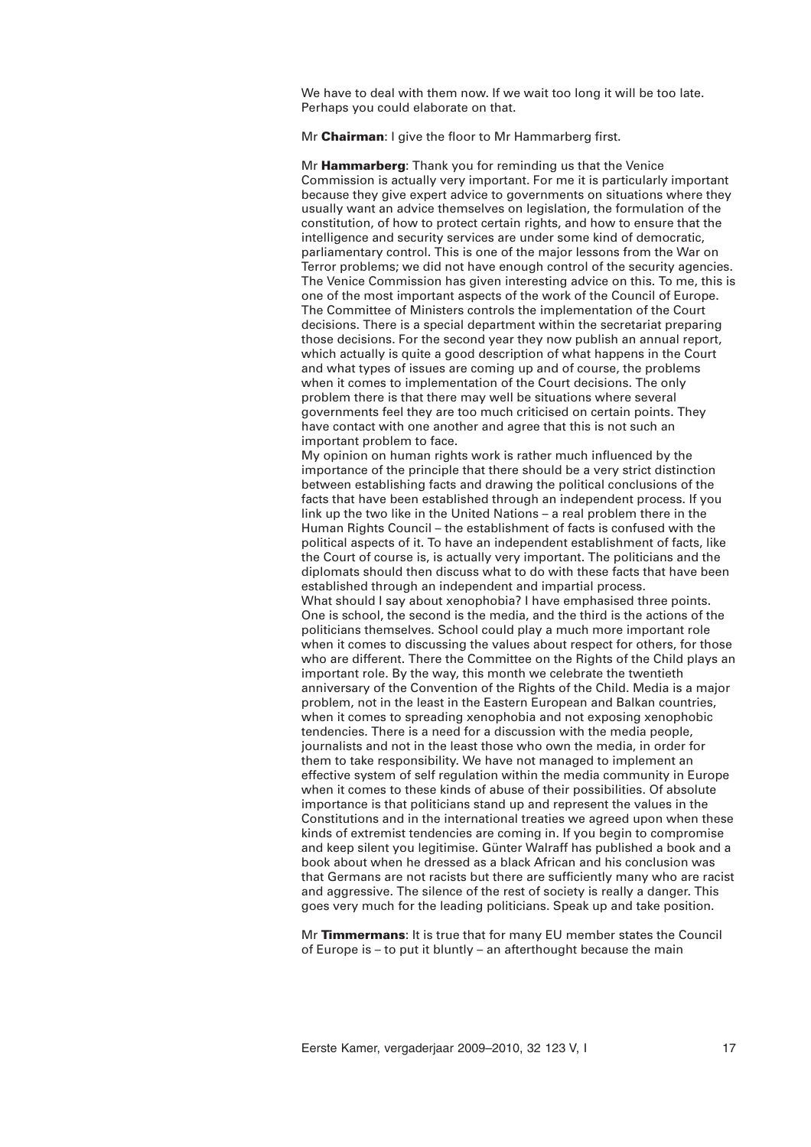We have to deal with them now. If we wait too long it will be too late. Perhaps you could elaborate on that.

Mr **Chairman**: I give the floor to Mr Hammarberg first.

Mr **Hammarberg**: Thank you for reminding us that the Venice Commission is actually very important. For me it is particularly important because they give expert advice to governments on situations where they usually want an advice themselves on legislation, the formulation of the constitution, of how to protect certain rights, and how to ensure that the intelligence and security services are under some kind of democratic, parliamentary control. This is one of the major lessons from the War on Terror problems; we did not have enough control of the security agencies. The Venice Commission has given interesting advice on this. To me, this is one of the most important aspects of the work of the Council of Europe. The Committee of Ministers controls the implementation of the Court decisions. There is a special department within the secretariat preparing those decisions. For the second year they now publish an annual report, which actually is quite a good description of what happens in the Court and what types of issues are coming up and of course, the problems when it comes to implementation of the Court decisions. The only problem there is that there may well be situations where several governments feel they are too much criticised on certain points. They have contact with one another and agree that this is not such an important problem to face.

My opinion on human rights work is rather much influenced by the importance of the principle that there should be a very strict distinction between establishing facts and drawing the political conclusions of the facts that have been established through an independent process. If you link up the two like in the United Nations – a real problem there in the Human Rights Council – the establishment of facts is confused with the political aspects of it. To have an independent establishment of facts, like the Court of course is, is actually very important. The politicians and the diplomats should then discuss what to do with these facts that have been established through an independent and impartial process. What should I say about xenophobia? I have emphasised three points. One is school, the second is the media, and the third is the actions of the politicians themselves. School could play a much more important role when it comes to discussing the values about respect for others, for those who are different. There the Committee on the Rights of the Child plays an important role. By the way, this month we celebrate the twentieth anniversary of the Convention of the Rights of the Child. Media is a major problem, not in the least in the Eastern European and Balkan countries, when it comes to spreading xenophobia and not exposing xenophobic tendencies. There is a need for a discussion with the media people, journalists and not in the least those who own the media, in order for them to take responsibility. We have not managed to implement an effective system of self regulation within the media community in Europe when it comes to these kinds of abuse of their possibilities. Of absolute importance is that politicians stand up and represent the values in the Constitutions and in the international treaties we agreed upon when these kinds of extremist tendencies are coming in. If you begin to compromise and keep silent you legitimise. Günter Walraff has published a book and a book about when he dressed as a black African and his conclusion was that Germans are not racists but there are sufficiently many who are racist and aggressive. The silence of the rest of society is really a danger. This goes very much for the leading politicians. Speak up and take position.

Mr **Timmermans**: It is true that for many EU member states the Council of Europe is – to put it bluntly – an afterthought because the main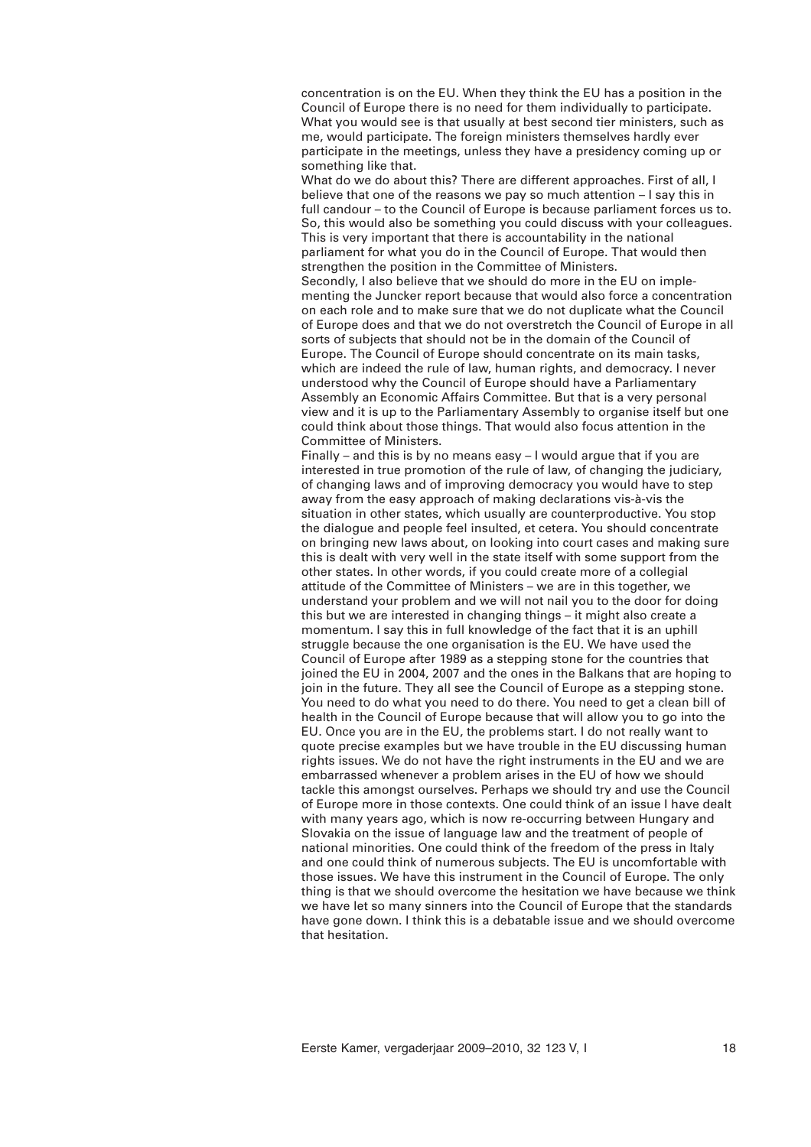concentration is on the EU. When they think the EU has a position in the Council of Europe there is no need for them individually to participate. What you would see is that usually at best second tier ministers, such as me, would participate. The foreign ministers themselves hardly ever participate in the meetings, unless they have a presidency coming up or something like that.

What do we do about this? There are different approaches. First of all, I believe that one of the reasons we pay so much attention – I say this in full candour – to the Council of Europe is because parliament forces us to. So, this would also be something you could discuss with your colleagues. This is very important that there is accountability in the national parliament for what you do in the Council of Europe. That would then strengthen the position in the Committee of Ministers. Secondly, I also believe that we should do more in the EU on implementing the Juncker report because that would also force a concentration on each role and to make sure that we do not duplicate what the Council of Europe does and that we do not overstretch the Council of Europe in all sorts of subjects that should not be in the domain of the Council of Europe. The Council of Europe should concentrate on its main tasks, which are indeed the rule of law, human rights, and democracy. I never understood why the Council of Europe should have a Parliamentary Assembly an Economic Affairs Committee. But that is a very personal view and it is up to the Parliamentary Assembly to organise itself but one could think about those things. That would also focus attention in the Committee of Ministers.

Finally – and this is by no means easy – I would argue that if you are interested in true promotion of the rule of law, of changing the judiciary, of changing laws and of improving democracy you would have to step away from the easy approach of making declarations vis-à-vis the situation in other states, which usually are counterproductive. You stop the dialogue and people feel insulted, et cetera. You should concentrate on bringing new laws about, on looking into court cases and making sure this is dealt with very well in the state itself with some support from the other states. In other words, if you could create more of a collegial attitude of the Committee of Ministers – we are in this together, we understand your problem and we will not nail you to the door for doing this but we are interested in changing things – it might also create a momentum. I say this in full knowledge of the fact that it is an uphill struggle because the one organisation is the EU. We have used the Council of Europe after 1989 as a stepping stone for the countries that joined the EU in 2004, 2007 and the ones in the Balkans that are hoping to join in the future. They all see the Council of Europe as a stepping stone. You need to do what you need to do there. You need to get a clean bill of health in the Council of Europe because that will allow you to go into the EU. Once you are in the EU, the problems start. I do not really want to quote precise examples but we have trouble in the EU discussing human rights issues. We do not have the right instruments in the EU and we are embarrassed whenever a problem arises in the EU of how we should tackle this amongst ourselves. Perhaps we should try and use the Council of Europe more in those contexts. One could think of an issue I have dealt with many years ago, which is now re-occurring between Hungary and Slovakia on the issue of language law and the treatment of people of national minorities. One could think of the freedom of the press in Italy and one could think of numerous subjects. The EU is uncomfortable with those issues. We have this instrument in the Council of Europe. The only thing is that we should overcome the hesitation we have because we think we have let so many sinners into the Council of Europe that the standards have gone down. I think this is a debatable issue and we should overcome that hesitation.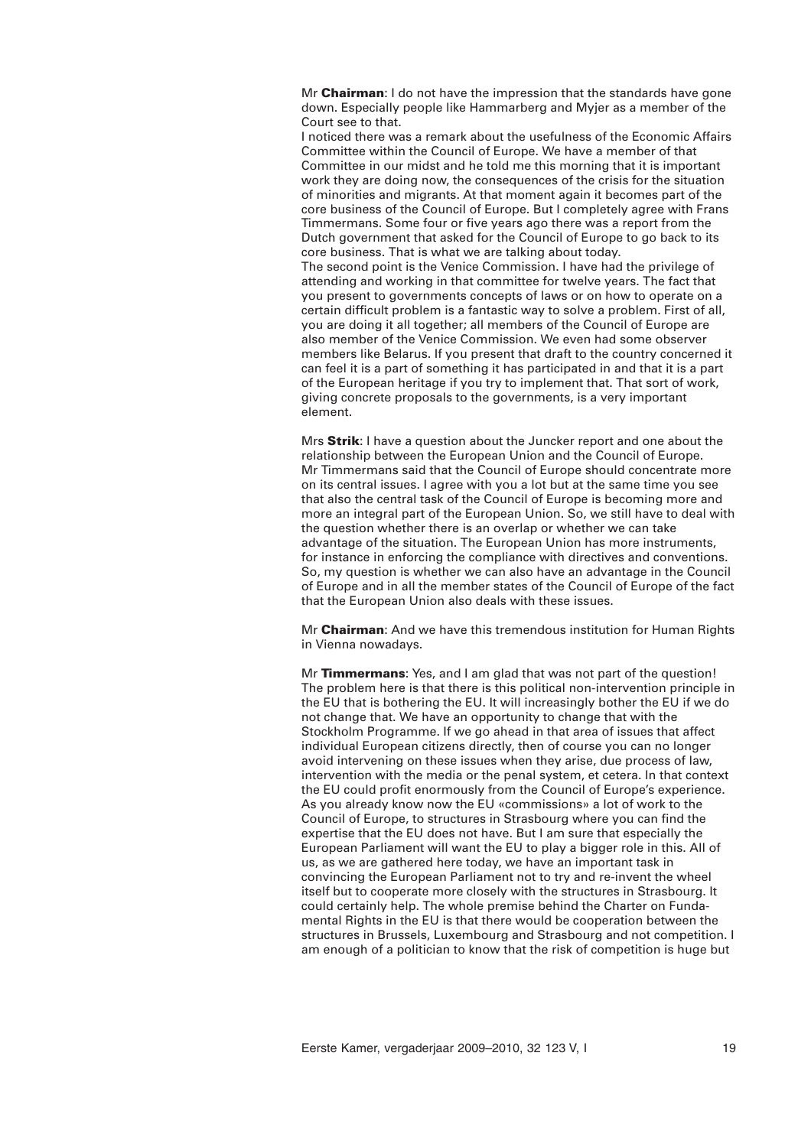Mr **Chairman**: I do not have the impression that the standards have gone down. Especially people like Hammarberg and Myjer as a member of the Court see to that.

I noticed there was a remark about the usefulness of the Economic Affairs Committee within the Council of Europe. We have a member of that Committee in our midst and he told me this morning that it is important work they are doing now, the consequences of the crisis for the situation of minorities and migrants. At that moment again it becomes part of the core business of the Council of Europe. But I completely agree with Frans Timmermans. Some four or five years ago there was a report from the Dutch government that asked for the Council of Europe to go back to its core business. That is what we are talking about today. The second point is the Venice Commission. I have had the privilege of attending and working in that committee for twelve years. The fact that you present to governments concepts of laws or on how to operate on a certain difficult problem is a fantastic way to solve a problem. First of all, you are doing it all together; all members of the Council of Europe are also member of the Venice Commission. We even had some observer members like Belarus. If you present that draft to the country concerned it can feel it is a part of something it has participated in and that it is a part of the European heritage if you try to implement that. That sort of work, giving concrete proposals to the governments, is a very important element.

Mrs **Strik**: I have a question about the Juncker report and one about the relationship between the European Union and the Council of Europe. Mr Timmermans said that the Council of Europe should concentrate more on its central issues. I agree with you a lot but at the same time you see that also the central task of the Council of Europe is becoming more and more an integral part of the European Union. So, we still have to deal with the question whether there is an overlap or whether we can take advantage of the situation. The European Union has more instruments, for instance in enforcing the compliance with directives and conventions. So, my question is whether we can also have an advantage in the Council of Europe and in all the member states of the Council of Europe of the fact that the European Union also deals with these issues.

Mr **Chairman**: And we have this tremendous institution for Human Rights in Vienna nowadays.

Mr **Timmermans**: Yes, and I am glad that was not part of the question! The problem here is that there is this political non-intervention principle in the EU that is bothering the EU. It will increasingly bother the EU if we do not change that. We have an opportunity to change that with the Stockholm Programme. If we go ahead in that area of issues that affect individual European citizens directly, then of course you can no longer avoid intervening on these issues when they arise, due process of law, intervention with the media or the penal system, et cetera. In that context the EU could profit enormously from the Council of Europe's experience. As you already know now the EU «commissions» a lot of work to the Council of Europe, to structures in Strasbourg where you can find the expertise that the EU does not have. But I am sure that especially the European Parliament will want the EU to play a bigger role in this. All of us, as we are gathered here today, we have an important task in convincing the European Parliament not to try and re-invent the wheel itself but to cooperate more closely with the structures in Strasbourg. It could certainly help. The whole premise behind the Charter on Fundamental Rights in the EU is that there would be cooperation between the structures in Brussels, Luxembourg and Strasbourg and not competition. I am enough of a politician to know that the risk of competition is huge but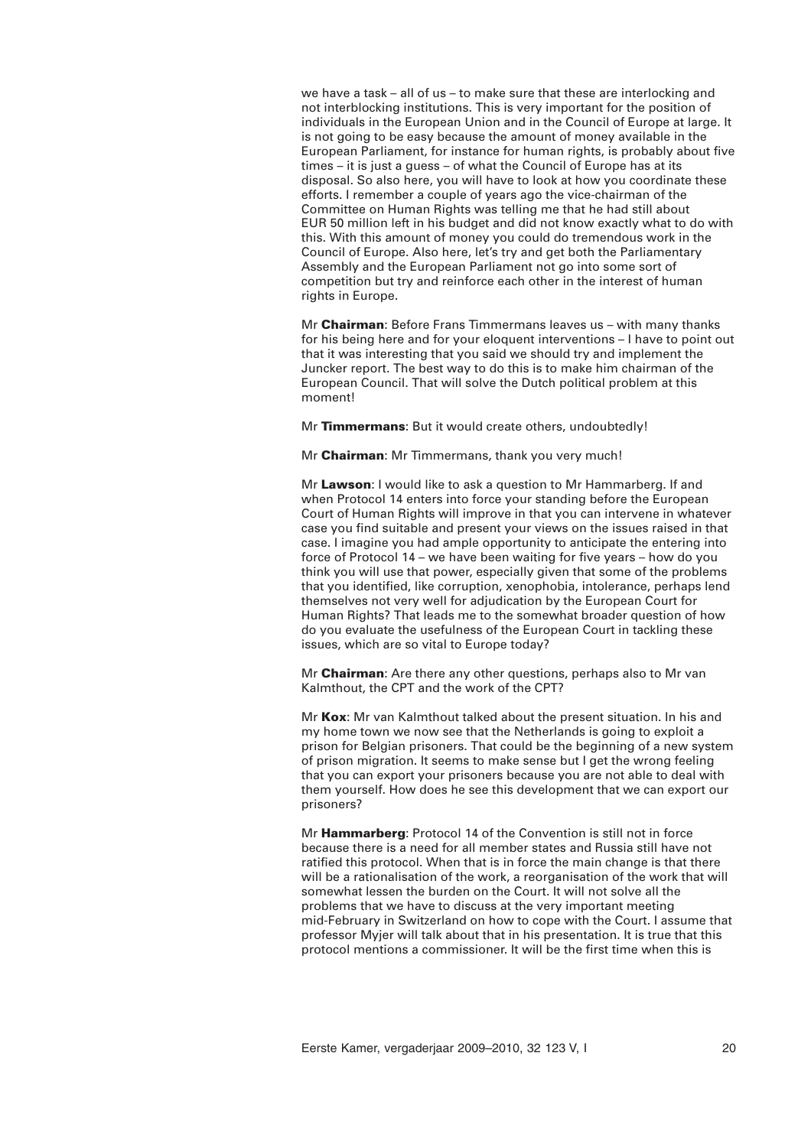we have a task – all of us – to make sure that these are interlocking and not interblocking institutions. This is very important for the position of individuals in the European Union and in the Council of Europe at large. It is not going to be easy because the amount of money available in the European Parliament, for instance for human rights, is probably about five times – it is just a guess – of what the Council of Europe has at its disposal. So also here, you will have to look at how you coordinate these efforts. I remember a couple of years ago the vice-chairman of the Committee on Human Rights was telling me that he had still about EUR 50 million left in his budget and did not know exactly what to do with this. With this amount of money you could do tremendous work in the Council of Europe. Also here, let's try and get both the Parliamentary Assembly and the European Parliament not go into some sort of competition but try and reinforce each other in the interest of human rights in Europe.

Mr **Chairman**: Before Frans Timmermans leaves us – with many thanks for his being here and for your eloquent interventions – I have to point out that it was interesting that you said we should try and implement the Juncker report. The best way to do this is to make him chairman of the European Council. That will solve the Dutch political problem at this moment!

Mr **Timmermans**: But it would create others, undoubtedly!

Mr **Chairman**: Mr Timmermans, thank you very much!

Mr **Lawson**: I would like to ask a question to Mr Hammarberg. If and when Protocol 14 enters into force your standing before the European Court of Human Rights will improve in that you can intervene in whatever case you find suitable and present your views on the issues raised in that case. I imagine you had ample opportunity to anticipate the entering into force of Protocol 14 – we have been waiting for five years – how do you think you will use that power, especially given that some of the problems that you identified, like corruption, xenophobia, intolerance, perhaps lend themselves not very well for adjudication by the European Court for Human Rights? That leads me to the somewhat broader question of how do you evaluate the usefulness of the European Court in tackling these issues, which are so vital to Europe today?

Mr **Chairman**: Are there any other questions, perhaps also to Mr van Kalmthout, the CPT and the work of the CPT?

Mr **Kox**: Mr van Kalmthout talked about the present situation. In his and my home town we now see that the Netherlands is going to exploit a prison for Belgian prisoners. That could be the beginning of a new system of prison migration. It seems to make sense but I get the wrong feeling that you can export your prisoners because you are not able to deal with them yourself. How does he see this development that we can export our prisoners?

Mr **Hammarberg**: Protocol 14 of the Convention is still not in force because there is a need for all member states and Russia still have not ratified this protocol. When that is in force the main change is that there will be a rationalisation of the work, a reorganisation of the work that will somewhat lessen the burden on the Court. It will not solve all the problems that we have to discuss at the very important meeting mid-February in Switzerland on how to cope with the Court. I assume that professor Myjer will talk about that in his presentation. It is true that this protocol mentions a commissioner. It will be the first time when this is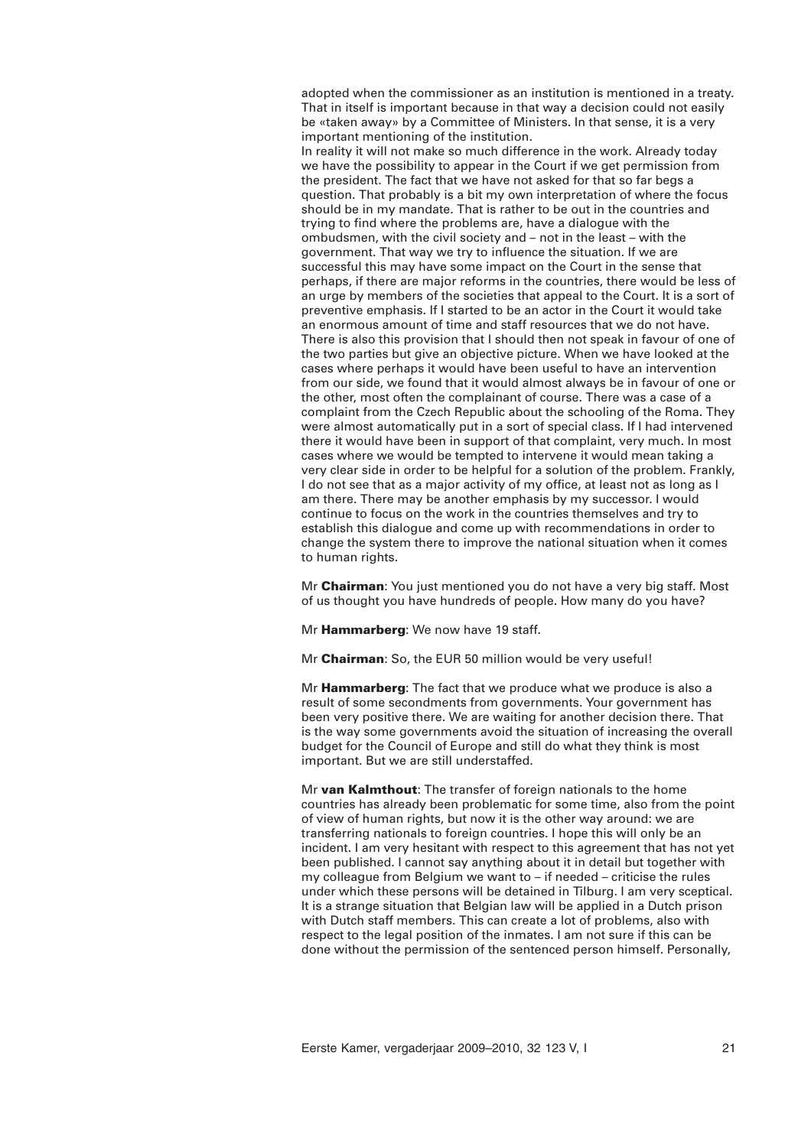adopted when the commissioner as an institution is mentioned in a treaty. That in itself is important because in that way a decision could not easily be «taken away» by a Committee of Ministers. In that sense, it is a very important mentioning of the institution.

In reality it will not make so much difference in the work. Already today we have the possibility to appear in the Court if we get permission from the president. The fact that we have not asked for that so far begs a question. That probably is a bit my own interpretation of where the focus should be in my mandate. That is rather to be out in the countries and trying to find where the problems are, have a dialogue with the ombudsmen, with the civil society and – not in the least – with the government. That way we try to influence the situation. If we are successful this may have some impact on the Court in the sense that perhaps, if there are major reforms in the countries, there would be less of an urge by members of the societies that appeal to the Court. It is a sort of preventive emphasis. If I started to be an actor in the Court it would take an enormous amount of time and staff resources that we do not have. There is also this provision that I should then not speak in favour of one of the two parties but give an objective picture. When we have looked at the cases where perhaps it would have been useful to have an intervention from our side, we found that it would almost always be in favour of one or the other, most often the complainant of course. There was a case of a complaint from the Czech Republic about the schooling of the Roma. They were almost automatically put in a sort of special class. If I had intervened there it would have been in support of that complaint, very much. In most cases where we would be tempted to intervene it would mean taking a very clear side in order to be helpful for a solution of the problem. Frankly, I do not see that as a major activity of my office, at least not as long as I am there. There may be another emphasis by my successor. I would continue to focus on the work in the countries themselves and try to establish this dialogue and come up with recommendations in order to change the system there to improve the national situation when it comes to human rights.

Mr **Chairman**: You just mentioned you do not have a very big staff. Most of us thought you have hundreds of people. How many do you have?

Mr **Hammarberg**: We now have 19 staff.

Mr **Chairman**: So, the EUR 50 million would be very useful!

Mr **Hammarberg**: The fact that we produce what we produce is also a result of some secondments from governments. Your government has been very positive there. We are waiting for another decision there. That is the way some governments avoid the situation of increasing the overall budget for the Council of Europe and still do what they think is most important. But we are still understaffed.

Mr **van Kalmthout**: The transfer of foreign nationals to the home countries has already been problematic for some time, also from the point of view of human rights, but now it is the other way around: we are transferring nationals to foreign countries. I hope this will only be an incident. I am very hesitant with respect to this agreement that has not yet been published. I cannot say anything about it in detail but together with my colleague from Belgium we want to – if needed – criticise the rules under which these persons will be detained in Tilburg. I am very sceptical. It is a strange situation that Belgian law will be applied in a Dutch prison with Dutch staff members. This can create a lot of problems, also with respect to the legal position of the inmates. I am not sure if this can be done without the permission of the sentenced person himself. Personally,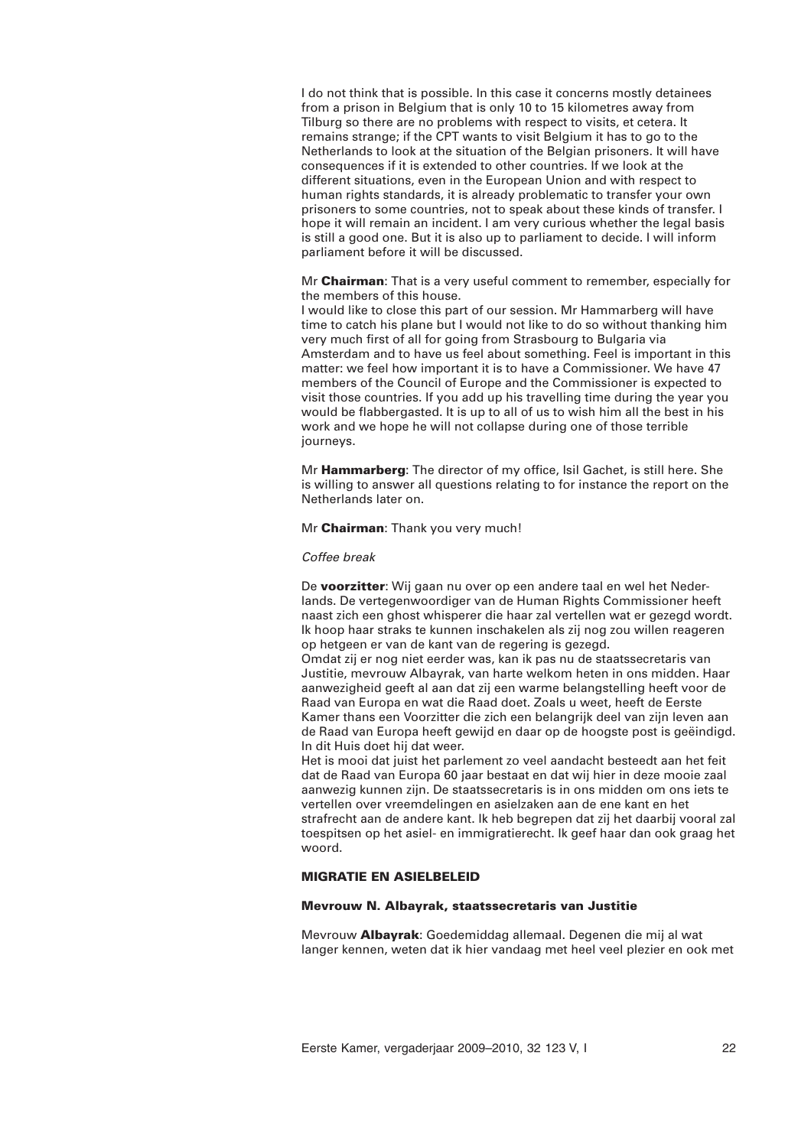I do not think that is possible. In this case it concerns mostly detainees from a prison in Belgium that is only 10 to 15 kilometres away from Tilburg so there are no problems with respect to visits, et cetera. It remains strange; if the CPT wants to visit Belgium it has to go to the Netherlands to look at the situation of the Belgian prisoners. It will have consequences if it is extended to other countries. If we look at the different situations, even in the European Union and with respect to human rights standards, it is already problematic to transfer your own prisoners to some countries, not to speak about these kinds of transfer. I hope it will remain an incident. I am very curious whether the legal basis is still a good one. But it is also up to parliament to decide. I will inform parliament before it will be discussed.

Mr **Chairman**: That is a very useful comment to remember, especially for the members of this house.

I would like to close this part of our session. Mr Hammarberg will have time to catch his plane but I would not like to do so without thanking him very much first of all for going from Strasbourg to Bulgaria via Amsterdam and to have us feel about something. Feel is important in this matter: we feel how important it is to have a Commissioner. We have 47 members of the Council of Europe and the Commissioner is expected to visit those countries. If you add up his travelling time during the year you would be flabbergasted. It is up to all of us to wish him all the best in his work and we hope he will not collapse during one of those terrible journeys.

Mr **Hammarberg**: The director of my office, Isil Gachet, is still here. She is willing to answer all questions relating to for instance the report on the Netherlands later on.

Mr **Chairman**: Thank you very much!

### *Coffee break*

De **voorzitter**: Wij gaan nu over op een andere taal en wel het Nederlands. De vertegenwoordiger van de Human Rights Commissioner heeft naast zich een ghost whisperer die haar zal vertellen wat er gezegd wordt. Ik hoop haar straks te kunnen inschakelen als zij nog zou willen reageren op hetgeen er van de kant van de regering is gezegd.

Omdat zij er nog niet eerder was, kan ik pas nu de staatssecretaris van Justitie, mevrouw Albayrak, van harte welkom heten in ons midden. Haar aanwezigheid geeft al aan dat zij een warme belangstelling heeft voor de Raad van Europa en wat die Raad doet. Zoals u weet, heeft de Eerste Kamer thans een Voorzitter die zich een belangrijk deel van zijn leven aan de Raad van Europa heeft gewijd en daar op de hoogste post is geëindigd. In dit Huis doet hij dat weer.

Het is mooi dat juist het parlement zo veel aandacht besteedt aan het feit dat de Raad van Europa 60 jaar bestaat en dat wij hier in deze mooie zaal aanwezig kunnen zijn. De staatssecretaris is in ons midden om ons iets te vertellen over vreemdelingen en asielzaken aan de ene kant en het strafrecht aan de andere kant. Ik heb begrepen dat zij het daarbij vooral zal toespitsen op het asiel- en immigratierecht. Ik geef haar dan ook graag het woord.

# **MIGRATIE EN ASIELBELEID**

#### **Mevrouw N. Albayrak, staatssecretaris van Justitie**

Mevrouw **Albayrak**: Goedemiddag allemaal. Degenen die mij al wat langer kennen, weten dat ik hier vandaag met heel veel plezier en ook met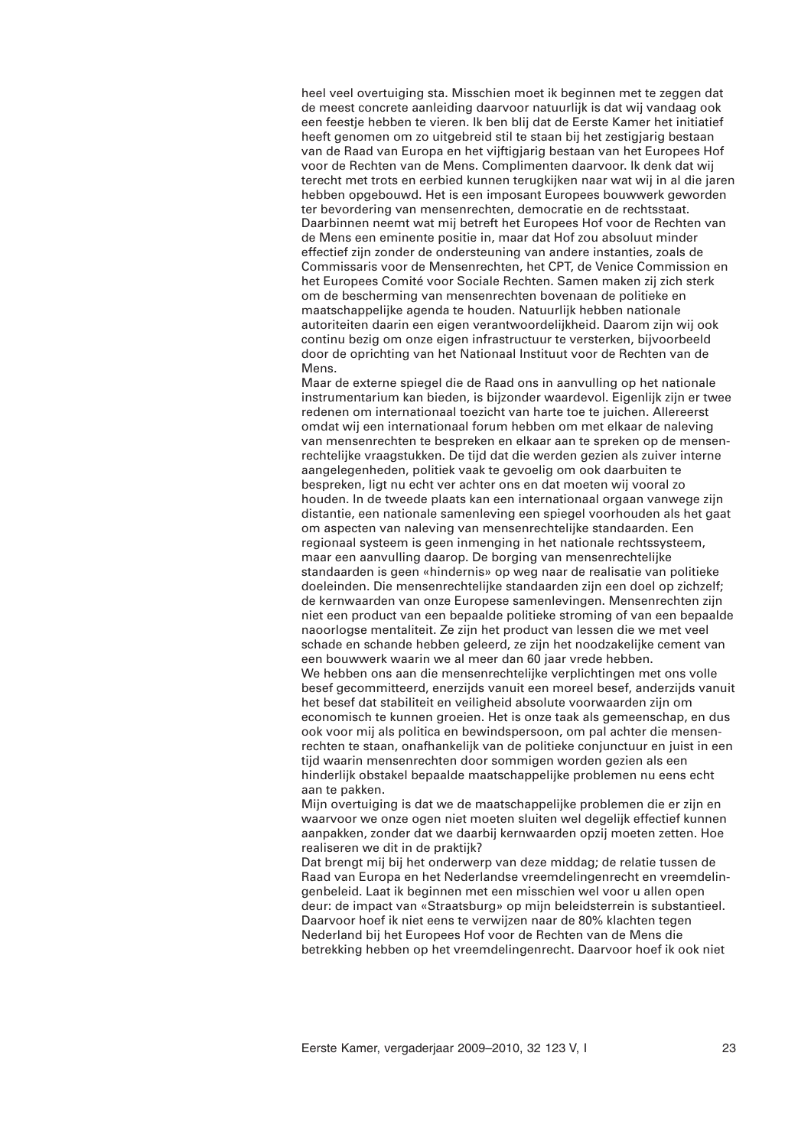heel veel overtuiging sta. Misschien moet ik beginnen met te zeggen dat de meest concrete aanleiding daarvoor natuurlijk is dat wij vandaag ook een feestje hebben te vieren. Ik ben blij dat de Eerste Kamer het initiatief heeft genomen om zo uitgebreid stil te staan bij het zestigjarig bestaan van de Raad van Europa en het vijftigjarig bestaan van het Europees Hof voor de Rechten van de Mens. Complimenten daarvoor. Ik denk dat wij terecht met trots en eerbied kunnen terugkijken naar wat wij in al die jaren hebben opgebouwd. Het is een imposant Europees bouwwerk geworden ter bevordering van mensenrechten, democratie en de rechtsstaat. Daarbinnen neemt wat mij betreft het Europees Hof voor de Rechten van de Mens een eminente positie in, maar dat Hof zou absoluut minder effectief zijn zonder de ondersteuning van andere instanties, zoals de Commissaris voor de Mensenrechten, het CPT, de Venice Commission en het Europees Comité voor Sociale Rechten. Samen maken zij zich sterk om de bescherming van mensenrechten bovenaan de politieke en maatschappelijke agenda te houden. Natuurlijk hebben nationale autoriteiten daarin een eigen verantwoordelijkheid. Daarom zijn wij ook continu bezig om onze eigen infrastructuur te versterken, bijvoorbeeld door de oprichting van het Nationaal Instituut voor de Rechten van de Mens.

Maar de externe spiegel die de Raad ons in aanvulling op het nationale instrumentarium kan bieden, is bijzonder waardevol. Eigenlijk zijn er twee redenen om internationaal toezicht van harte toe te juichen. Allereerst omdat wij een internationaal forum hebben om met elkaar de naleving van mensenrechten te bespreken en elkaar aan te spreken op de mensenrechtelijke vraagstukken. De tijd dat die werden gezien als zuiver interne aangelegenheden, politiek vaak te gevoelig om ook daarbuiten te bespreken, ligt nu echt ver achter ons en dat moeten wij vooral zo houden. In de tweede plaats kan een internationaal orgaan vanwege zijn distantie, een nationale samenleving een spiegel voorhouden als het gaat om aspecten van naleving van mensenrechtelijke standaarden. Een regionaal systeem is geen inmenging in het nationale rechtssysteem, maar een aanvulling daarop. De borging van mensenrechtelijke standaarden is geen «hindernis» op weg naar de realisatie van politieke doeleinden. Die mensenrechtelijke standaarden zijn een doel op zichzelf; de kernwaarden van onze Europese samenlevingen. Mensenrechten zijn niet een product van een bepaalde politieke stroming of van een bepaalde naoorlogse mentaliteit. Ze zijn het product van lessen die we met veel schade en schande hebben geleerd, ze zijn het noodzakelijke cement van een bouwwerk waarin we al meer dan 60 jaar vrede hebben. We hebben ons aan die mensenrechtelijke verplichtingen met ons volle besef gecommitteerd, enerzijds vanuit een moreel besef, anderzijds vanuit het besef dat stabiliteit en veiligheid absolute voorwaarden zijn om economisch te kunnen groeien. Het is onze taak als gemeenschap, en dus ook voor mij als politica en bewindspersoon, om pal achter die mensenrechten te staan, onafhankelijk van de politieke conjunctuur en juist in een tijd waarin mensenrechten door sommigen worden gezien als een hinderlijk obstakel bepaalde maatschappelijke problemen nu eens echt aan te pakken.

Mijn overtuiging is dat we de maatschappelijke problemen die er zijn en waarvoor we onze ogen niet moeten sluiten wel degelijk effectief kunnen aanpakken, zonder dat we daarbij kernwaarden opzij moeten zetten. Hoe realiseren we dit in de praktijk?

Dat brengt mij bij het onderwerp van deze middag; de relatie tussen de Raad van Europa en het Nederlandse vreemdelingenrecht en vreemdelingenbeleid. Laat ik beginnen met een misschien wel voor u allen open deur: de impact van «Straatsburg» op mijn beleidsterrein is substantieel. Daarvoor hoef ik niet eens te verwijzen naar de 80% klachten tegen Nederland bij het Europees Hof voor de Rechten van de Mens die betrekking hebben op het vreemdelingenrecht. Daarvoor hoef ik ook niet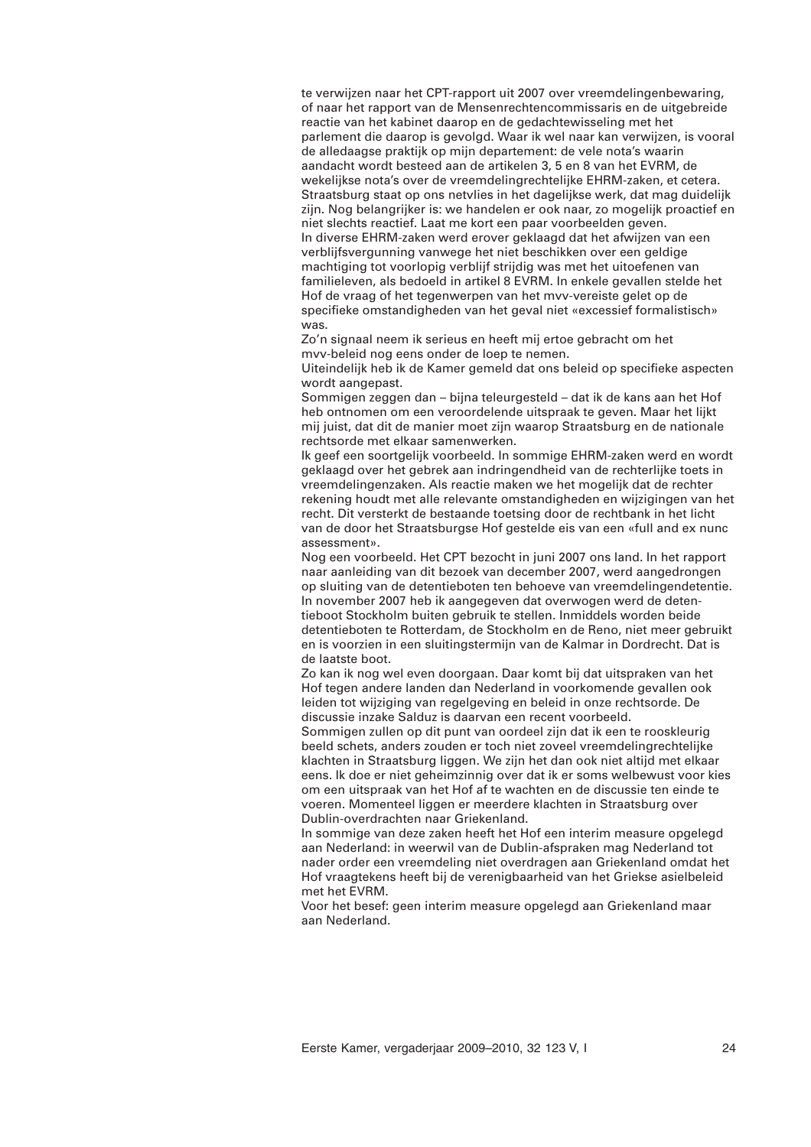te verwijzen naar het CPT-rapport uit 2007 over vreemdelingenbewaring, of naar het rapport van de Mensenrechtencommissaris en de uitgebreide reactie van het kabinet daarop en de gedachtewisseling met het parlement die daarop is gevolgd. Waar ik wel naar kan verwijzen, is vooral de alledaagse praktijk op mijn departement: de vele nota's waarin aandacht wordt besteed aan de artikelen 3, 5 en 8 van het EVRM, de wekelijkse nota's over de vreemdelingrechtelijke EHRM-zaken, et cetera. Straatsburg staat op ons netvlies in het dagelijkse werk, dat mag duidelijk zijn. Nog belangrijker is: we handelen er ook naar, zo mogelijk proactief en niet slechts reactief. Laat me kort een paar voorbeelden geven. In diverse EHRM-zaken werd erover geklaagd dat het afwijzen van een verblijfsvergunning vanwege het niet beschikken over een geldige machtiging tot voorlopig verblijf strijdig was met het uitoefenen van familieleven, als bedoeld in artikel 8 EVRM. In enkele gevallen stelde het Hof de vraag of het tegenwerpen van het mvv-vereiste gelet op de specifieke omstandigheden van het geval niet «excessief formalistisch» was.

Zo'n signaal neem ik serieus en heeft mij ertoe gebracht om het mvv-beleid nog eens onder de loep te nemen.

Uiteindelijk heb ik de Kamer gemeld dat ons beleid op specifieke aspecten wordt aangepast.

Sommigen zeggen dan – bijna teleurgesteld – dat ik de kans aan het Hof heb ontnomen om een veroordelende uitspraak te geven. Maar het lijkt mij juist, dat dit de manier moet zijn waarop Straatsburg en de nationale rechtsorde met elkaar samenwerken.

Ik geef een soortgelijk voorbeeld. In sommige EHRM-zaken werd en wordt geklaagd over het gebrek aan indringendheid van de rechterlijke toets in vreemdelingenzaken. Als reactie maken we het mogelijk dat de rechter rekening houdt met alle relevante omstandigheden en wijzigingen van het recht. Dit versterkt de bestaande toetsing door de rechtbank in het licht van de door het Straatsburgse Hof gestelde eis van een «full and ex nunc assessment».

Nog een voorbeeld. Het CPT bezocht in juni 2007 ons land. In het rapport naar aanleiding van dit bezoek van december 2007, werd aangedrongen op sluiting van de detentieboten ten behoeve van vreemdelingendetentie. In november 2007 heb ik aangegeven dat overwogen werd de detentieboot Stockholm buiten gebruik te stellen. Inmiddels worden beide detentieboten te Rotterdam, de Stockholm en de Reno, niet meer gebruikt en is voorzien in een sluitingstermijn van de Kalmar in Dordrecht. Dat is de laatste boot.

Zo kan ik nog wel even doorgaan. Daar komt bij dat uitspraken van het Hof tegen andere landen dan Nederland in voorkomende gevallen ook leiden tot wijziging van regelgeving en beleid in onze rechtsorde. De discussie inzake Salduz is daarvan een recent voorbeeld.

Sommigen zullen op dit punt van oordeel zijn dat ik een te rooskleurig beeld schets, anders zouden er toch niet zoveel vreemdelingrechtelijke klachten in Straatsburg liggen. We zijn het dan ook niet altijd met elkaar eens. Ik doe er niet geheimzinnig over dat ik er soms welbewust voor kies om een uitspraak van het Hof af te wachten en de discussie ten einde te voeren. Momenteel liggen er meerdere klachten in Straatsburg over Dublin-overdrachten naar Griekenland.

In sommige van deze zaken heeft het Hof een interim measure opgelegd aan Nederland: in weerwil van de Dublin-afspraken mag Nederland tot nader order een vreemdeling niet overdragen aan Griekenland omdat het Hof vraagtekens heeft bij de verenigbaarheid van het Griekse asielbeleid met het EVRM.

Voor het besef: geen interim measure opgelegd aan Griekenland maar aan Nederland.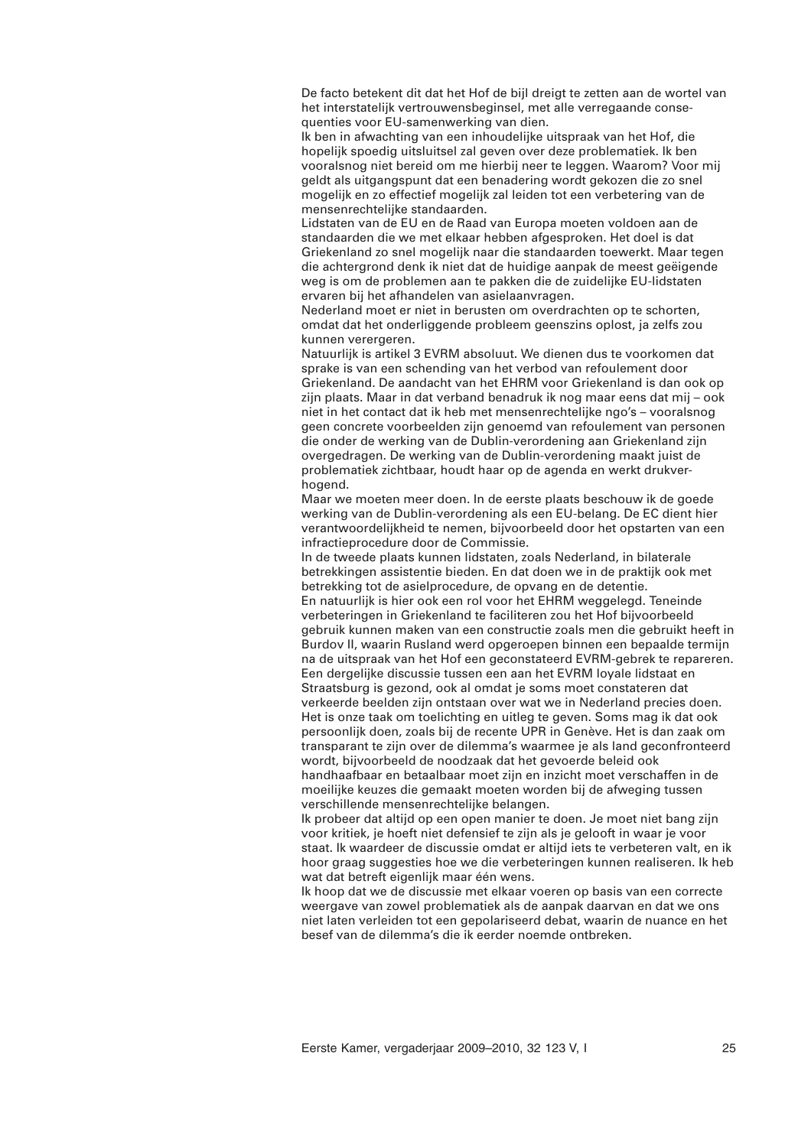De facto betekent dit dat het Hof de bijl dreigt te zetten aan de wortel van het interstatelijk vertrouwensbeginsel, met alle verregaande consequenties voor EU-samenwerking van dien.

Ik ben in afwachting van een inhoudelijke uitspraak van het Hof, die hopelijk spoedig uitsluitsel zal geven over deze problematiek. Ik ben vooralsnog niet bereid om me hierbij neer te leggen. Waarom? Voor mij geldt als uitgangspunt dat een benadering wordt gekozen die zo snel mogelijk en zo effectief mogelijk zal leiden tot een verbetering van de mensenrechtelijke standaarden.

Lidstaten van de EU en de Raad van Europa moeten voldoen aan de standaarden die we met elkaar hebben afgesproken. Het doel is dat Griekenland zo snel mogelijk naar die standaarden toewerkt. Maar tegen die achtergrond denk ik niet dat de huidige aanpak de meest geëigende weg is om de problemen aan te pakken die de zuidelijke EU-lidstaten ervaren bij het afhandelen van asielaanvragen.

Nederland moet er niet in berusten om overdrachten op te schorten, omdat dat het onderliggende probleem geenszins oplost, ja zelfs zou kunnen verergeren.

Natuurlijk is artikel 3 EVRM absoluut. We dienen dus te voorkomen dat sprake is van een schending van het verbod van refoulement door Griekenland. De aandacht van het EHRM voor Griekenland is dan ook op zijn plaats. Maar in dat verband benadruk ik nog maar eens dat mij – ook niet in het contact dat ik heb met mensenrechtelijke ngo's – vooralsnog geen concrete voorbeelden zijn genoemd van refoulement van personen die onder de werking van de Dublin-verordening aan Griekenland zijn overgedragen. De werking van de Dublin-verordening maakt juist de problematiek zichtbaar, houdt haar op de agenda en werkt drukverhogend.

Maar we moeten meer doen. In de eerste plaats beschouw ik de goede werking van de Dublin-verordening als een EU-belang. De EC dient hier verantwoordelijkheid te nemen, bijvoorbeeld door het opstarten van een infractieprocedure door de Commissie.

In de tweede plaats kunnen lidstaten, zoals Nederland, in bilaterale betrekkingen assistentie bieden. En dat doen we in de praktijk ook met betrekking tot de asielprocedure, de opvang en de detentie.

En natuurlijk is hier ook een rol voor het EHRM weggelegd. Teneinde verbeteringen in Griekenland te faciliteren zou het Hof bijvoorbeeld gebruik kunnen maken van een constructie zoals men die gebruikt heeft in Burdov II, waarin Rusland werd opgeroepen binnen een bepaalde termijn na de uitspraak van het Hof een geconstateerd EVRM-gebrek te repareren. Een dergelijke discussie tussen een aan het EVRM loyale lidstaat en Straatsburg is gezond, ook al omdat je soms moet constateren dat verkeerde beelden zijn ontstaan over wat we in Nederland precies doen. Het is onze taak om toelichting en uitleg te geven. Soms mag ik dat ook persoonlijk doen, zoals bij de recente UPR in Genève. Het is dan zaak om transparant te zijn over de dilemma's waarmee je als land geconfronteerd wordt, bijvoorbeeld de noodzaak dat het gevoerde beleid ook handhaafbaar en betaalbaar moet zijn en inzicht moet verschaffen in de moeilijke keuzes die gemaakt moeten worden bij de afweging tussen

verschillende mensenrechtelijke belangen. Ik probeer dat altijd op een open manier te doen. Je moet niet bang zijn voor kritiek, je hoeft niet defensief te zijn als je gelooft in waar je voor staat. Ik waardeer de discussie omdat er altijd iets te verbeteren valt, en ik hoor graag suggesties hoe we die verbeteringen kunnen realiseren. Ik heb wat dat betreft eigenlijk maar één wens.

Ik hoop dat we de discussie met elkaar voeren op basis van een correcte weergave van zowel problematiek als de aanpak daarvan en dat we ons niet laten verleiden tot een gepolariseerd debat, waarin de nuance en het besef van de dilemma's die ik eerder noemde ontbreken.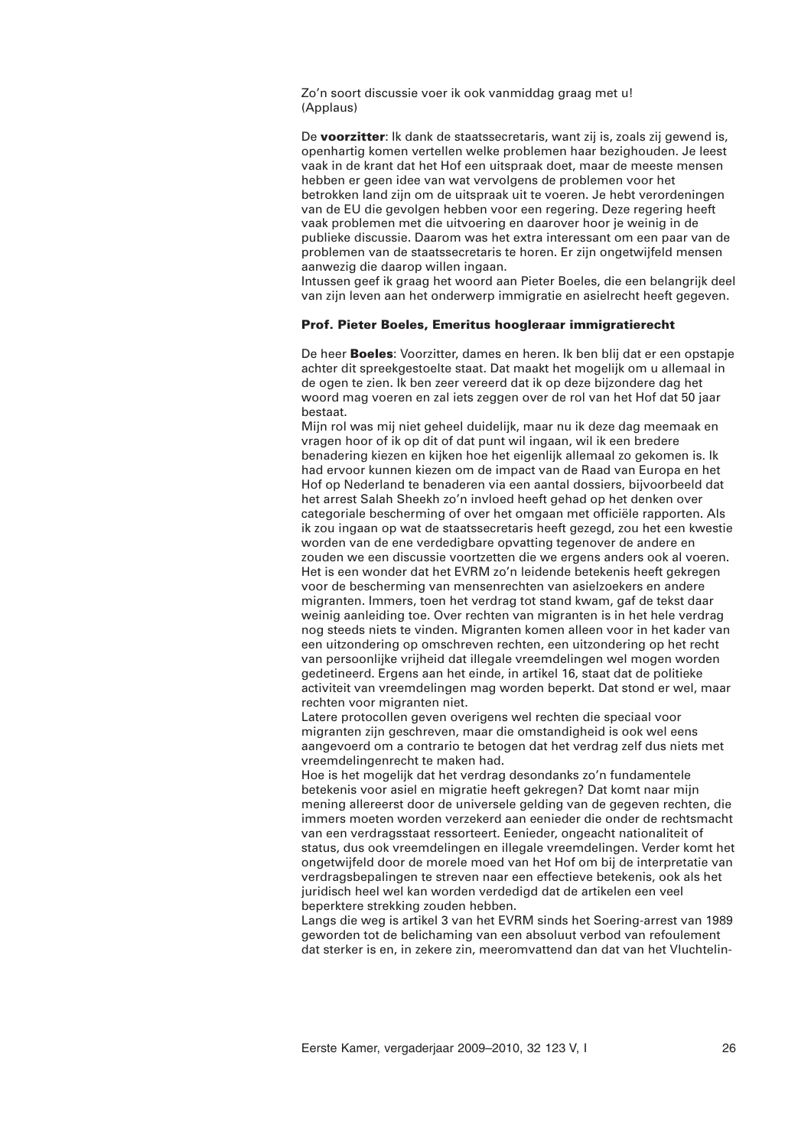Zo'n soort discussie voer ik ook vanmiddag graag met u! (Applaus)

De **voorzitter**: Ik dank de staatssecretaris, want zij is, zoals zij gewend is, openhartig komen vertellen welke problemen haar bezighouden. Je leest vaak in de krant dat het Hof een uitspraak doet, maar de meeste mensen hebben er geen idee van wat vervolgens de problemen voor het betrokken land zijn om de uitspraak uit te voeren. Je hebt verordeningen van de EU die gevolgen hebben voor een regering. Deze regering heeft vaak problemen met die uitvoering en daarover hoor je weinig in de publieke discussie. Daarom was het extra interessant om een paar van de problemen van de staatssecretaris te horen. Er zijn ongetwijfeld mensen aanwezig die daarop willen ingaan.

Intussen geef ik graag het woord aan Pieter Boeles, die een belangrijk deel van zijn leven aan het onderwerp immigratie en asielrecht heeft gegeven.

### **Prof. Pieter Boeles, Emeritus hoogleraar immigratierecht**

De heer **Boeles**: Voorzitter, dames en heren. Ik ben blij dat er een opstapje achter dit spreekgestoelte staat. Dat maakt het mogelijk om u allemaal in de ogen te zien. Ik ben zeer vereerd dat ik op deze bijzondere dag het woord mag voeren en zal iets zeggen over de rol van het Hof dat 50 jaar bestaat.

Mijn rol was mij niet geheel duidelijk, maar nu ik deze dag meemaak en vragen hoor of ik op dit of dat punt wil ingaan, wil ik een bredere benadering kiezen en kijken hoe het eigenlijk allemaal zo gekomen is. Ik had ervoor kunnen kiezen om de impact van de Raad van Europa en het Hof op Nederland te benaderen via een aantal dossiers, bijvoorbeeld dat het arrest Salah Sheekh zo'n invloed heeft gehad op het denken over categoriale bescherming of over het omgaan met officiële rapporten. Als ik zou ingaan op wat de staatssecretaris heeft gezegd, zou het een kwestie worden van de ene verdedigbare opvatting tegenover de andere en zouden we een discussie voortzetten die we ergens anders ook al voeren. Het is een wonder dat het EVRM zo'n leidende betekenis heeft gekregen voor de bescherming van mensenrechten van asielzoekers en andere migranten. Immers, toen het verdrag tot stand kwam, gaf de tekst daar weinig aanleiding toe. Over rechten van migranten is in het hele verdrag nog steeds niets te vinden. Migranten komen alleen voor in het kader van een uitzondering op omschreven rechten, een uitzondering op het recht van persoonlijke vrijheid dat illegale vreemdelingen wel mogen worden gedetineerd. Ergens aan het einde, in artikel 16, staat dat de politieke activiteit van vreemdelingen mag worden beperkt. Dat stond er wel, maar rechten voor migranten niet.

Latere protocollen geven overigens wel rechten die speciaal voor migranten zijn geschreven, maar die omstandigheid is ook wel eens aangevoerd om a contrario te betogen dat het verdrag zelf dus niets met vreemdelingenrecht te maken had.

Hoe is het mogelijk dat het verdrag desondanks zo'n fundamentele betekenis voor asiel en migratie heeft gekregen? Dat komt naar mijn mening allereerst door de universele gelding van de gegeven rechten, die immers moeten worden verzekerd aan eenieder die onder de rechtsmacht van een verdragsstaat ressorteert. Eenieder, ongeacht nationaliteit of status, dus ook vreemdelingen en illegale vreemdelingen. Verder komt het ongetwijfeld door de morele moed van het Hof om bij de interpretatie van verdragsbepalingen te streven naar een effectieve betekenis, ook als het juridisch heel wel kan worden verdedigd dat de artikelen een veel beperktere strekking zouden hebben.

Langs die weg is artikel 3 van het EVRM sinds het Soering-arrest van 1989 geworden tot de belichaming van een absoluut verbod van refoulement dat sterker is en, in zekere zin, meeromvattend dan dat van het Vluchtelin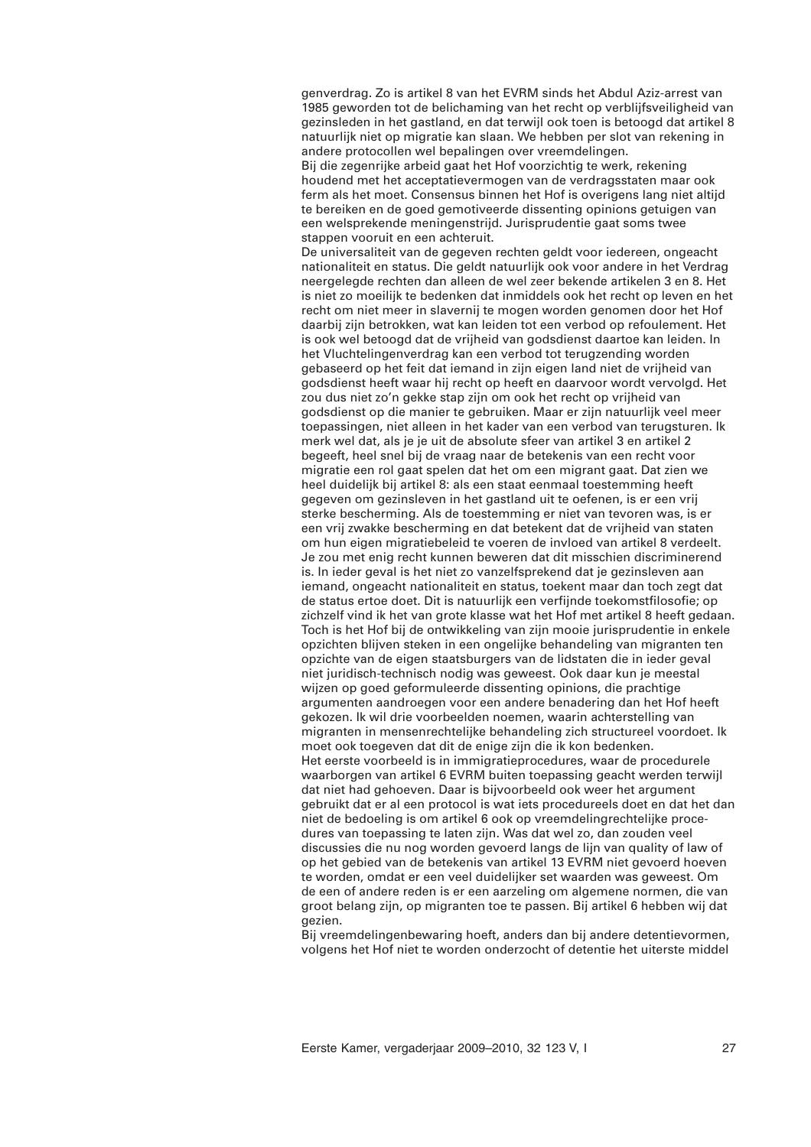genverdrag. Zo is artikel 8 van het EVRM sinds het Abdul Aziz-arrest van 1985 geworden tot de belichaming van het recht op verblijfsveiligheid van gezinsleden in het gastland, en dat terwijl ook toen is betoogd dat artikel 8 natuurlijk niet op migratie kan slaan. We hebben per slot van rekening in andere protocollen wel bepalingen over vreemdelingen.

Bij die zegenrijke arbeid gaat het Hof voorzichtig te werk, rekening houdend met het acceptatievermogen van de verdragsstaten maar ook ferm als het moet. Consensus binnen het Hof is overigens lang niet altijd te bereiken en de goed gemotiveerde dissenting opinions getuigen van een welsprekende meningenstrijd. Jurisprudentie gaat soms twee stappen vooruit en een achteruit.

De universaliteit van de gegeven rechten geldt voor iedereen, ongeacht nationaliteit en status. Die geldt natuurlijk ook voor andere in het Verdrag neergelegde rechten dan alleen de wel zeer bekende artikelen 3 en 8. Het is niet zo moeilijk te bedenken dat inmiddels ook het recht op leven en het recht om niet meer in slavernij te mogen worden genomen door het Hof daarbij zijn betrokken, wat kan leiden tot een verbod op refoulement. Het is ook wel betoogd dat de vrijheid van godsdienst daartoe kan leiden. In het Vluchtelingenverdrag kan een verbod tot terugzending worden gebaseerd op het feit dat iemand in zijn eigen land niet de vrijheid van godsdienst heeft waar hij recht op heeft en daarvoor wordt vervolgd. Het zou dus niet zo'n gekke stap zijn om ook het recht op vrijheid van godsdienst op die manier te gebruiken. Maar er zijn natuurlijk veel meer toepassingen, niet alleen in het kader van een verbod van terugsturen. Ik merk wel dat, als je je uit de absolute sfeer van artikel 3 en artikel 2 begeeft, heel snel bij de vraag naar de betekenis van een recht voor migratie een rol gaat spelen dat het om een migrant gaat. Dat zien we heel duidelijk bij artikel 8: als een staat eenmaal toestemming heeft gegeven om gezinsleven in het gastland uit te oefenen, is er een vrij sterke bescherming. Als de toestemming er niet van tevoren was, is er een vrij zwakke bescherming en dat betekent dat de vrijheid van staten om hun eigen migratiebeleid te voeren de invloed van artikel 8 verdeelt. Je zou met enig recht kunnen beweren dat dit misschien discriminerend is. In ieder geval is het niet zo vanzelfsprekend dat je gezinsleven aan iemand, ongeacht nationaliteit en status, toekent maar dan toch zegt dat de status ertoe doet. Dit is natuurlijk een verfijnde toekomstfilosofie; op zichzelf vind ik het van grote klasse wat het Hof met artikel 8 heeft gedaan. Toch is het Hof bij de ontwikkeling van zijn mooie jurisprudentie in enkele opzichten blijven steken in een ongelijke behandeling van migranten ten opzichte van de eigen staatsburgers van de lidstaten die in ieder geval niet juridisch-technisch nodig was geweest. Ook daar kun je meestal wijzen op goed geformuleerde dissenting opinions, die prachtige argumenten aandroegen voor een andere benadering dan het Hof heeft gekozen. Ik wil drie voorbeelden noemen, waarin achterstelling van migranten in mensenrechtelijke behandeling zich structureel voordoet. Ik moet ook toegeven dat dit de enige zijn die ik kon bedenken. Het eerste voorbeeld is in immigratieprocedures, waar de procedurele waarborgen van artikel 6 EVRM buiten toepassing geacht werden terwijl dat niet had gehoeven. Daar is bijvoorbeeld ook weer het argument gebruikt dat er al een protocol is wat iets procedureels doet en dat het dan niet de bedoeling is om artikel 6 ook op vreemdelingrechtelijke procedures van toepassing te laten zijn. Was dat wel zo, dan zouden veel discussies die nu nog worden gevoerd langs de lijn van quality of law of op het gebied van de betekenis van artikel 13 EVRM niet gevoerd hoeven te worden, omdat er een veel duidelijker set waarden was geweest. Om de een of andere reden is er een aarzeling om algemene normen, die van groot belang zijn, op migranten toe te passen. Bij artikel 6 hebben wij dat gezien.

Bij vreemdelingenbewaring hoeft, anders dan bij andere detentievormen, volgens het Hof niet te worden onderzocht of detentie het uiterste middel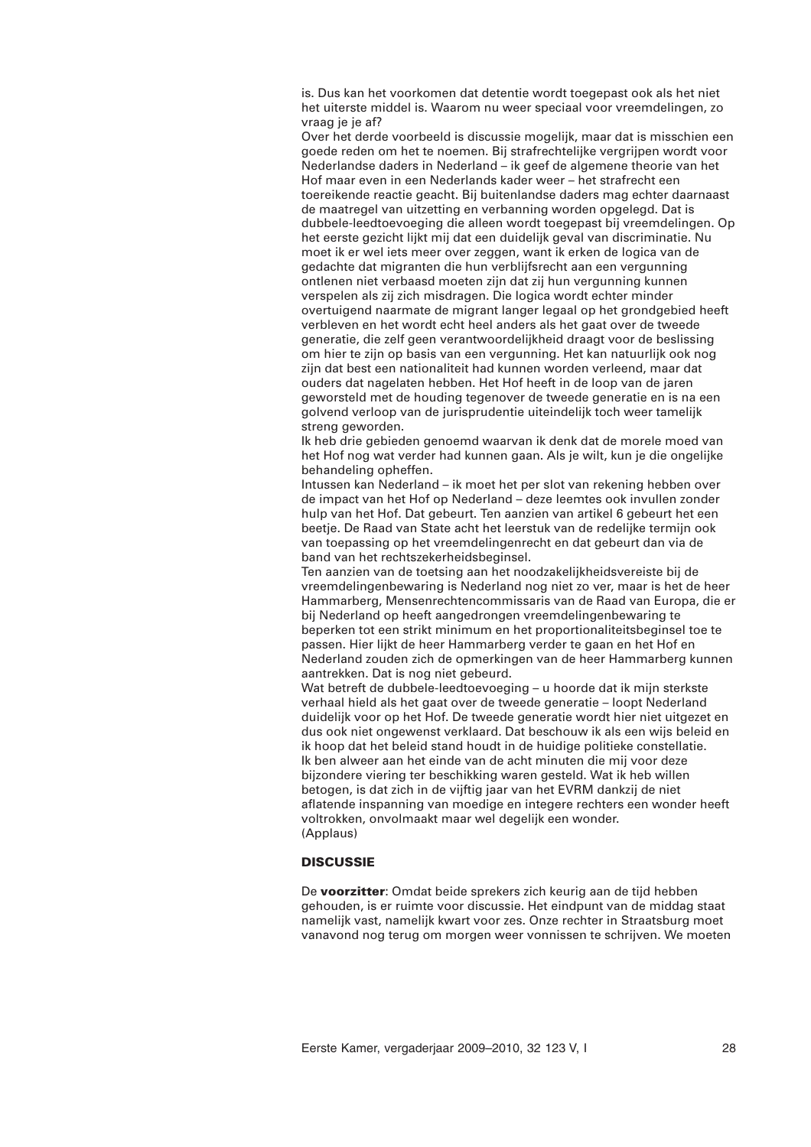is. Dus kan het voorkomen dat detentie wordt toegepast ook als het niet het uiterste middel is. Waarom nu weer speciaal voor vreemdelingen, zo vraag je je af?

Over het derde voorbeeld is discussie mogelijk, maar dat is misschien een goede reden om het te noemen. Bij strafrechtelijke vergrijpen wordt voor Nederlandse daders in Nederland – ik geef de algemene theorie van het Hof maar even in een Nederlands kader weer – het strafrecht een toereikende reactie geacht. Bij buitenlandse daders mag echter daarnaast de maatregel van uitzetting en verbanning worden opgelegd. Dat is dubbele-leedtoevoeging die alleen wordt toegepast bij vreemdelingen. Op het eerste gezicht lijkt mij dat een duidelijk geval van discriminatie. Nu moet ik er wel iets meer over zeggen, want ik erken de logica van de gedachte dat migranten die hun verblijfsrecht aan een vergunning ontlenen niet verbaasd moeten zijn dat zij hun vergunning kunnen verspelen als zij zich misdragen. Die logica wordt echter minder overtuigend naarmate de migrant langer legaal op het grondgebied heeft verbleven en het wordt echt heel anders als het gaat over de tweede generatie, die zelf geen verantwoordelijkheid draagt voor de beslissing om hier te zijn op basis van een vergunning. Het kan natuurlijk ook nog zijn dat best een nationaliteit had kunnen worden verleend, maar dat ouders dat nagelaten hebben. Het Hof heeft in de loop van de jaren geworsteld met de houding tegenover de tweede generatie en is na een golvend verloop van de jurisprudentie uiteindelijk toch weer tamelijk streng geworden.

Ik heb drie gebieden genoemd waarvan ik denk dat de morele moed van het Hof nog wat verder had kunnen gaan. Als je wilt, kun je die ongelijke behandeling opheffen.

Intussen kan Nederland – ik moet het per slot van rekening hebben over de impact van het Hof op Nederland – deze leemtes ook invullen zonder hulp van het Hof. Dat gebeurt. Ten aanzien van artikel 6 gebeurt het een beetje. De Raad van State acht het leerstuk van de redelijke termijn ook van toepassing op het vreemdelingenrecht en dat gebeurt dan via de band van het rechtszekerheidsbeginsel.

Ten aanzien van de toetsing aan het noodzakelijkheidsvereiste bij de vreemdelingenbewaring is Nederland nog niet zo ver, maar is het de heer Hammarberg, Mensenrechtencommissaris van de Raad van Europa, die er bij Nederland op heeft aangedrongen vreemdelingenbewaring te beperken tot een strikt minimum en het proportionaliteitsbeginsel toe te passen. Hier lijkt de heer Hammarberg verder te gaan en het Hof en Nederland zouden zich de opmerkingen van de heer Hammarberg kunnen aantrekken. Dat is nog niet gebeurd.

Wat betreft de dubbele-leedtoevoeging – u hoorde dat ik mijn sterkste verhaal hield als het gaat over de tweede generatie – loopt Nederland duidelijk voor op het Hof. De tweede generatie wordt hier niet uitgezet en dus ook niet ongewenst verklaard. Dat beschouw ik als een wijs beleid en ik hoop dat het beleid stand houdt in de huidige politieke constellatie. Ik ben alweer aan het einde van de acht minuten die mij voor deze bijzondere viering ter beschikking waren gesteld. Wat ik heb willen betogen, is dat zich in de vijftig jaar van het EVRM dankzij de niet aflatende inspanning van moedige en integere rechters een wonder heeft voltrokken, onvolmaakt maar wel degelijk een wonder. (Applaus)

# **DISCUSSIE**

De **voorzitter**: Omdat beide sprekers zich keurig aan de tijd hebben gehouden, is er ruimte voor discussie. Het eindpunt van de middag staat namelijk vast, namelijk kwart voor zes. Onze rechter in Straatsburg moet vanavond nog terug om morgen weer vonnissen te schrijven. We moeten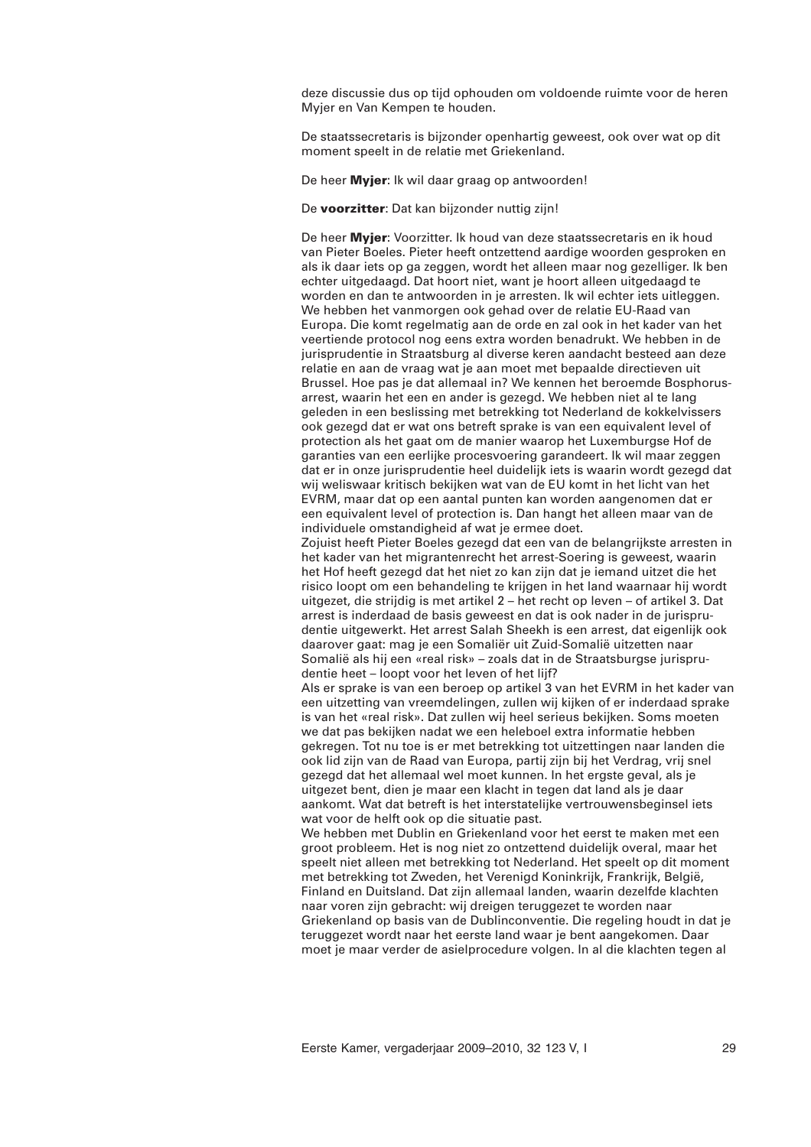deze discussie dus op tijd ophouden om voldoende ruimte voor de heren Myjer en Van Kempen te houden.

De staatssecretaris is bijzonder openhartig geweest, ook over wat op dit moment speelt in de relatie met Griekenland.

De heer **Myjer**: Ik wil daar graag op antwoorden!

De **voorzitter**: Dat kan bijzonder nuttig zijn!

De heer **Myjer**: Voorzitter. Ik houd van deze staatssecretaris en ik houd van Pieter Boeles. Pieter heeft ontzettend aardige woorden gesproken en als ik daar iets op ga zeggen, wordt het alleen maar nog gezelliger. Ik ben echter uitgedaagd. Dat hoort niet, want je hoort alleen uitgedaagd te worden en dan te antwoorden in je arresten. Ik wil echter iets uitleggen. We hebben het vanmorgen ook gehad over de relatie EU-Raad van Europa. Die komt regelmatig aan de orde en zal ook in het kader van het veertiende protocol nog eens extra worden benadrukt. We hebben in de jurisprudentie in Straatsburg al diverse keren aandacht besteed aan deze relatie en aan de vraag wat je aan moet met bepaalde directieven uit Brussel. Hoe pas je dat allemaal in? We kennen het beroemde Bosphorusarrest, waarin het een en ander is gezegd. We hebben niet al te lang geleden in een beslissing met betrekking tot Nederland de kokkelvissers ook gezegd dat er wat ons betreft sprake is van een equivalent level of protection als het gaat om de manier waarop het Luxemburgse Hof de garanties van een eerlijke procesvoering garandeert. Ik wil maar zeggen dat er in onze jurisprudentie heel duidelijk iets is waarin wordt gezegd dat wij weliswaar kritisch bekijken wat van de EU komt in het licht van het EVRM, maar dat op een aantal punten kan worden aangenomen dat er een equivalent level of protection is. Dan hangt het alleen maar van de individuele omstandigheid af wat je ermee doet.

Zojuist heeft Pieter Boeles gezegd dat een van de belangrijkste arresten in het kader van het migrantenrecht het arrest-Soering is geweest, waarin het Hof heeft gezegd dat het niet zo kan zijn dat je iemand uitzet die het risico loopt om een behandeling te krijgen in het land waarnaar hij wordt uitgezet, die strijdig is met artikel 2 – het recht op leven – of artikel 3. Dat arrest is inderdaad de basis geweest en dat is ook nader in de jurisprudentie uitgewerkt. Het arrest Salah Sheekh is een arrest, dat eigenlijk ook daarover gaat: mag je een Somaliër uit Zuid-Somalië uitzetten naar Somalië als hij een «real risk» – zoals dat in de Straatsburgse jurisprudentie heet – loopt voor het leven of het lijf?

Als er sprake is van een beroep op artikel 3 van het EVRM in het kader van een uitzetting van vreemdelingen, zullen wij kijken of er inderdaad sprake is van het «real risk». Dat zullen wij heel serieus bekijken. Soms moeten we dat pas bekijken nadat we een heleboel extra informatie hebben gekregen. Tot nu toe is er met betrekking tot uitzettingen naar landen die ook lid zijn van de Raad van Europa, partij zijn bij het Verdrag, vrij snel gezegd dat het allemaal wel moet kunnen. In het ergste geval, als je uitgezet bent, dien je maar een klacht in tegen dat land als je daar aankomt. Wat dat betreft is het interstatelijke vertrouwensbeginsel iets wat voor de helft ook op die situatie past.

We hebben met Dublin en Griekenland voor het eerst te maken met een groot probleem. Het is nog niet zo ontzettend duidelijk overal, maar het speelt niet alleen met betrekking tot Nederland. Het speelt op dit moment met betrekking tot Zweden, het Verenigd Koninkrijk, Frankrijk, België, Finland en Duitsland. Dat zijn allemaal landen, waarin dezelfde klachten naar voren zijn gebracht: wij dreigen teruggezet te worden naar Griekenland op basis van de Dublinconventie. Die regeling houdt in dat je teruggezet wordt naar het eerste land waar je bent aangekomen. Daar moet je maar verder de asielprocedure volgen. In al die klachten tegen al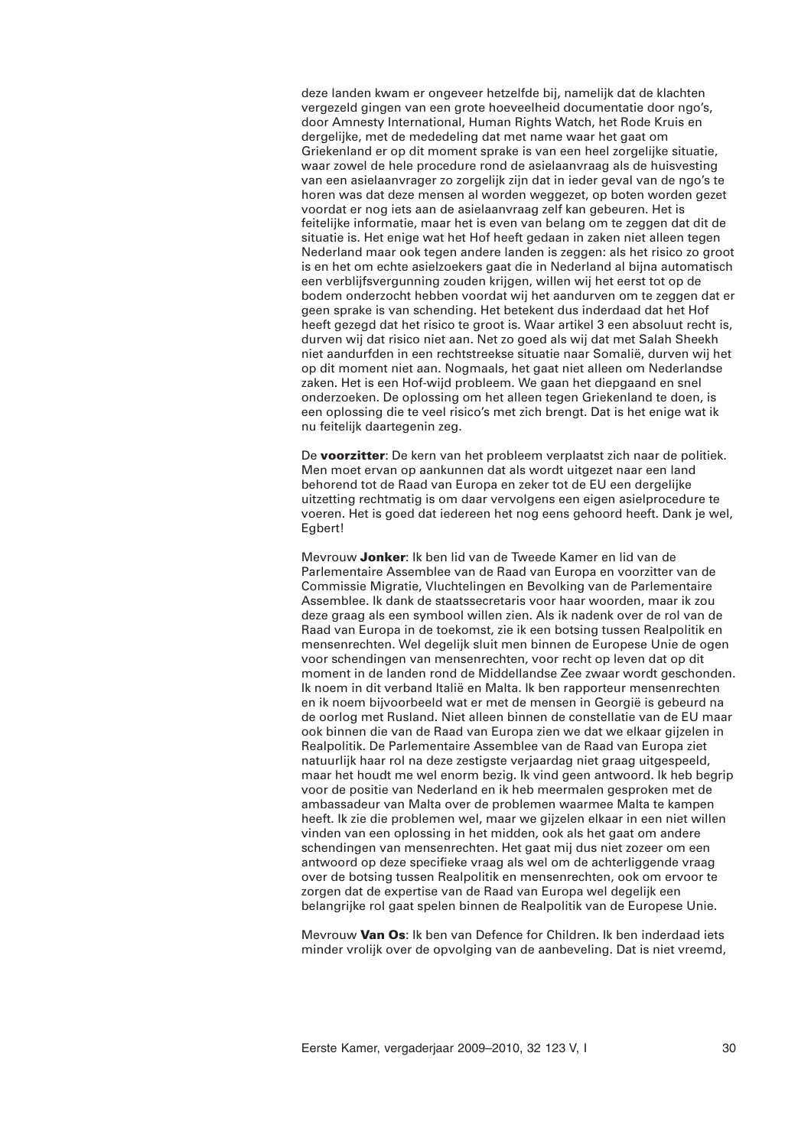deze landen kwam er ongeveer hetzelfde bij, namelijk dat de klachten vergezeld gingen van een grote hoeveelheid documentatie door ngo's, door Amnesty International, Human Rights Watch, het Rode Kruis en dergelijke, met de mededeling dat met name waar het gaat om Griekenland er op dit moment sprake is van een heel zorgelijke situatie, waar zowel de hele procedure rond de asielaanvraag als de huisvesting van een asielaanvrager zo zorgelijk zijn dat in ieder geval van de ngo's te horen was dat deze mensen al worden weggezet, op boten worden gezet voordat er nog iets aan de asielaanvraag zelf kan gebeuren. Het is feitelijke informatie, maar het is even van belang om te zeggen dat dit de situatie is. Het enige wat het Hof heeft gedaan in zaken niet alleen tegen Nederland maar ook tegen andere landen is zeggen: als het risico zo groot is en het om echte asielzoekers gaat die in Nederland al bijna automatisch een verblijfsvergunning zouden krijgen, willen wij het eerst tot op de bodem onderzocht hebben voordat wij het aandurven om te zeggen dat er geen sprake is van schending. Het betekent dus inderdaad dat het Hof heeft gezegd dat het risico te groot is. Waar artikel 3 een absoluut recht is, durven wij dat risico niet aan. Net zo goed als wij dat met Salah Sheekh niet aandurfden in een rechtstreekse situatie naar Somalië, durven wij het op dit moment niet aan. Nogmaals, het gaat niet alleen om Nederlandse zaken. Het is een Hof-wijd probleem. We gaan het diepgaand en snel onderzoeken. De oplossing om het alleen tegen Griekenland te doen, is een oplossing die te veel risico's met zich brengt. Dat is het enige wat ik nu feitelijk daartegenin zeg.

De **voorzitter**: De kern van het probleem verplaatst zich naar de politiek. Men moet ervan op aankunnen dat als wordt uitgezet naar een land behorend tot de Raad van Europa en zeker tot de EU een dergelijke uitzetting rechtmatig is om daar vervolgens een eigen asielprocedure te voeren. Het is goed dat iedereen het nog eens gehoord heeft. Dank je wel, Egbert!

Mevrouw **Jonker**: Ik ben lid van de Tweede Kamer en lid van de Parlementaire Assemblee van de Raad van Europa en voorzitter van de Commissie Migratie, Vluchtelingen en Bevolking van de Parlementaire Assemblee. Ik dank de staatssecretaris voor haar woorden, maar ik zou deze graag als een symbool willen zien. Als ik nadenk over de rol van de Raad van Europa in de toekomst, zie ik een botsing tussen Realpolitik en mensenrechten. Wel degelijk sluit men binnen de Europese Unie de ogen voor schendingen van mensenrechten, voor recht op leven dat op dit moment in de landen rond de Middellandse Zee zwaar wordt geschonden. Ik noem in dit verband Italië en Malta. Ik ben rapporteur mensenrechten en ik noem bijvoorbeeld wat er met de mensen in Georgië is gebeurd na de oorlog met Rusland. Niet alleen binnen de constellatie van de EU maar ook binnen die van de Raad van Europa zien we dat we elkaar gijzelen in Realpolitik. De Parlementaire Assemblee van de Raad van Europa ziet natuurlijk haar rol na deze zestigste verjaardag niet graag uitgespeeld, maar het houdt me wel enorm bezig. Ik vind geen antwoord. Ik heb begrip voor de positie van Nederland en ik heb meermalen gesproken met de ambassadeur van Malta over de problemen waarmee Malta te kampen heeft. Ik zie die problemen wel, maar we gijzelen elkaar in een niet willen vinden van een oplossing in het midden, ook als het gaat om andere schendingen van mensenrechten. Het gaat mij dus niet zozeer om een antwoord op deze specifieke vraag als wel om de achterliggende vraag over de botsing tussen Realpolitik en mensenrechten, ook om ervoor te zorgen dat de expertise van de Raad van Europa wel degelijk een belangrijke rol gaat spelen binnen de Realpolitik van de Europese Unie.

Mevrouw **Van Os**: Ik ben van Defence for Children. Ik ben inderdaad iets minder vrolijk over de opvolging van de aanbeveling. Dat is niet vreemd,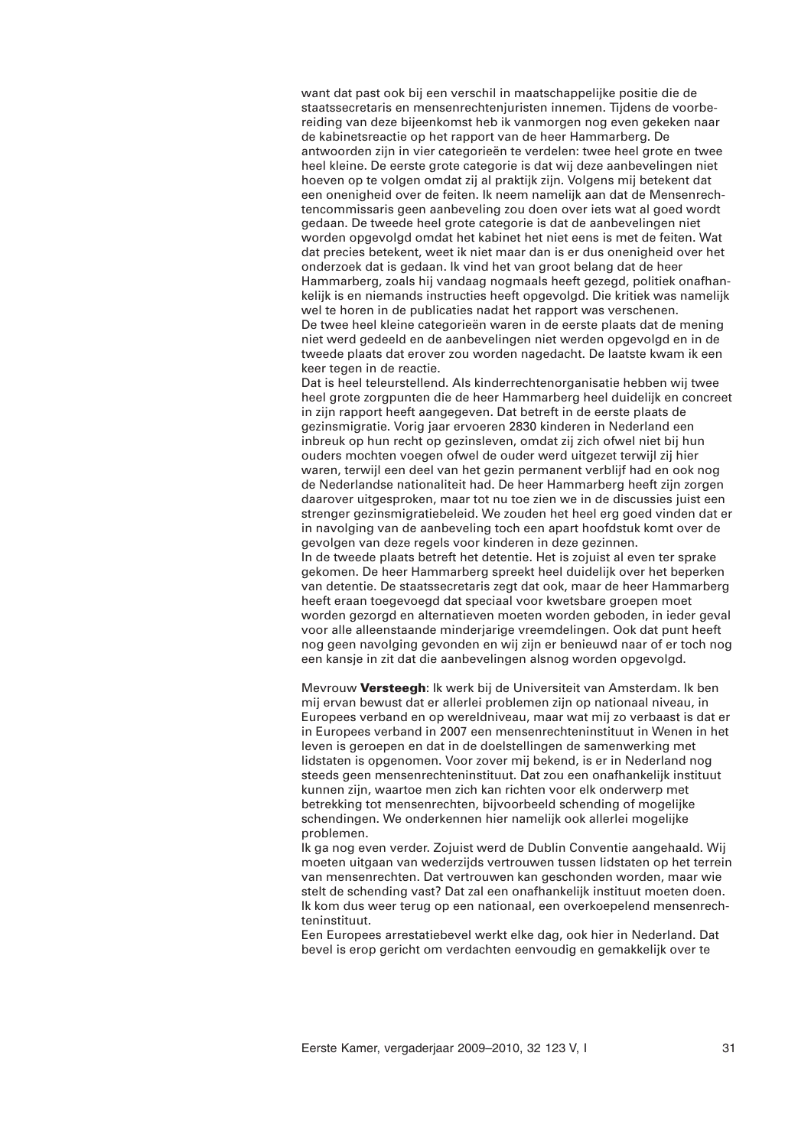want dat past ook bij een verschil in maatschappelijke positie die de staatssecretaris en mensenrechtenjuristen innemen. Tijdens de voorbereiding van deze bijeenkomst heb ik vanmorgen nog even gekeken naar de kabinetsreactie op het rapport van de heer Hammarberg. De antwoorden zijn in vier categorieën te verdelen: twee heel grote en twee heel kleine. De eerste grote categorie is dat wij deze aanbevelingen niet hoeven op te volgen omdat zij al praktijk zijn. Volgens mij betekent dat een onenigheid over de feiten. Ik neem namelijk aan dat de Mensenrechtencommissaris geen aanbeveling zou doen over iets wat al goed wordt gedaan. De tweede heel grote categorie is dat de aanbevelingen niet worden opgevolgd omdat het kabinet het niet eens is met de feiten. Wat dat precies betekent, weet ik niet maar dan is er dus onenigheid over het onderzoek dat is gedaan. Ik vind het van groot belang dat de heer Hammarberg, zoals hij vandaag nogmaals heeft gezegd, politiek onafhankelijk is en niemands instructies heeft opgevolgd. Die kritiek was namelijk wel te horen in de publicaties nadat het rapport was verschenen. De twee heel kleine categorieën waren in de eerste plaats dat de mening niet werd gedeeld en de aanbevelingen niet werden opgevolgd en in de tweede plaats dat erover zou worden nagedacht. De laatste kwam ik een keer tegen in de reactie.

Dat is heel teleurstellend. Als kinderrechtenorganisatie hebben wij twee heel grote zorgpunten die de heer Hammarberg heel duidelijk en concreet in zijn rapport heeft aangegeven. Dat betreft in de eerste plaats de gezinsmigratie. Vorig jaar ervoeren 2830 kinderen in Nederland een inbreuk op hun recht op gezinsleven, omdat zij zich ofwel niet bij hun ouders mochten voegen ofwel de ouder werd uitgezet terwijl zij hier waren, terwijl een deel van het gezin permanent verblijf had en ook nog de Nederlandse nationaliteit had. De heer Hammarberg heeft zijn zorgen daarover uitgesproken, maar tot nu toe zien we in de discussies juist een strenger gezinsmigratiebeleid. We zouden het heel erg goed vinden dat er in navolging van de aanbeveling toch een apart hoofdstuk komt over de gevolgen van deze regels voor kinderen in deze gezinnen. In de tweede plaats betreft het detentie. Het is zojuist al even ter sprake gekomen. De heer Hammarberg spreekt heel duidelijk over het beperken van detentie. De staatssecretaris zegt dat ook, maar de heer Hammarberg heeft eraan toegevoegd dat speciaal voor kwetsbare groepen moet worden gezorgd en alternatieven moeten worden geboden, in ieder geval voor alle alleenstaande minderjarige vreemdelingen. Ook dat punt heeft nog geen navolging gevonden en wij zijn er benieuwd naar of er toch nog een kansje in zit dat die aanbevelingen alsnog worden opgevolgd.

Mevrouw **Versteegh**: Ik werk bij de Universiteit van Amsterdam. Ik ben mij ervan bewust dat er allerlei problemen zijn op nationaal niveau, in Europees verband en op wereldniveau, maar wat mij zo verbaast is dat er in Europees verband in 2007 een mensenrechteninstituut in Wenen in het leven is geroepen en dat in de doelstellingen de samenwerking met lidstaten is opgenomen. Voor zover mij bekend, is er in Nederland nog steeds geen mensenrechteninstituut. Dat zou een onafhankelijk instituut kunnen zijn, waartoe men zich kan richten voor elk onderwerp met betrekking tot mensenrechten, bijvoorbeeld schending of mogelijke schendingen. We onderkennen hier namelijk ook allerlei mogelijke problemen.

Ik ga nog even verder. Zojuist werd de Dublin Conventie aangehaald. Wij moeten uitgaan van wederzijds vertrouwen tussen lidstaten op het terrein van mensenrechten. Dat vertrouwen kan geschonden worden, maar wie stelt de schending vast? Dat zal een onafhankelijk instituut moeten doen. Ik kom dus weer terug op een nationaal, een overkoepelend mensenrechteninstituut.

Een Europees arrestatiebevel werkt elke dag, ook hier in Nederland. Dat bevel is erop gericht om verdachten eenvoudig en gemakkelijk over te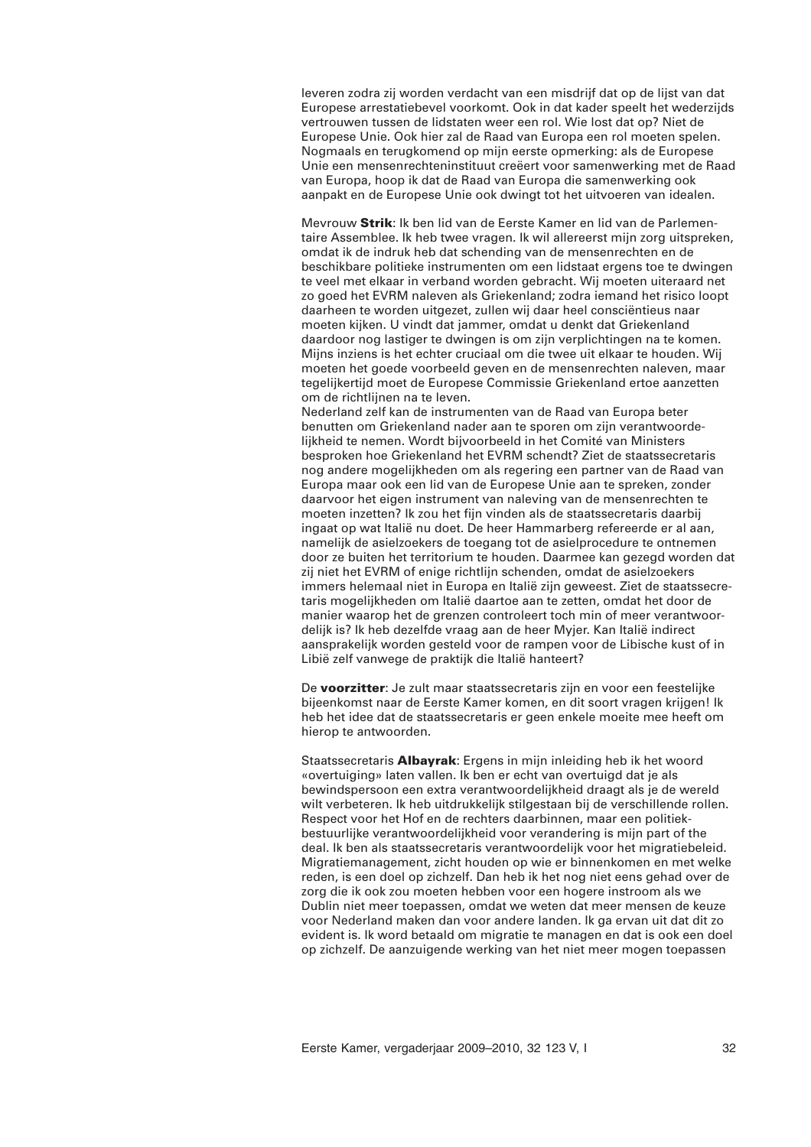leveren zodra zij worden verdacht van een misdrijf dat op de lijst van dat Europese arrestatiebevel voorkomt. Ook in dat kader speelt het wederzijds vertrouwen tussen de lidstaten weer een rol. Wie lost dat op? Niet de Europese Unie. Ook hier zal de Raad van Europa een rol moeten spelen. Nogmaals en terugkomend op mijn eerste opmerking: als de Europese Unie een mensenrechteninstituut creëert voor samenwerking met de Raad van Europa, hoop ik dat de Raad van Europa die samenwerking ook aanpakt en de Europese Unie ook dwingt tot het uitvoeren van idealen.

Mevrouw **Strik**: Ik ben lid van de Eerste Kamer en lid van de Parlementaire Assemblee. Ik heb twee vragen. Ik wil allereerst mijn zorg uitspreken, omdat ik de indruk heb dat schending van de mensenrechten en de beschikbare politieke instrumenten om een lidstaat ergens toe te dwingen te veel met elkaar in verband worden gebracht. Wij moeten uiteraard net zo goed het EVRM naleven als Griekenland; zodra iemand het risico loopt daarheen te worden uitgezet, zullen wij daar heel consciëntieus naar moeten kijken. U vindt dat jammer, omdat u denkt dat Griekenland daardoor nog lastiger te dwingen is om zijn verplichtingen na te komen. Mijns inziens is het echter cruciaal om die twee uit elkaar te houden. Wij moeten het goede voorbeeld geven en de mensenrechten naleven, maar tegelijkertijd moet de Europese Commissie Griekenland ertoe aanzetten om de richtlijnen na te leven.

Nederland zelf kan de instrumenten van de Raad van Europa beter benutten om Griekenland nader aan te sporen om zijn verantwoordelijkheid te nemen. Wordt bijvoorbeeld in het Comité van Ministers besproken hoe Griekenland het EVRM schendt? Ziet de staatssecretaris nog andere mogelijkheden om als regering een partner van de Raad van Europa maar ook een lid van de Europese Unie aan te spreken, zonder daarvoor het eigen instrument van naleving van de mensenrechten te moeten inzetten? Ik zou het fijn vinden als de staatssecretaris daarbij ingaat op wat Italië nu doet. De heer Hammarberg refereerde er al aan, namelijk de asielzoekers de toegang tot de asielprocedure te ontnemen door ze buiten het territorium te houden. Daarmee kan gezegd worden dat zij niet het EVRM of enige richtlijn schenden, omdat de asielzoekers immers helemaal niet in Europa en Italië zijn geweest. Ziet de staatssecretaris mogelijkheden om Italië daartoe aan te zetten, omdat het door de manier waarop het de grenzen controleert toch min of meer verantwoordelijk is? Ik heb dezelfde vraag aan de heer Myjer. Kan Italië indirect aansprakelijk worden gesteld voor de rampen voor de Libische kust of in Libië zelf vanwege de praktijk die Italië hanteert?

De **voorzitter**: Je zult maar staatssecretaris zijn en voor een feestelijke bijeenkomst naar de Eerste Kamer komen, en dit soort vragen krijgen! Ik heb het idee dat de staatssecretaris er geen enkele moeite mee heeft om hierop te antwoorden.

Staatssecretaris **Albayrak**: Ergens in mijn inleiding heb ik het woord «overtuiging» laten vallen. Ik ben er echt van overtuigd dat je als bewindspersoon een extra verantwoordelijkheid draagt als je de wereld wilt verbeteren. Ik heb uitdrukkelijk stilgestaan bij de verschillende rollen. Respect voor het Hof en de rechters daarbinnen, maar een politiekbestuurlijke verantwoordelijkheid voor verandering is mijn part of the deal. Ik ben als staatssecretaris verantwoordelijk voor het migratiebeleid. Migratiemanagement, zicht houden op wie er binnenkomen en met welke reden, is een doel op zichzelf. Dan heb ik het nog niet eens gehad over de zorg die ik ook zou moeten hebben voor een hogere instroom als we Dublin niet meer toepassen, omdat we weten dat meer mensen de keuze voor Nederland maken dan voor andere landen. Ik ga ervan uit dat dit zo evident is. Ik word betaald om migratie te managen en dat is ook een doel op zichzelf. De aanzuigende werking van het niet meer mogen toepassen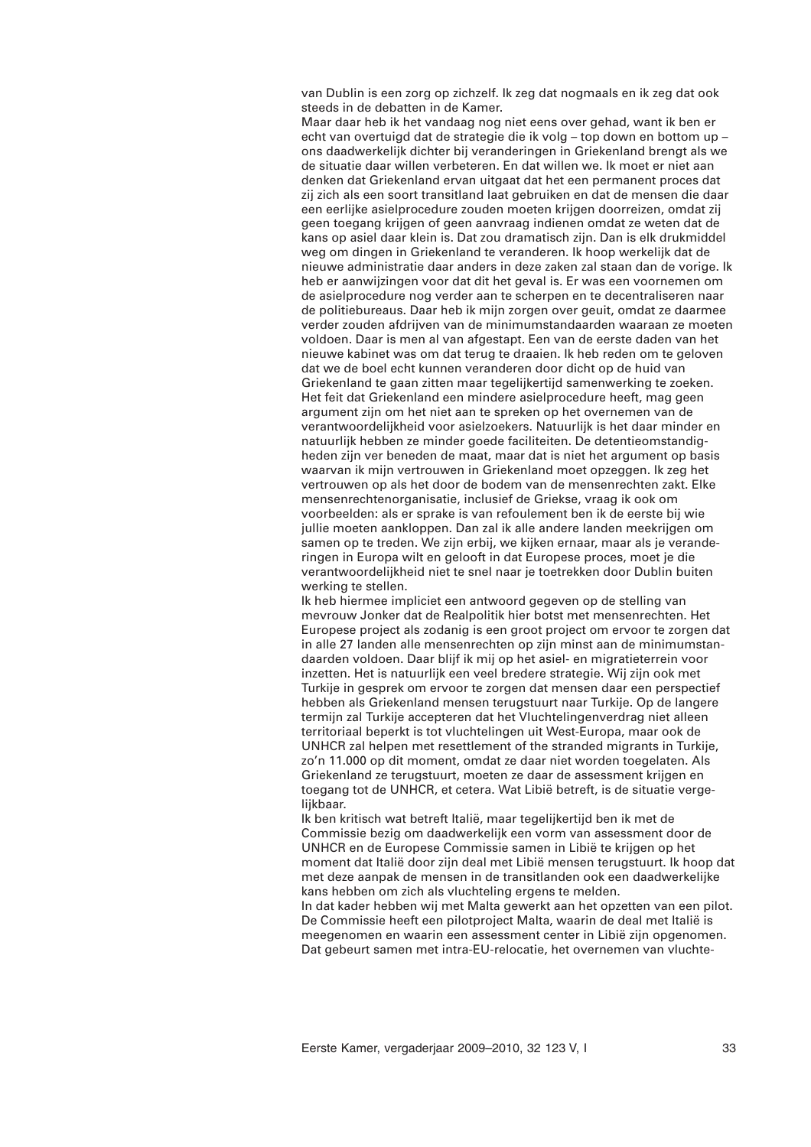van Dublin is een zorg op zichzelf. Ik zeg dat nogmaals en ik zeg dat ook steeds in de debatten in de Kamer.

Maar daar heb ik het vandaag nog niet eens over gehad, want ik ben er echt van overtuigd dat de strategie die ik volg – top down en bottom up – ons daadwerkelijk dichter bij veranderingen in Griekenland brengt als we de situatie daar willen verbeteren. En dat willen we. Ik moet er niet aan denken dat Griekenland ervan uitgaat dat het een permanent proces dat zij zich als een soort transitland laat gebruiken en dat de mensen die daar een eerlijke asielprocedure zouden moeten krijgen doorreizen, omdat zij geen toegang krijgen of geen aanvraag indienen omdat ze weten dat de kans op asiel daar klein is. Dat zou dramatisch zijn. Dan is elk drukmiddel weg om dingen in Griekenland te veranderen. Ik hoop werkelijk dat de nieuwe administratie daar anders in deze zaken zal staan dan de vorige. Ik heb er aanwijzingen voor dat dit het geval is. Er was een voornemen om de asielprocedure nog verder aan te scherpen en te decentraliseren naar de politiebureaus. Daar heb ik mijn zorgen over geuit, omdat ze daarmee verder zouden afdrijven van de minimumstandaarden waaraan ze moeten voldoen. Daar is men al van afgestapt. Een van de eerste daden van het nieuwe kabinet was om dat terug te draaien. Ik heb reden om te geloven dat we de boel echt kunnen veranderen door dicht op de huid van Griekenland te gaan zitten maar tegelijkertijd samenwerking te zoeken. Het feit dat Griekenland een mindere asielprocedure heeft, mag geen argument zijn om het niet aan te spreken op het overnemen van de verantwoordelijkheid voor asielzoekers. Natuurlijk is het daar minder en natuurlijk hebben ze minder goede faciliteiten. De detentieomstandigheden zijn ver beneden de maat, maar dat is niet het argument op basis waarvan ik mijn vertrouwen in Griekenland moet opzeggen. Ik zeg het vertrouwen op als het door de bodem van de mensenrechten zakt. Elke mensenrechtenorganisatie, inclusief de Griekse, vraag ik ook om voorbeelden: als er sprake is van refoulement ben ik de eerste bij wie jullie moeten aankloppen. Dan zal ik alle andere landen meekrijgen om samen op te treden. We zijn erbij, we kijken ernaar, maar als je veranderingen in Europa wilt en gelooft in dat Europese proces, moet je die verantwoordelijkheid niet te snel naar je toetrekken door Dublin buiten werking te stellen.

Ik heb hiermee impliciet een antwoord gegeven op de stelling van mevrouw Jonker dat de Realpolitik hier botst met mensenrechten. Het Europese project als zodanig is een groot project om ervoor te zorgen dat in alle 27 landen alle mensenrechten op zijn minst aan de minimumstandaarden voldoen. Daar blijf ik mij op het asiel- en migratieterrein voor inzetten. Het is natuurlijk een veel bredere strategie. Wij zijn ook met Turkije in gesprek om ervoor te zorgen dat mensen daar een perspectief hebben als Griekenland mensen terugstuurt naar Turkije. Op de langere termijn zal Turkije accepteren dat het Vluchtelingenverdrag niet alleen territoriaal beperkt is tot vluchtelingen uit West-Europa, maar ook de UNHCR zal helpen met resettlement of the stranded migrants in Turkije, zo'n 11.000 op dit moment, omdat ze daar niet worden toegelaten. Als Griekenland ze terugstuurt, moeten ze daar de assessment krijgen en toegang tot de UNHCR, et cetera. Wat Libië betreft, is de situatie vergelijkbaar.

Ik ben kritisch wat betreft Italië, maar tegelijkertijd ben ik met de Commissie bezig om daadwerkelijk een vorm van assessment door de UNHCR en de Europese Commissie samen in Libië te krijgen op het moment dat Italië door zijn deal met Libië mensen terugstuurt. Ik hoop dat met deze aanpak de mensen in de transitlanden ook een daadwerkelijke kans hebben om zich als vluchteling ergens te melden.

In dat kader hebben wij met Malta gewerkt aan het opzetten van een pilot. De Commissie heeft een pilotproject Malta, waarin de deal met Italië is meegenomen en waarin een assessment center in Libië zijn opgenomen. Dat gebeurt samen met intra-EU-relocatie, het overnemen van vluchte-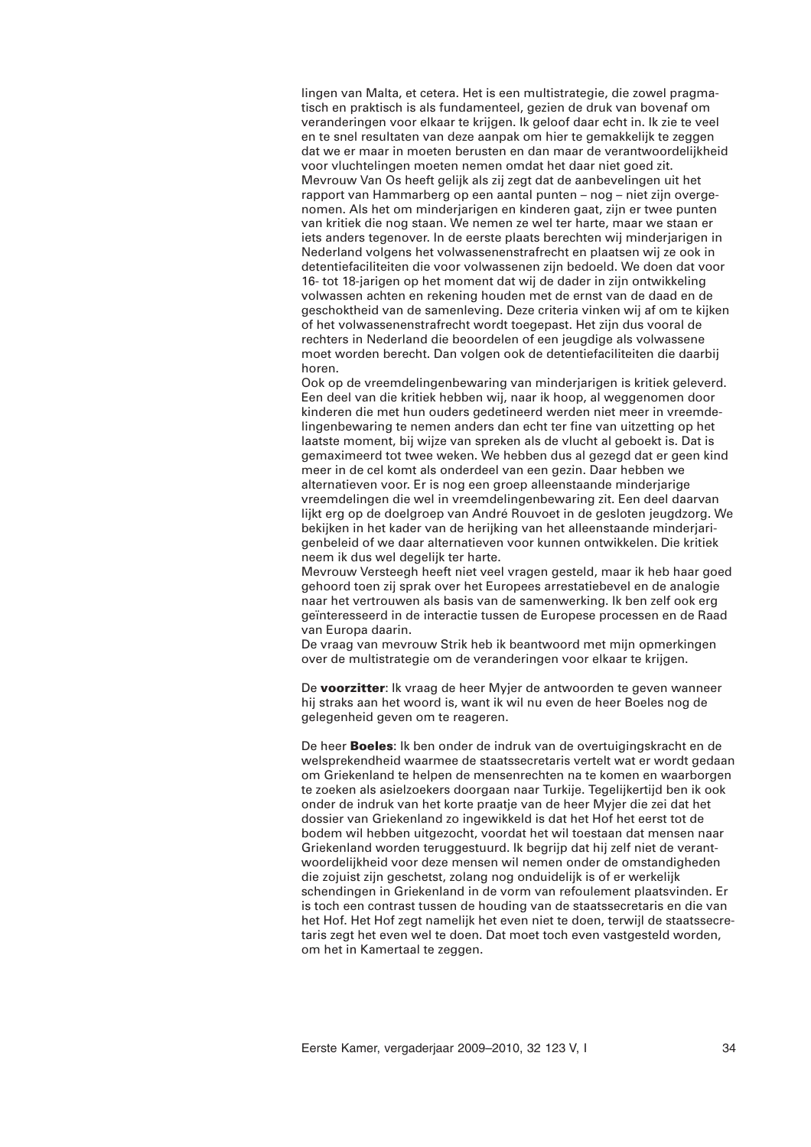lingen van Malta, et cetera. Het is een multistrategie, die zowel pragmatisch en praktisch is als fundamenteel, gezien de druk van bovenaf om veranderingen voor elkaar te krijgen. Ik geloof daar echt in. Ik zie te veel en te snel resultaten van deze aanpak om hier te gemakkelijk te zeggen dat we er maar in moeten berusten en dan maar de verantwoordelijkheid voor vluchtelingen moeten nemen omdat het daar niet goed zit. Mevrouw Van Os heeft gelijk als zij zegt dat de aanbevelingen uit het rapport van Hammarberg op een aantal punten – nog – niet zijn overgenomen. Als het om minderjarigen en kinderen gaat, zijn er twee punten van kritiek die nog staan. We nemen ze wel ter harte, maar we staan er iets anders tegenover. In de eerste plaats berechten wij minderjarigen in Nederland volgens het volwassenenstrafrecht en plaatsen wij ze ook in detentiefaciliteiten die voor volwassenen zijn bedoeld. We doen dat voor 16- tot 18-jarigen op het moment dat wij de dader in zijn ontwikkeling volwassen achten en rekening houden met de ernst van de daad en de geschoktheid van de samenleving. Deze criteria vinken wij af om te kijken of het volwassenenstrafrecht wordt toegepast. Het zijn dus vooral de rechters in Nederland die beoordelen of een jeugdige als volwassene moet worden berecht. Dan volgen ook de detentiefaciliteiten die daarbij horen.

Ook op de vreemdelingenbewaring van minderjarigen is kritiek geleverd. Een deel van die kritiek hebben wij, naar ik hoop, al weggenomen door kinderen die met hun ouders gedetineerd werden niet meer in vreemdelingenbewaring te nemen anders dan echt ter fine van uitzetting op het laatste moment, bij wijze van spreken als de vlucht al geboekt is. Dat is gemaximeerd tot twee weken. We hebben dus al gezegd dat er geen kind meer in de cel komt als onderdeel van een gezin. Daar hebben we alternatieven voor. Er is nog een groep alleenstaande minderjarige vreemdelingen die wel in vreemdelingenbewaring zit. Een deel daarvan lijkt erg op de doelgroep van André Rouvoet in de gesloten jeugdzorg. We bekijken in het kader van de herijking van het alleenstaande minderjarigenbeleid of we daar alternatieven voor kunnen ontwikkelen. Die kritiek neem ik dus wel degelijk ter harte.

Mevrouw Versteegh heeft niet veel vragen gesteld, maar ik heb haar goed gehoord toen zij sprak over het Europees arrestatiebevel en de analogie naar het vertrouwen als basis van de samenwerking. Ik ben zelf ook erg geïnteresseerd in de interactie tussen de Europese processen en de Raad van Europa daarin.

De vraag van mevrouw Strik heb ik beantwoord met mijn opmerkingen over de multistrategie om de veranderingen voor elkaar te krijgen.

De **voorzitter**: Ik vraag de heer Myjer de antwoorden te geven wanneer hij straks aan het woord is, want ik wil nu even de heer Boeles nog de gelegenheid geven om te reageren.

De heer **Boeles**: Ik ben onder de indruk van de overtuigingskracht en de welsprekendheid waarmee de staatssecretaris vertelt wat er wordt gedaan om Griekenland te helpen de mensenrechten na te komen en waarborgen te zoeken als asielzoekers doorgaan naar Turkije. Tegelijkertijd ben ik ook onder de indruk van het korte praatje van de heer Myjer die zei dat het dossier van Griekenland zo ingewikkeld is dat het Hof het eerst tot de bodem wil hebben uitgezocht, voordat het wil toestaan dat mensen naar Griekenland worden teruggestuurd. Ik begrijp dat hij zelf niet de verantwoordelijkheid voor deze mensen wil nemen onder de omstandigheden die zojuist zijn geschetst, zolang nog onduidelijk is of er werkelijk schendingen in Griekenland in de vorm van refoulement plaatsvinden. Er is toch een contrast tussen de houding van de staatssecretaris en die van het Hof. Het Hof zegt namelijk het even niet te doen, terwijl de staatssecretaris zegt het even wel te doen. Dat moet toch even vastgesteld worden, om het in Kamertaal te zeggen.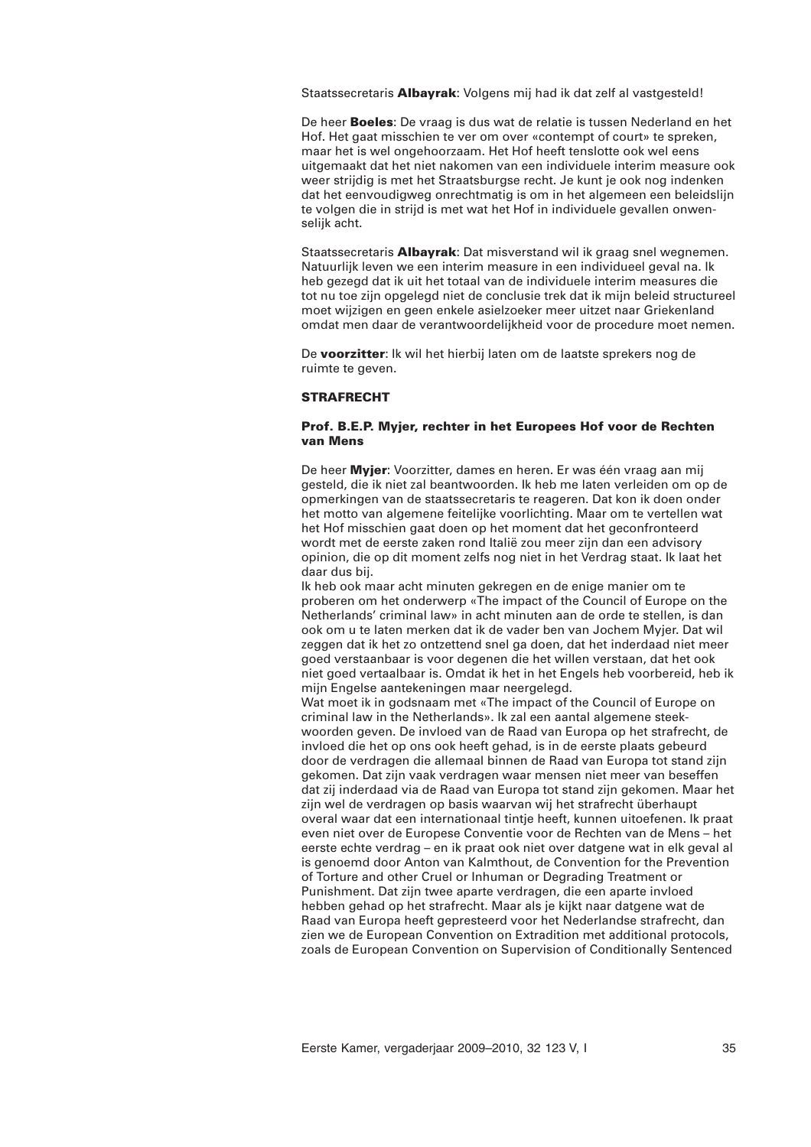Staatssecretaris **Albayrak**: Volgens mij had ik dat zelf al vastgesteld!

De heer **Boeles**: De vraag is dus wat de relatie is tussen Nederland en het Hof. Het gaat misschien te ver om over «contempt of court» te spreken, maar het is wel ongehoorzaam. Het Hof heeft tenslotte ook wel eens uitgemaakt dat het niet nakomen van een individuele interim measure ook weer strijdig is met het Straatsburgse recht. Je kunt je ook nog indenken dat het eenvoudigweg onrechtmatig is om in het algemeen een beleidslijn te volgen die in strijd is met wat het Hof in individuele gevallen onwenselijk acht.

Staatssecretaris **Albayrak**: Dat misverstand wil ik graag snel wegnemen. Natuurlijk leven we een interim measure in een individueel geval na. Ik heb gezegd dat ik uit het totaal van de individuele interim measures die tot nu toe zijn opgelegd niet de conclusie trek dat ik mijn beleid structureel moet wijzigen en geen enkele asielzoeker meer uitzet naar Griekenland omdat men daar de verantwoordelijkheid voor de procedure moet nemen.

De **voorzitter**: Ik wil het hierbij laten om de laatste sprekers nog de ruimte te geven.

### **STRAFRECHT**

# **Prof. B.E.P. Myjer, rechter in het Europees Hof voor de Rechten van Mens**

De heer **Myjer**: Voorzitter, dames en heren. Er was één vraag aan mij gesteld, die ik niet zal beantwoorden. Ik heb me laten verleiden om op de opmerkingen van de staatssecretaris te reageren. Dat kon ik doen onder het motto van algemene feitelijke voorlichting. Maar om te vertellen wat het Hof misschien gaat doen op het moment dat het geconfronteerd wordt met de eerste zaken rond Italië zou meer zijn dan een advisory opinion, die op dit moment zelfs nog niet in het Verdrag staat. Ik laat het daar dus bij.

Ik heb ook maar acht minuten gekregen en de enige manier om te proberen om het onderwerp «The impact of the Council of Europe on the Netherlands' criminal law» in acht minuten aan de orde te stellen, is dan ook om u te laten merken dat ik de vader ben van Jochem Myjer. Dat wil zeggen dat ik het zo ontzettend snel ga doen, dat het inderdaad niet meer goed verstaanbaar is voor degenen die het willen verstaan, dat het ook niet goed vertaalbaar is. Omdat ik het in het Engels heb voorbereid, heb ik mijn Engelse aantekeningen maar neergelegd.

Wat moet ik in godsnaam met «The impact of the Council of Europe on criminal law in the Netherlands». Ik zal een aantal algemene steekwoorden geven. De invloed van de Raad van Europa op het strafrecht, de invloed die het op ons ook heeft gehad, is in de eerste plaats gebeurd door de verdragen die allemaal binnen de Raad van Europa tot stand zijn gekomen. Dat zijn vaak verdragen waar mensen niet meer van beseffen dat zij inderdaad via de Raad van Europa tot stand zijn gekomen. Maar het zijn wel de verdragen op basis waarvan wij het strafrecht überhaupt overal waar dat een internationaal tintje heeft, kunnen uitoefenen. Ik praat even niet over de Europese Conventie voor de Rechten van de Mens – het eerste echte verdrag – en ik praat ook niet over datgene wat in elk geval al is genoemd door Anton van Kalmthout, de Convention for the Prevention of Torture and other Cruel or Inhuman or Degrading Treatment or Punishment. Dat zijn twee aparte verdragen, die een aparte invloed hebben gehad op het strafrecht. Maar als je kijkt naar datgene wat de Raad van Europa heeft gepresteerd voor het Nederlandse strafrecht, dan zien we de European Convention on Extradition met additional protocols, zoals de European Convention on Supervision of Conditionally Sentenced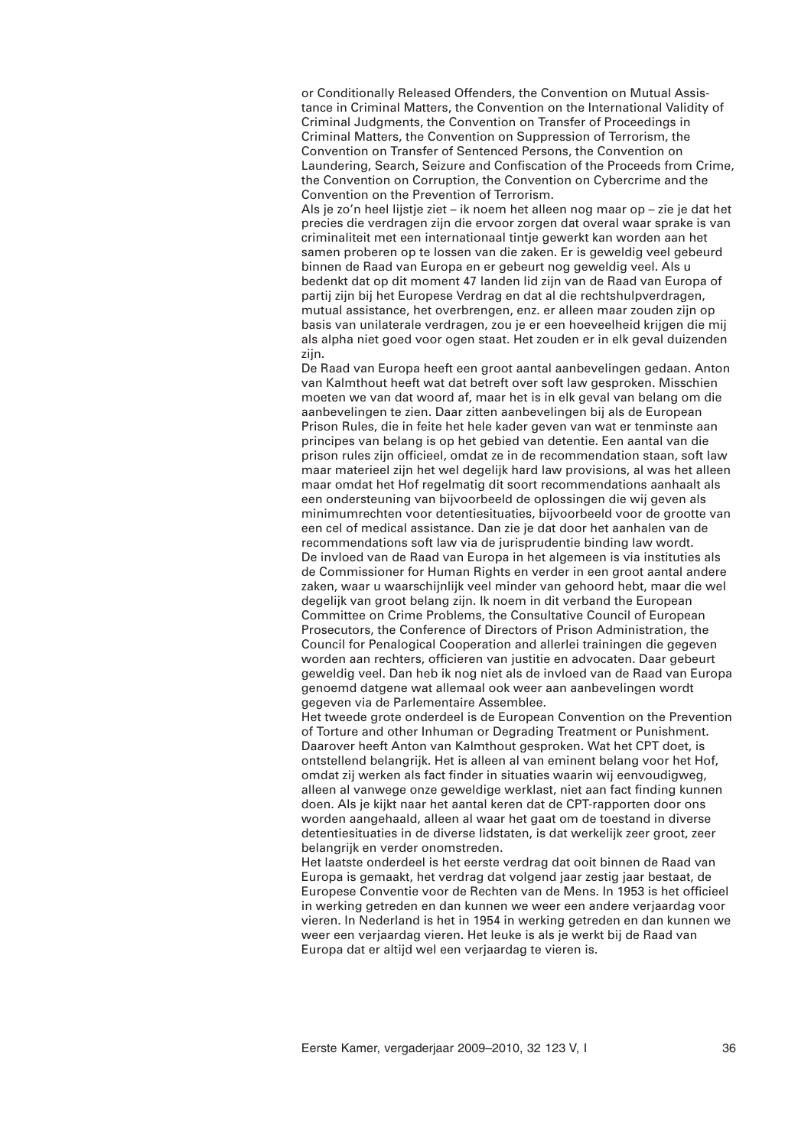or Conditionally Released Offenders, the Convention on Mutual Assistance in Criminal Matters, the Convention on the International Validity of Criminal Judgments, the Convention on Transfer of Proceedings in Criminal Matters, the Convention on Suppression of Terrorism, the Convention on Transfer of Sentenced Persons, the Convention on Laundering, Search, Seizure and Confiscation of the Proceeds from Crime, the Convention on Corruption, the Convention on Cybercrime and the Convention on the Prevention of Terrorism.

Als je zo'n heel lijstje ziet – ik noem het alleen nog maar op – zie je dat het precies die verdragen zijn die ervoor zorgen dat overal waar sprake is van criminaliteit met een internationaal tintje gewerkt kan worden aan het samen proberen op te lossen van die zaken. Er is geweldig veel gebeurd binnen de Raad van Europa en er gebeurt nog geweldig veel. Als u bedenkt dat op dit moment 47 landen lid zijn van de Raad van Europa of partij zijn bij het Europese Verdrag en dat al die rechtshulpverdragen, mutual assistance, het overbrengen, enz. er alleen maar zouden zijn op basis van unilaterale verdragen, zou je er een hoeveelheid krijgen die mij als alpha niet goed voor ogen staat. Het zouden er in elk geval duizenden zijn.

De Raad van Europa heeft een groot aantal aanbevelingen gedaan. Anton van Kalmthout heeft wat dat betreft over soft law gesproken. Misschien moeten we van dat woord af, maar het is in elk geval van belang om die aanbevelingen te zien. Daar zitten aanbevelingen bij als de European Prison Rules, die in feite het hele kader geven van wat er tenminste aan principes van belang is op het gebied van detentie. Een aantal van die prison rules zijn officieel, omdat ze in de recommendation staan, soft law maar materieel zijn het wel degelijk hard law provisions, al was het alleen maar omdat het Hof regelmatig dit soort recommendations aanhaalt als een ondersteuning van bijvoorbeeld de oplossingen die wij geven als minimumrechten voor detentiesituaties, bijvoorbeeld voor de grootte van een cel of medical assistance. Dan zie je dat door het aanhalen van de recommendations soft law via de jurisprudentie binding law wordt. De invloed van de Raad van Europa in het algemeen is via instituties als de Commissioner for Human Rights en verder in een groot aantal andere zaken, waar u waarschijnlijk veel minder van gehoord hebt, maar die wel degelijk van groot belang zijn. Ik noem in dit verband the European Committee on Crime Problems, the Consultative Council of European Prosecutors, the Conference of Directors of Prison Administration, the Council for Penalogical Cooperation and allerlei trainingen die gegeven worden aan rechters, officieren van justitie en advocaten. Daar gebeurt geweldig veel. Dan heb ik nog niet als de invloed van de Raad van Europa genoemd datgene wat allemaal ook weer aan aanbevelingen wordt gegeven via de Parlementaire Assemblee.

Het tweede grote onderdeel is de European Convention on the Prevention of Torture and other Inhuman or Degrading Treatment or Punishment. Daarover heeft Anton van Kalmthout gesproken. Wat het CPT doet, is ontstellend belangrijk. Het is alleen al van eminent belang voor het Hof, omdat zij werken als fact finder in situaties waarin wij eenvoudigweg, alleen al vanwege onze geweldige werklast, niet aan fact finding kunnen doen. Als je kijkt naar het aantal keren dat de CPT-rapporten door ons worden aangehaald, alleen al waar het gaat om de toestand in diverse detentiesituaties in de diverse lidstaten, is dat werkelijk zeer groot, zeer belangrijk en verder onomstreden.

Het laatste onderdeel is het eerste verdrag dat ooit binnen de Raad van Europa is gemaakt, het verdrag dat volgend jaar zestig jaar bestaat, de Europese Conventie voor de Rechten van de Mens. In 1953 is het officieel in werking getreden en dan kunnen we weer een andere verjaardag voor vieren. In Nederland is het in 1954 in werking getreden en dan kunnen we weer een verjaardag vieren. Het leuke is als je werkt bij de Raad van Europa dat er altijd wel een verjaardag te vieren is.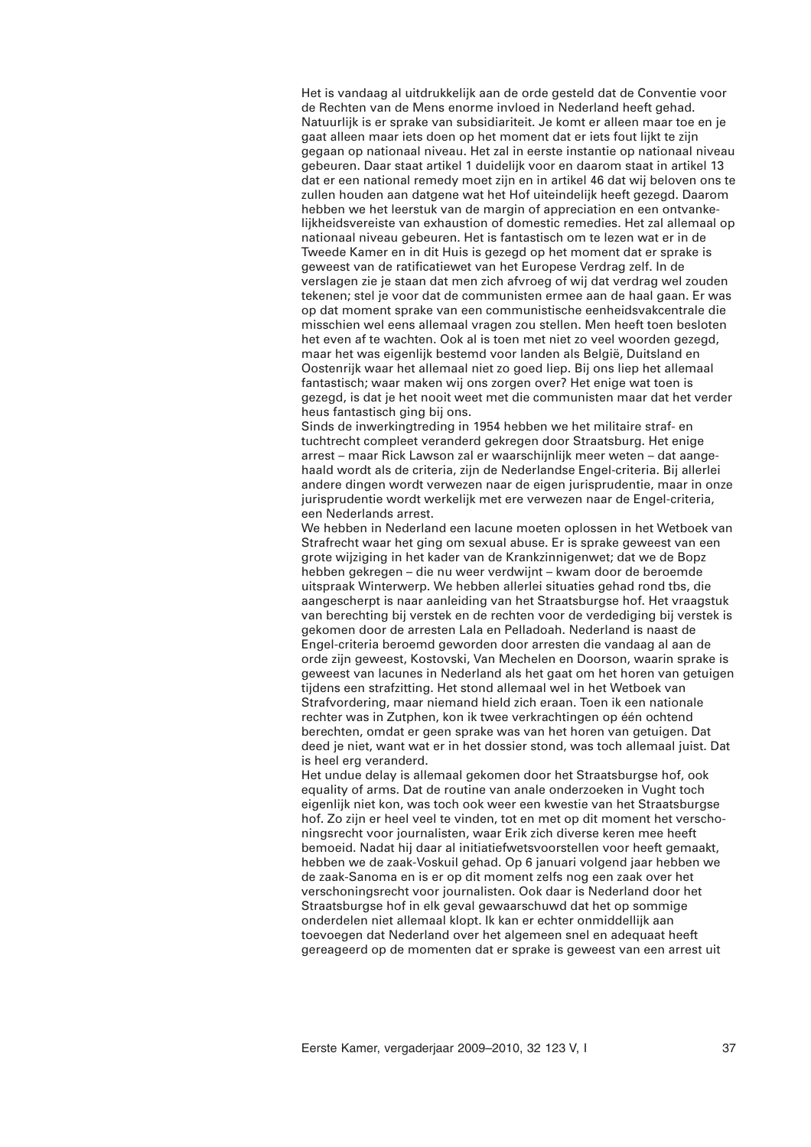Het is vandaag al uitdrukkelijk aan de orde gesteld dat de Conventie voor de Rechten van de Mens enorme invloed in Nederland heeft gehad. Natuurlijk is er sprake van subsidiariteit. Je komt er alleen maar toe en je gaat alleen maar iets doen op het moment dat er iets fout lijkt te zijn gegaan op nationaal niveau. Het zal in eerste instantie op nationaal niveau gebeuren. Daar staat artikel 1 duidelijk voor en daarom staat in artikel 13 dat er een national remedy moet zijn en in artikel 46 dat wij beloven ons te zullen houden aan datgene wat het Hof uiteindelijk heeft gezegd. Daarom hebben we het leerstuk van de margin of appreciation en een ontvankelijkheidsvereiste van exhaustion of domestic remedies. Het zal allemaal op nationaal niveau gebeuren. Het is fantastisch om te lezen wat er in de Tweede Kamer en in dit Huis is gezegd op het moment dat er sprake is geweest van de ratificatiewet van het Europese Verdrag zelf. In de verslagen zie je staan dat men zich afvroeg of wij dat verdrag wel zouden tekenen; stel je voor dat de communisten ermee aan de haal gaan. Er was op dat moment sprake van een communistische eenheidsvakcentrale die misschien wel eens allemaal vragen zou stellen. Men heeft toen besloten het even af te wachten. Ook al is toen met niet zo veel woorden gezegd, maar het was eigenlijk bestemd voor landen als België, Duitsland en Oostenrijk waar het allemaal niet zo goed liep. Bij ons liep het allemaal fantastisch; waar maken wij ons zorgen over? Het enige wat toen is gezegd, is dat je het nooit weet met die communisten maar dat het verder heus fantastisch ging bij ons.

Sinds de inwerkingtreding in 1954 hebben we het militaire straf- en tuchtrecht compleet veranderd gekregen door Straatsburg. Het enige arrest – maar Rick Lawson zal er waarschijnlijk meer weten – dat aangehaald wordt als de criteria, zijn de Nederlandse Engel-criteria. Bij allerlei andere dingen wordt verwezen naar de eigen jurisprudentie, maar in onze jurisprudentie wordt werkelijk met ere verwezen naar de Engel-criteria, een Nederlands arrest.

We hebben in Nederland een lacune moeten oplossen in het Wetboek van Strafrecht waar het ging om sexual abuse. Er is sprake geweest van een grote wijziging in het kader van de Krankzinnigenwet; dat we de Bopz hebben gekregen – die nu weer verdwijnt – kwam door de beroemde uitspraak Winterwerp. We hebben allerlei situaties gehad rond tbs, die aangescherpt is naar aanleiding van het Straatsburgse hof. Het vraagstuk van berechting bij verstek en de rechten voor de verdediging bij verstek is gekomen door de arresten Lala en Pelladoah. Nederland is naast de Engel-criteria beroemd geworden door arresten die vandaag al aan de orde zijn geweest, Kostovski, Van Mechelen en Doorson, waarin sprake is geweest van lacunes in Nederland als het gaat om het horen van getuigen tijdens een strafzitting. Het stond allemaal wel in het Wetboek van Strafvordering, maar niemand hield zich eraan. Toen ik een nationale rechter was in Zutphen, kon ik twee verkrachtingen op één ochtend berechten, omdat er geen sprake was van het horen van getuigen. Dat deed je niet, want wat er in het dossier stond, was toch allemaal juist. Dat is heel erg veranderd.

Het undue delay is allemaal gekomen door het Straatsburgse hof, ook equality of arms. Dat de routine van anale onderzoeken in Vught toch eigenlijk niet kon, was toch ook weer een kwestie van het Straatsburgse hof. Zo zijn er heel veel te vinden, tot en met op dit moment het verschoningsrecht voor journalisten, waar Erik zich diverse keren mee heeft bemoeid. Nadat hij daar al initiatiefwetsvoorstellen voor heeft gemaakt, hebben we de zaak-Voskuil gehad. Op 6 januari volgend jaar hebben we de zaak-Sanoma en is er op dit moment zelfs nog een zaak over het verschoningsrecht voor journalisten. Ook daar is Nederland door het Straatsburgse hof in elk geval gewaarschuwd dat het op sommige onderdelen niet allemaal klopt. Ik kan er echter onmiddellijk aan toevoegen dat Nederland over het algemeen snel en adequaat heeft gereageerd op de momenten dat er sprake is geweest van een arrest uit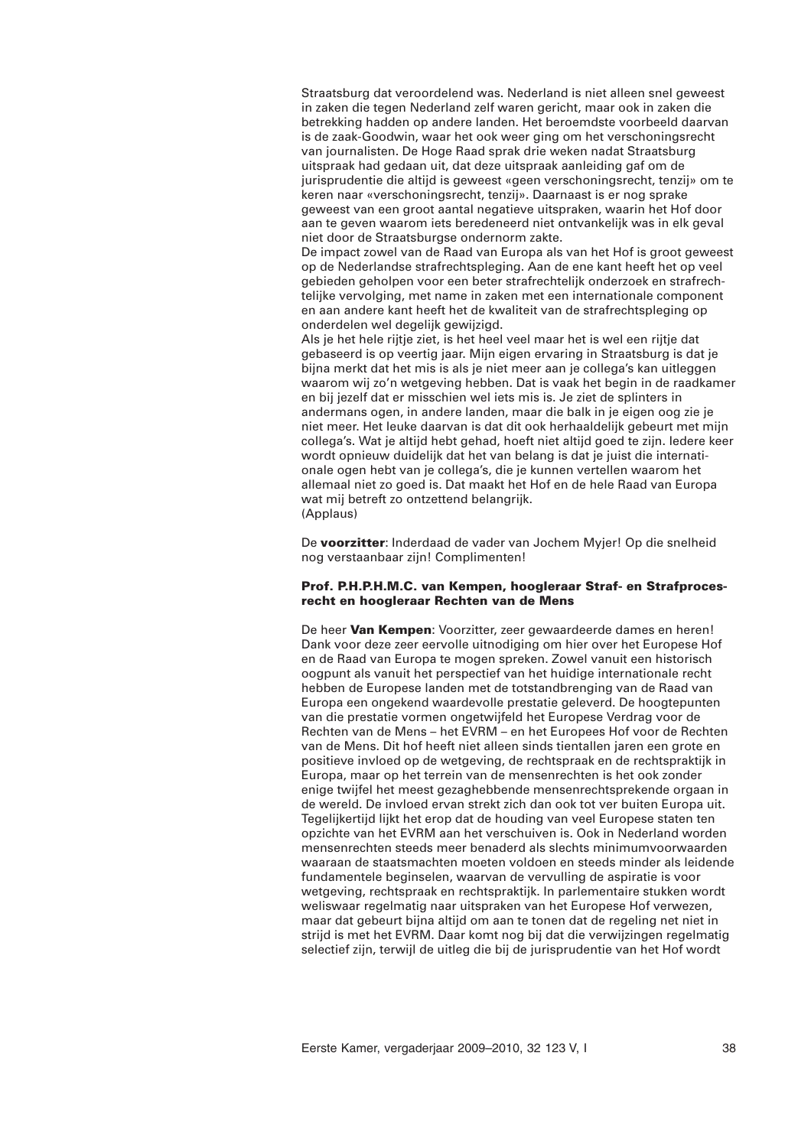Straatsburg dat veroordelend was. Nederland is niet alleen snel geweest in zaken die tegen Nederland zelf waren gericht, maar ook in zaken die betrekking hadden op andere landen. Het beroemdste voorbeeld daarvan is de zaak-Goodwin, waar het ook weer ging om het verschoningsrecht van journalisten. De Hoge Raad sprak drie weken nadat Straatsburg uitspraak had gedaan uit, dat deze uitspraak aanleiding gaf om de jurisprudentie die altijd is geweest «geen verschoningsrecht, tenzij» om te keren naar «verschoningsrecht, tenzij». Daarnaast is er nog sprake geweest van een groot aantal negatieve uitspraken, waarin het Hof door aan te geven waarom iets beredeneerd niet ontvankelijk was in elk geval niet door de Straatsburgse ondernorm zakte.

De impact zowel van de Raad van Europa als van het Hof is groot geweest op de Nederlandse strafrechtspleging. Aan de ene kant heeft het op veel gebieden geholpen voor een beter strafrechtelijk onderzoek en strafrechtelijke vervolging, met name in zaken met een internationale component en aan andere kant heeft het de kwaliteit van de strafrechtspleging op onderdelen wel degelijk gewijzigd.

Als je het hele rijtje ziet, is het heel veel maar het is wel een rijtje dat gebaseerd is op veertig jaar. Mijn eigen ervaring in Straatsburg is dat je bijna merkt dat het mis is als je niet meer aan je collega's kan uitleggen waarom wij zo'n wetgeving hebben. Dat is vaak het begin in de raadkamer en bij jezelf dat er misschien wel iets mis is. Je ziet de splinters in andermans ogen, in andere landen, maar die balk in je eigen oog zie je niet meer. Het leuke daarvan is dat dit ook herhaaldelijk gebeurt met mijn collega's. Wat je altijd hebt gehad, hoeft niet altijd goed te zijn. Iedere keer wordt opnieuw duidelijk dat het van belang is dat je juist die internationale ogen hebt van je collega's, die je kunnen vertellen waarom het allemaal niet zo goed is. Dat maakt het Hof en de hele Raad van Europa wat mij betreft zo ontzettend belangrijk. (Applaus)

De **voorzitter**: Inderdaad de vader van Jochem Myjer! Op die snelheid nog verstaanbaar zijn! Complimenten!

### **Prof. P.H.P.H.M.C. van Kempen, hoogleraar Straf- en Strafprocesrecht en hoogleraar Rechten van de Mens**

De heer **Van Kempen**: Voorzitter, zeer gewaardeerde dames en heren! Dank voor deze zeer eervolle uitnodiging om hier over het Europese Hof en de Raad van Europa te mogen spreken. Zowel vanuit een historisch oogpunt als vanuit het perspectief van het huidige internationale recht hebben de Europese landen met de totstandbrenging van de Raad van Europa een ongekend waardevolle prestatie geleverd. De hoogtepunten van die prestatie vormen ongetwijfeld het Europese Verdrag voor de Rechten van de Mens – het EVRM – en het Europees Hof voor de Rechten van de Mens. Dit hof heeft niet alleen sinds tientallen jaren een grote en positieve invloed op de wetgeving, de rechtspraak en de rechtspraktijk in Europa, maar op het terrein van de mensenrechten is het ook zonder enige twijfel het meest gezaghebbende mensenrechtsprekende orgaan in de wereld. De invloed ervan strekt zich dan ook tot ver buiten Europa uit. Tegelijkertijd lijkt het erop dat de houding van veel Europese staten ten opzichte van het EVRM aan het verschuiven is. Ook in Nederland worden mensenrechten steeds meer benaderd als slechts minimumvoorwaarden waaraan de staatsmachten moeten voldoen en steeds minder als leidende fundamentele beginselen, waarvan de vervulling de aspiratie is voor wetgeving, rechtspraak en rechtspraktijk. In parlementaire stukken wordt weliswaar regelmatig naar uitspraken van het Europese Hof verwezen, maar dat gebeurt bijna altijd om aan te tonen dat de regeling net niet in strijd is met het EVRM. Daar komt nog bij dat die verwijzingen regelmatig selectief zijn, terwijl de uitleg die bij de jurisprudentie van het Hof wordt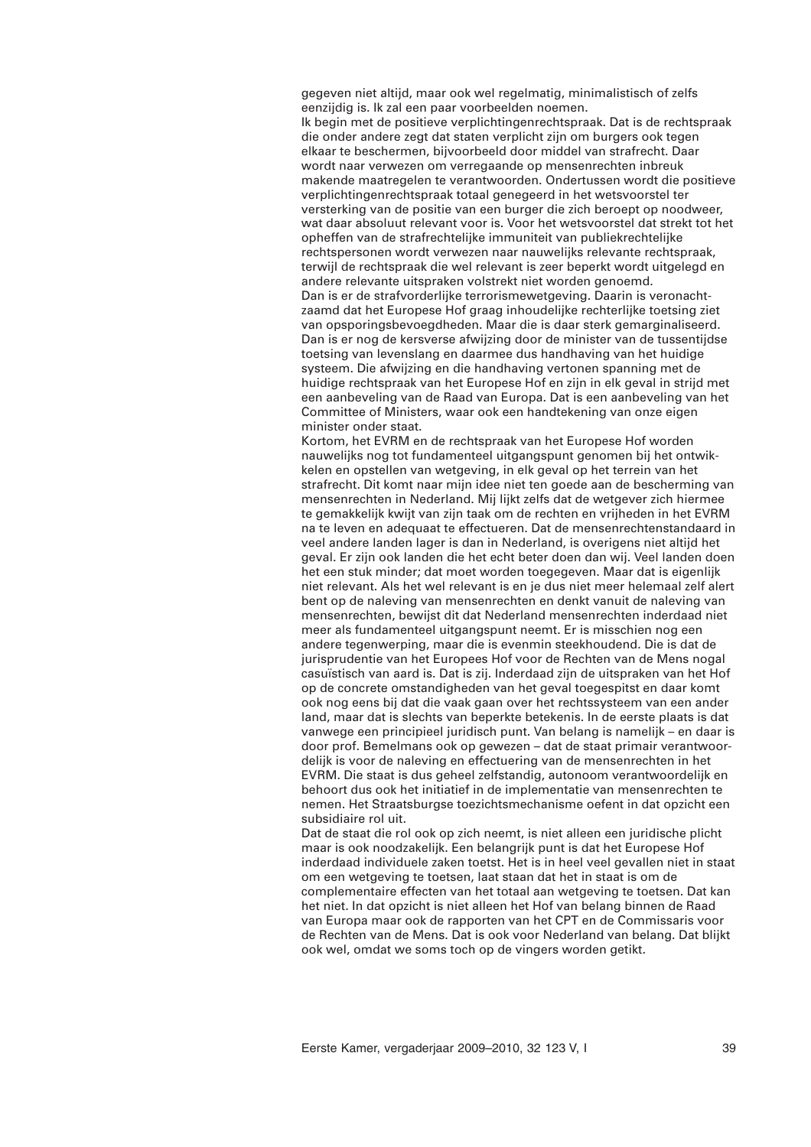gegeven niet altijd, maar ook wel regelmatig, minimalistisch of zelfs eenzijdig is. Ik zal een paar voorbeelden noemen. Ik begin met de positieve verplichtingenrechtspraak. Dat is de rechtspraak die onder andere zegt dat staten verplicht zijn om burgers ook tegen elkaar te beschermen, bijvoorbeeld door middel van strafrecht. Daar wordt naar verwezen om verregaande op mensenrechten inbreuk makende maatregelen te verantwoorden. Ondertussen wordt die positieve verplichtingenrechtspraak totaal genegeerd in het wetsvoorstel ter versterking van de positie van een burger die zich beroept op noodweer, wat daar absoluut relevant voor is. Voor het wetsvoorstel dat strekt tot het opheffen van de strafrechtelijke immuniteit van publiekrechtelijke rechtspersonen wordt verwezen naar nauwelijks relevante rechtspraak, terwijl de rechtspraak die wel relevant is zeer beperkt wordt uitgelegd en andere relevante uitspraken volstrekt niet worden genoemd. Dan is er de strafvorderlijke terrorismewetgeving. Daarin is veronachtzaamd dat het Europese Hof graag inhoudelijke rechterlijke toetsing ziet van opsporingsbevoegdheden. Maar die is daar sterk gemarginaliseerd. Dan is er nog de kersverse afwijzing door de minister van de tussentijdse toetsing van levenslang en daarmee dus handhaving van het huidige systeem. Die afwijzing en die handhaving vertonen spanning met de huidige rechtspraak van het Europese Hof en zijn in elk geval in strijd met een aanbeveling van de Raad van Europa. Dat is een aanbeveling van het Committee of Ministers, waar ook een handtekening van onze eigen minister onder staat.

Kortom, het EVRM en de rechtspraak van het Europese Hof worden nauwelijks nog tot fundamenteel uitgangspunt genomen bij het ontwikkelen en opstellen van wetgeving, in elk geval op het terrein van het strafrecht. Dit komt naar mijn idee niet ten goede aan de bescherming van mensenrechten in Nederland. Mij lijkt zelfs dat de wetgever zich hiermee te gemakkelijk kwijt van zijn taak om de rechten en vrijheden in het EVRM na te leven en adequaat te effectueren. Dat de mensenrechtenstandaard in veel andere landen lager is dan in Nederland, is overigens niet altijd het geval. Er zijn ook landen die het echt beter doen dan wij. Veel landen doen het een stuk minder; dat moet worden toegegeven. Maar dat is eigenlijk niet relevant. Als het wel relevant is en je dus niet meer helemaal zelf alert bent op de naleving van mensenrechten en denkt vanuit de naleving van mensenrechten, bewijst dit dat Nederland mensenrechten inderdaad niet meer als fundamenteel uitgangspunt neemt. Er is misschien nog een andere tegenwerping, maar die is evenmin steekhoudend. Die is dat de jurisprudentie van het Europees Hof voor de Rechten van de Mens nogal casuïstisch van aard is. Dat is zij. Inderdaad zijn de uitspraken van het Hof op de concrete omstandigheden van het geval toegespitst en daar komt ook nog eens bij dat die vaak gaan over het rechtssysteem van een ander land, maar dat is slechts van beperkte betekenis. In de eerste plaats is dat vanwege een principieel juridisch punt. Van belang is namelijk – en daar is door prof. Bemelmans ook op gewezen – dat de staat primair verantwoordelijk is voor de naleving en effectuering van de mensenrechten in het EVRM. Die staat is dus geheel zelfstandig, autonoom verantwoordelijk en behoort dus ook het initiatief in de implementatie van mensenrechten te nemen. Het Straatsburgse toezichtsmechanisme oefent in dat opzicht een subsidiaire rol uit.

Dat de staat die rol ook op zich neemt, is niet alleen een juridische plicht maar is ook noodzakelijk. Een belangrijk punt is dat het Europese Hof inderdaad individuele zaken toetst. Het is in heel veel gevallen niet in staat om een wetgeving te toetsen, laat staan dat het in staat is om de complementaire effecten van het totaal aan wetgeving te toetsen. Dat kan het niet. In dat opzicht is niet alleen het Hof van belang binnen de Raad van Europa maar ook de rapporten van het CPT en de Commissaris voor de Rechten van de Mens. Dat is ook voor Nederland van belang. Dat blijkt ook wel, omdat we soms toch op de vingers worden getikt.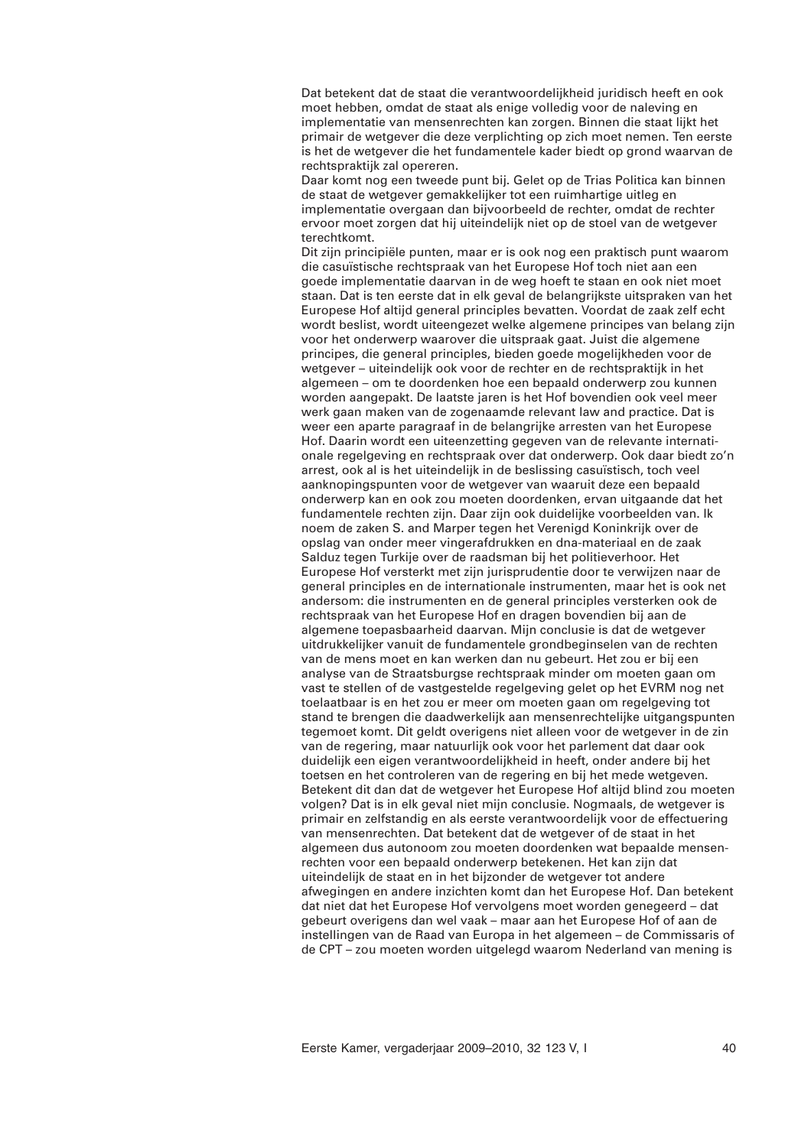Dat betekent dat de staat die verantwoordelijkheid juridisch heeft en ook moet hebben, omdat de staat als enige volledig voor de naleving en implementatie van mensenrechten kan zorgen. Binnen die staat lijkt het primair de wetgever die deze verplichting op zich moet nemen. Ten eerste is het de wetgever die het fundamentele kader biedt op grond waarvan de rechtspraktijk zal opereren.

Daar komt nog een tweede punt bij. Gelet op de Trias Politica kan binnen de staat de wetgever gemakkelijker tot een ruimhartige uitleg en implementatie overgaan dan bijvoorbeeld de rechter, omdat de rechter ervoor moet zorgen dat hij uiteindelijk niet op de stoel van de wetgever terechtkomt.

Dit zijn principiële punten, maar er is ook nog een praktisch punt waarom die casuïstische rechtspraak van het Europese Hof toch niet aan een goede implementatie daarvan in de weg hoeft te staan en ook niet moet staan. Dat is ten eerste dat in elk geval de belangrijkste uitspraken van het Europese Hof altijd general principles bevatten. Voordat de zaak zelf echt wordt beslist, wordt uiteengezet welke algemene principes van belang zijn voor het onderwerp waarover die uitspraak gaat. Juist die algemene principes, die general principles, bieden goede mogelijkheden voor de wetgever – uiteindelijk ook voor de rechter en de rechtspraktijk in het algemeen – om te doordenken hoe een bepaald onderwerp zou kunnen worden aangepakt. De laatste jaren is het Hof bovendien ook veel meer werk gaan maken van de zogenaamde relevant law and practice. Dat is weer een aparte paragraaf in de belangrijke arresten van het Europese Hof. Daarin wordt een uiteenzetting gegeven van de relevante internationale regelgeving en rechtspraak over dat onderwerp. Ook daar biedt zo'n arrest, ook al is het uiteindelijk in de beslissing casuïstisch, toch veel aanknopingspunten voor de wetgever van waaruit deze een bepaald onderwerp kan en ook zou moeten doordenken, ervan uitgaande dat het fundamentele rechten zijn. Daar zijn ook duidelijke voorbeelden van. Ik noem de zaken S. and Marper tegen het Verenigd Koninkrijk over de opslag van onder meer vingerafdrukken en dna-materiaal en de zaak Salduz tegen Turkije over de raadsman bij het politieverhoor. Het Europese Hof versterkt met zijn jurisprudentie door te verwijzen naar de general principles en de internationale instrumenten, maar het is ook net andersom: die instrumenten en de general principles versterken ook de rechtspraak van het Europese Hof en dragen bovendien bij aan de algemene toepasbaarheid daarvan. Mijn conclusie is dat de wetgever uitdrukkelijker vanuit de fundamentele grondbeginselen van de rechten van de mens moet en kan werken dan nu gebeurt. Het zou er bij een analyse van de Straatsburgse rechtspraak minder om moeten gaan om vast te stellen of de vastgestelde regelgeving gelet op het EVRM nog net toelaatbaar is en het zou er meer om moeten gaan om regelgeving tot stand te brengen die daadwerkelijk aan mensenrechtelijke uitgangspunten tegemoet komt. Dit geldt overigens niet alleen voor de wetgever in de zin van de regering, maar natuurlijk ook voor het parlement dat daar ook duidelijk een eigen verantwoordelijkheid in heeft, onder andere bij het toetsen en het controleren van de regering en bij het mede wetgeven. Betekent dit dan dat de wetgever het Europese Hof altijd blind zou moeten volgen? Dat is in elk geval niet mijn conclusie. Nogmaals, de wetgever is primair en zelfstandig en als eerste verantwoordelijk voor de effectuering van mensenrechten. Dat betekent dat de wetgever of de staat in het algemeen dus autonoom zou moeten doordenken wat bepaalde mensenrechten voor een bepaald onderwerp betekenen. Het kan zijn dat uiteindelijk de staat en in het bijzonder de wetgever tot andere afwegingen en andere inzichten komt dan het Europese Hof. Dan betekent dat niet dat het Europese Hof vervolgens moet worden genegeerd – dat gebeurt overigens dan wel vaak – maar aan het Europese Hof of aan de instellingen van de Raad van Europa in het algemeen – de Commissaris of de CPT – zou moeten worden uitgelegd waarom Nederland van mening is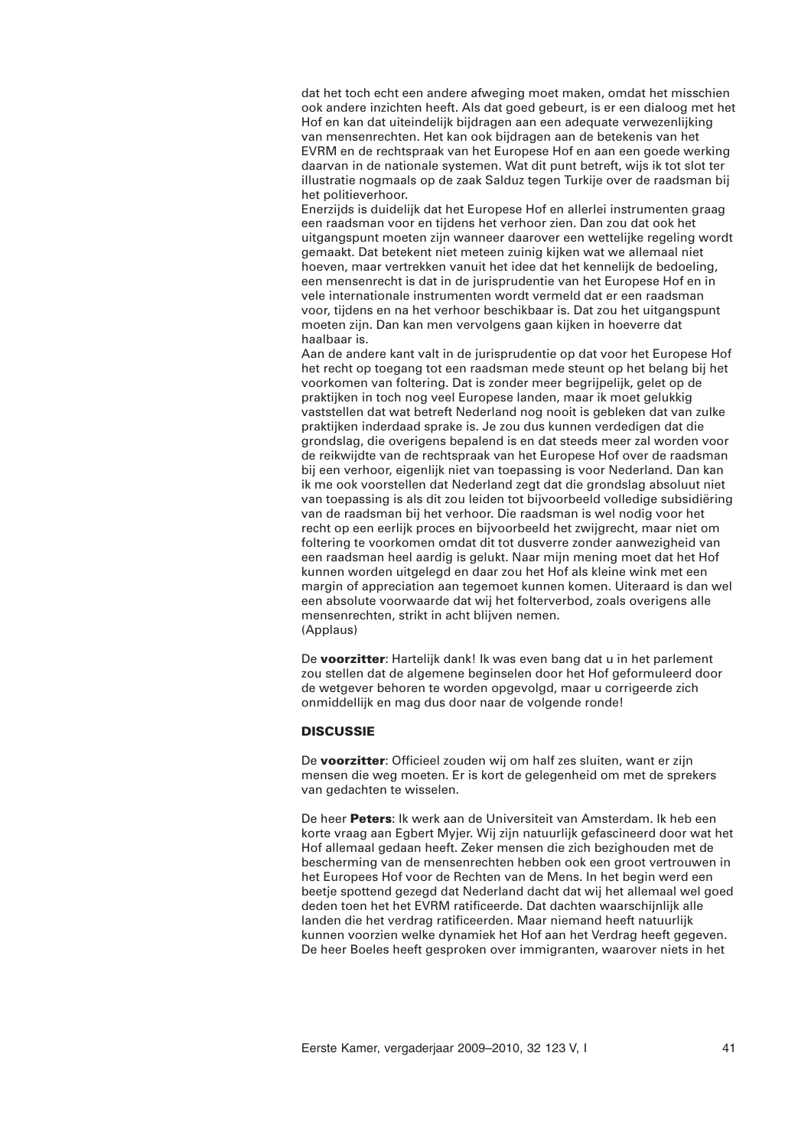dat het toch echt een andere afweging moet maken, omdat het misschien ook andere inzichten heeft. Als dat goed gebeurt, is er een dialoog met het Hof en kan dat uiteindelijk bijdragen aan een adequate verwezenlijking van mensenrechten. Het kan ook bijdragen aan de betekenis van het EVRM en de rechtspraak van het Europese Hof en aan een goede werking daarvan in de nationale systemen. Wat dit punt betreft, wijs ik tot slot ter illustratie nogmaals op de zaak Salduz tegen Turkije over de raadsman bij het politieverhoor.

Enerzijds is duidelijk dat het Europese Hof en allerlei instrumenten graag een raadsman voor en tijdens het verhoor zien. Dan zou dat ook het uitgangspunt moeten zijn wanneer daarover een wettelijke regeling wordt gemaakt. Dat betekent niet meteen zuinig kijken wat we allemaal niet hoeven, maar vertrekken vanuit het idee dat het kennelijk de bedoeling, een mensenrecht is dat in de jurisprudentie van het Europese Hof en in vele internationale instrumenten wordt vermeld dat er een raadsman voor, tijdens en na het verhoor beschikbaar is. Dat zou het uitgangspunt moeten zijn. Dan kan men vervolgens gaan kijken in hoeverre dat haalbaar is.

Aan de andere kant valt in de jurisprudentie op dat voor het Europese Hof het recht op toegang tot een raadsman mede steunt op het belang bij het voorkomen van foltering. Dat is zonder meer begrijpelijk, gelet op de praktijken in toch nog veel Europese landen, maar ik moet gelukkig vaststellen dat wat betreft Nederland nog nooit is gebleken dat van zulke praktijken inderdaad sprake is. Je zou dus kunnen verdedigen dat die grondslag, die overigens bepalend is en dat steeds meer zal worden voor de reikwijdte van de rechtspraak van het Europese Hof over de raadsman bij een verhoor, eigenlijk niet van toepassing is voor Nederland. Dan kan ik me ook voorstellen dat Nederland zegt dat die grondslag absoluut niet van toepassing is als dit zou leiden tot bijvoorbeeld volledige subsidiëring van de raadsman bij het verhoor. Die raadsman is wel nodig voor het recht op een eerlijk proces en bijvoorbeeld het zwijgrecht, maar niet om foltering te voorkomen omdat dit tot dusverre zonder aanwezigheid van een raadsman heel aardig is gelukt. Naar mijn mening moet dat het Hof kunnen worden uitgelegd en daar zou het Hof als kleine wink met een margin of appreciation aan tegemoet kunnen komen. Uiteraard is dan wel een absolute voorwaarde dat wij het folterverbod, zoals overigens alle mensenrechten, strikt in acht blijven nemen. (Applaus)

De **voorzitter**: Hartelijk dank! Ik was even bang dat u in het parlement zou stellen dat de algemene beginselen door het Hof geformuleerd door de wetgever behoren te worden opgevolgd, maar u corrigeerde zich onmiddellijk en mag dus door naar de volgende ronde!

# **DISCUSSIE**

De **voorzitter**: Officieel zouden wij om half zes sluiten, want er zijn mensen die weg moeten. Er is kort de gelegenheid om met de sprekers van gedachten te wisselen.

De heer **Peters**: Ik werk aan de Universiteit van Amsterdam. Ik heb een korte vraag aan Egbert Myjer. Wij zijn natuurlijk gefascineerd door wat het Hof allemaal gedaan heeft. Zeker mensen die zich bezighouden met de bescherming van de mensenrechten hebben ook een groot vertrouwen in het Europees Hof voor de Rechten van de Mens. In het begin werd een beetje spottend gezegd dat Nederland dacht dat wij het allemaal wel goed deden toen het het EVRM ratificeerde. Dat dachten waarschijnlijk alle landen die het verdrag ratificeerden. Maar niemand heeft natuurlijk kunnen voorzien welke dynamiek het Hof aan het Verdrag heeft gegeven. De heer Boeles heeft gesproken over immigranten, waarover niets in het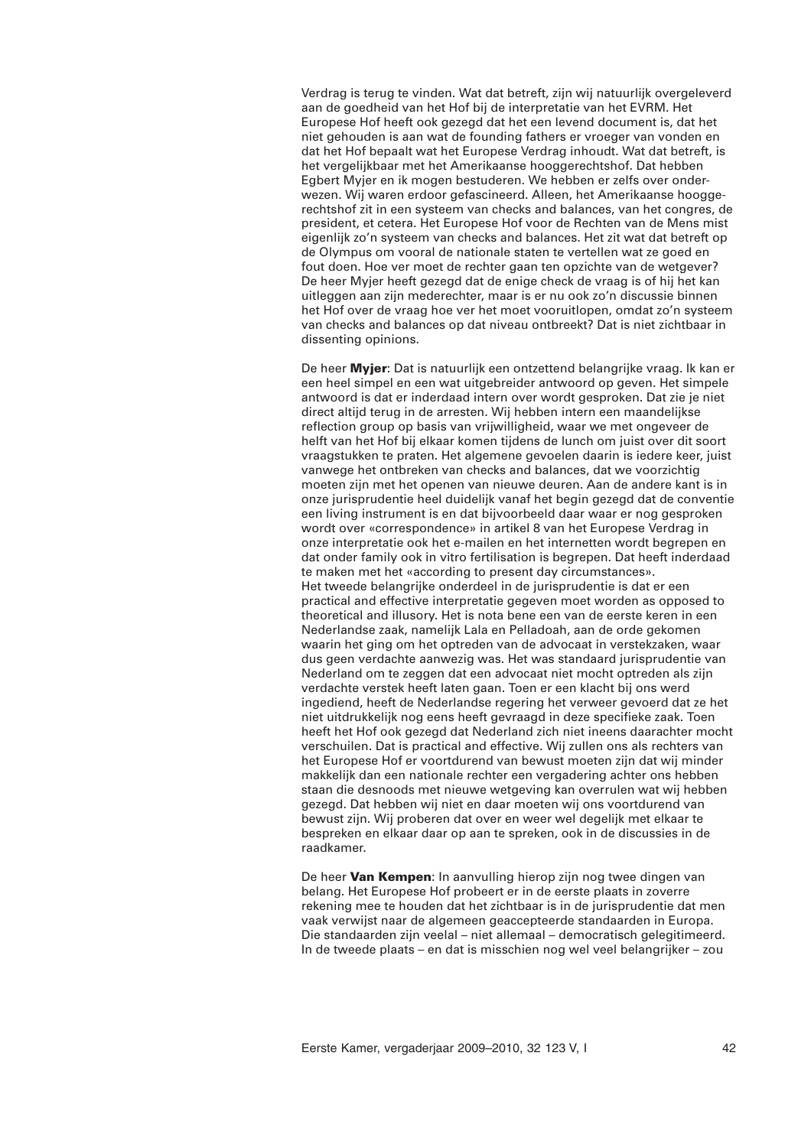Verdrag is terug te vinden. Wat dat betreft, zijn wij natuurlijk overgeleverd aan de goedheid van het Hof bij de interpretatie van het EVRM. Het Europese Hof heeft ook gezegd dat het een levend document is, dat het niet gehouden is aan wat de founding fathers er vroeger van vonden en dat het Hof bepaalt wat het Europese Verdrag inhoudt. Wat dat betreft, is het vergelijkbaar met het Amerikaanse hooggerechtshof. Dat hebben Egbert Myjer en ik mogen bestuderen. We hebben er zelfs over onderwezen. Wij waren erdoor gefascineerd. Alleen, het Amerikaanse hooggerechtshof zit in een systeem van checks and balances, van het congres, de president, et cetera. Het Europese Hof voor de Rechten van de Mens mist eigenlijk zo'n systeem van checks and balances. Het zit wat dat betreft op de Olympus om vooral de nationale staten te vertellen wat ze goed en fout doen. Hoe ver moet de rechter gaan ten opzichte van de wetgever? De heer Myjer heeft gezegd dat de enige check de vraag is of hij het kan uitleggen aan zijn mederechter, maar is er nu ook zo'n discussie binnen het Hof over de vraag hoe ver het moet vooruitlopen, omdat zo'n systeem van checks and balances op dat niveau ontbreekt? Dat is niet zichtbaar in dissenting opinions.

De heer **Myjer**: Dat is natuurlijk een ontzettend belangrijke vraag. Ik kan er een heel simpel en een wat uitgebreider antwoord op geven. Het simpele antwoord is dat er inderdaad intern over wordt gesproken. Dat zie je niet direct altijd terug in de arresten. Wij hebben intern een maandelijkse reflection group op basis van vrijwilligheid, waar we met ongeveer de helft van het Hof bij elkaar komen tijdens de lunch om juist over dit soort vraagstukken te praten. Het algemene gevoelen daarin is iedere keer, juist vanwege het ontbreken van checks and balances, dat we voorzichtig moeten zijn met het openen van nieuwe deuren. Aan de andere kant is in onze jurisprudentie heel duidelijk vanaf het begin gezegd dat de conventie een living instrument is en dat bijvoorbeeld daar waar er nog gesproken wordt over «correspondence» in artikel 8 van het Europese Verdrag in onze interpretatie ook het e-mailen en het internetten wordt begrepen en dat onder family ook in vitro fertilisation is begrepen. Dat heeft inderdaad te maken met het «according to present day circumstances». Het tweede belangrijke onderdeel in de jurisprudentie is dat er een practical and effective interpretatie gegeven moet worden as opposed to theoretical and illusory. Het is nota bene een van de eerste keren in een Nederlandse zaak, namelijk Lala en Pelladoah, aan de orde gekomen waarin het ging om het optreden van de advocaat in verstekzaken, waar dus geen verdachte aanwezig was. Het was standaard jurisprudentie van Nederland om te zeggen dat een advocaat niet mocht optreden als zijn verdachte verstek heeft laten gaan. Toen er een klacht bij ons werd ingediend, heeft de Nederlandse regering het verweer gevoerd dat ze het niet uitdrukkelijk nog eens heeft gevraagd in deze specifieke zaak. Toen heeft het Hof ook gezegd dat Nederland zich niet ineens daarachter mocht verschuilen. Dat is practical and effective. Wij zullen ons als rechters van het Europese Hof er voortdurend van bewust moeten zijn dat wij minder makkelijk dan een nationale rechter een vergadering achter ons hebben staan die desnoods met nieuwe wetgeving kan overrulen wat wij hebben gezegd. Dat hebben wij niet en daar moeten wij ons voortdurend van bewust zijn. Wij proberen dat over en weer wel degelijk met elkaar te bespreken en elkaar daar op aan te spreken, ook in de discussies in de raadkamer.

De heer **Van Kempen**: In aanvulling hierop zijn nog twee dingen van belang. Het Europese Hof probeert er in de eerste plaats in zoverre rekening mee te houden dat het zichtbaar is in de jurisprudentie dat men vaak verwijst naar de algemeen geaccepteerde standaarden in Europa. Die standaarden zijn veelal – niet allemaal – democratisch gelegitimeerd. In de tweede plaats – en dat is misschien nog wel veel belangrijker – zou